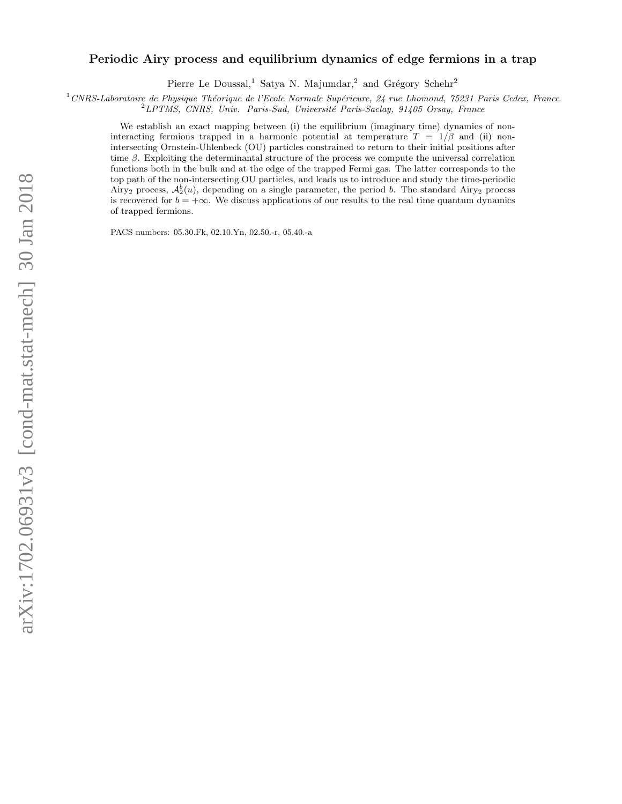# arXiv:1702.06931v3 [cond-mat.stat-mech] 30 Jan 2018 arXiv:1702.06931v3 [cond-mat.stat-mech] 30 Jan 2018

# Periodic Airy process and equilibrium dynamics of edge fermions in a trap

Pierre Le Doussal,<sup>1</sup> Satya N. Majumdar,<sup>2</sup> and Grégory Schehr<sup>2</sup>

 $1$ CNRS-Laboratoire de Physique Théorique de l'Ecole Normale Supérieure, 24 rue Lhomond, 75231 Paris Cedex, France

 ${}^{2}LPTMS$ , CNRS, Univ. Paris-Sud, Université Paris-Saclay, 91405 Orsay, France

We establish an exact mapping between (i) the equilibrium (imaginary time) dynamics of noninteracting fermions trapped in a harmonic potential at temperature  $T = 1/\beta$  and (ii) nonintersecting Ornstein-Uhlenbeck (OU) particles constrained to return to their initial positions after time  $\beta$ . Exploiting the determinantal structure of the process we compute the universal correlation functions both in the bulk and at the edge of the trapped Fermi gas. The latter corresponds to the top path of the non-intersecting OU particles, and leads us to introduce and study the time-periodic Airy<sub>2</sub> process,  $\mathcal{A}_2^b(u)$ , depending on a single parameter, the period b. The standard Airy<sub>2</sub> process is recovered for  $b = +\infty$ . We discuss applications of our results to the real time quantum dynamics of trapped fermions.

PACS numbers: 05.30.Fk, 02.10.Yn, 02.50.-r, 05.40.-a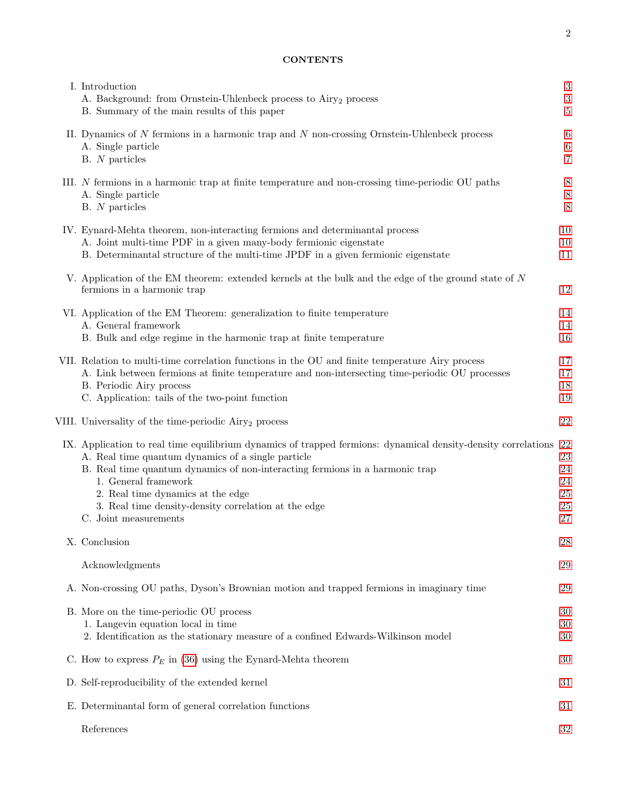# CONTENTS

| I. Introduction<br>A. Background: from Ornstein-Uhlenbeck process to Airy <sub>2</sub> process<br>B. Summary of the main results of this paper                                                                                                                                                                                                                                                       | 3<br>3<br>$\overline{5}$         |
|------------------------------------------------------------------------------------------------------------------------------------------------------------------------------------------------------------------------------------------------------------------------------------------------------------------------------------------------------------------------------------------------------|----------------------------------|
| II. Dynamics of $N$ fermions in a harmonic trap and $N$ non-crossing Ornstein-Uhlenbeck process<br>A. Single particle<br>$B. N$ particles                                                                                                                                                                                                                                                            | 6<br>6<br>$\overline{7}$         |
| III. N fermions in a harmonic trap at finite temperature and non-crossing time-periodic OU paths<br>A. Single particle<br>$B. N$ particles                                                                                                                                                                                                                                                           | 8<br>8<br>8                      |
| IV. Eynard-Mehta theorem, non-interacting fermions and determinantal process<br>A. Joint multi-time PDF in a given many-body fermionic eigenstate<br>B. Determinantal structure of the multi-time JPDF in a given fermionic eigenstate                                                                                                                                                               | 10<br>10<br>11                   |
| V. Application of the EM theorem: extended kernels at the bulk and the edge of the ground state of $N$<br>fermions in a harmonic trap                                                                                                                                                                                                                                                                | 12                               |
| VI. Application of the EM Theorem: generalization to finite temperature<br>A. General framework<br>B. Bulk and edge regime in the harmonic trap at finite temperature                                                                                                                                                                                                                                | 14<br>14<br>16                   |
| VII. Relation to multi-time correlation functions in the OU and finite temperature Airy process<br>A. Link between fermions at finite temperature and non-intersecting time-periodic OU processes<br>B. Periodic Airy process<br>C. Application: tails of the two-point function                                                                                                                     | 17<br>17<br>18<br>19             |
| VIII. Universality of the time-periodic Airy <sub>2</sub> process                                                                                                                                                                                                                                                                                                                                    | 22                               |
| IX. Application to real time equilibrium dynamics of trapped fermions: dynamical density-density correlations 22<br>A. Real time quantum dynamics of a single particle<br>B. Real time quantum dynamics of non-interacting fermions in a harmonic trap<br>1. General framework<br>2. Real time dynamics at the edge<br>3. Real time density-density correlation at the edge<br>C. Joint measurements | 23<br>24<br>24<br>25<br>25<br>27 |
| X. Conclusion                                                                                                                                                                                                                                                                                                                                                                                        | 28                               |
| Acknowledgments                                                                                                                                                                                                                                                                                                                                                                                      | 29                               |
| A. Non-crossing OU paths, Dyson's Brownian motion and trapped fermions in imaginary time                                                                                                                                                                                                                                                                                                             | 29                               |
| B. More on the time-periodic OU process<br>1. Langevin equation local in time<br>2. Identification as the stationary measure of a confined Edwards-Wilkinson model                                                                                                                                                                                                                                   | 30<br>30<br>30                   |
| C. How to express $P_E$ in (36) using the Eynard-Mehta theorem                                                                                                                                                                                                                                                                                                                                       | 30                               |
| D. Self-reproducibility of the extended kernel                                                                                                                                                                                                                                                                                                                                                       | 31                               |
| E. Determinantal form of general correlation functions                                                                                                                                                                                                                                                                                                                                               | 31                               |
| References                                                                                                                                                                                                                                                                                                                                                                                           | 32                               |

2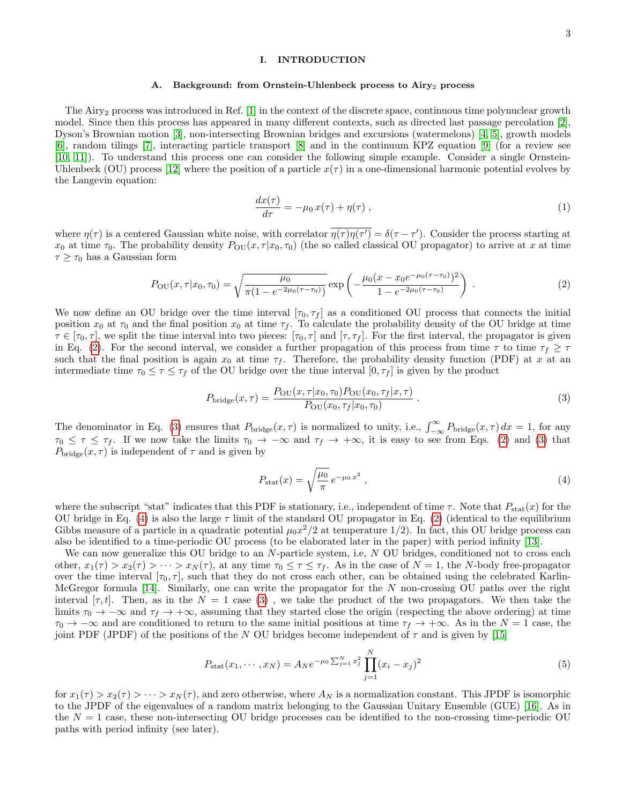# <span id="page-2-0"></span>I. INTRODUCTION

#### <span id="page-2-1"></span>Background: from Ornstein-Uhlenbeck process to Airy<sub>2</sub> process

The Airy<sub>2</sub> process was introduced in Ref. [\[1\]](#page-31-1) in the context of the discrete space, continuous time polynuclear growth model. Since then this process has appeared in many different contexts, such as directed last passage percolation [\[2\]](#page-31-2), Dyson's Brownian motion [\[3\]](#page-31-3), non-intersecting Brownian bridges and excursions (watermelons) [\[4,](#page-31-4) [5\]](#page-31-5), growth models [\[6\]](#page-31-6), random tilings [\[7\]](#page-31-7), interacting particle transport [\[8\]](#page-31-8) and in the continuum KPZ equation [\[9\]](#page-31-9) (for a review see [\[10,](#page-31-10) [11\]](#page-31-11)). To understand this process one can consider the following simple example. Consider a single Ornstein-Uhlenbeck (OU) process [\[12\]](#page-31-12) where the position of a particle  $x(\tau)$  in a one-dimensional harmonic potential evolves by the Langevin equation:

<span id="page-2-6"></span>
$$
\frac{dx(\tau)}{d\tau} = -\mu_0 x(\tau) + \eta(\tau) , \qquad (1)
$$

where  $\eta(\tau)$  is a centered Gaussian white noise, with correlator  $\overline{\eta(\tau)\eta(\tau')} = \delta(\tau - \tau')$ . Consider the process starting at  $x_0$  at time  $\tau_0$ . The probability density  $P_{\text{OU}}(x, \tau | x_0, \tau_0)$  (the so called classical OU propagator) to arrive at x at time  $\tau \geq \tau_0$  has a Gaussian form

<span id="page-2-2"></span>
$$
P_{\text{OU}}(x,\tau|x_0,\tau_0) = \sqrt{\frac{\mu_0}{\pi(1 - e^{-2\mu_0(\tau - \tau_0)})}} \exp\left(-\frac{\mu_0(x - x_0 e^{-\mu_0(\tau - \tau_0)})^2}{1 - e^{-2\mu_0(\tau - \tau_0)}}\right) \tag{2}
$$

We now define an OU bridge over the time interval  $[\tau_0, \tau_f]$  as a conditioned OU process that connects the initial position  $x_0$  at  $\tau_0$  and the final position  $x_0$  at time  $\tau_f$ . To calculate the probability density of the OU bridge at time  $\tau \in [\tau_0, \tau]$ , we split the time interval into two pieces:  $[\tau_0, \tau]$  and  $[\tau, \tau_f]$ . For the first interval, the propagator is given in Eq. [\(2\)](#page-2-2). For the second interval, we consider a further propagation of this process from time  $\tau$  to time  $\tau_f \geq \tau$ such that the final position is again  $x_0$  at time  $\tau_f$ . Therefore, the probability density function (PDF) at x at an intermediate time  $\tau_0 \leq \tau \leq \tau_f$  of the OU bridge over the time interval  $[0, \tau_f]$  is given by the product

<span id="page-2-3"></span>
$$
P_{\text{bridge}}(x,\tau) = \frac{P_{\text{OU}}(x,\tau|x_0,\tau_0)P_{\text{OU}}(x_0,\tau_f|x,\tau)}{P_{\text{OU}}(x_0,\tau_f|x_0,\tau_0)}\,. \tag{3}
$$

The denominator in Eq. [\(3\)](#page-2-3) ensures that  $P_{\text{bridge}}(x, \tau)$  is normalized to unity, i.e.,  $\int_{-\infty}^{\infty} P_{\text{bridge}}(x, \tau) dx = 1$ , for any  $\tau_0 \leq \tau \leq \tau_f$ . If we now take the limits  $\tau_0 \to -\infty$  and  $\tau_f \to +\infty$ , it is easy to see from Eqs. [\(2\)](#page-2-2) and [\(3\)](#page-2-3) that  $P_{\text{bridge}}(x, \tau)$  is independent of  $\tau$  and is given by

<span id="page-2-4"></span>
$$
P_{\text{stat}}(x) = \sqrt{\frac{\mu_0}{\pi}} e^{-\mu_0 x^2}, \qquad (4)
$$

where the subscript "stat" indicates that this PDF is stationary, i.e., independent of time  $\tau$ . Note that  $P_{\text{stat}}(x)$  for the OU bridge in Eq. [\(4\)](#page-2-4) is also the large  $\tau$  limit of the standard OU propagator in Eq. [\(2\)](#page-2-2) (identical to the equilibrium Gibbs measure of a particle in a quadratic potential  $\mu_0 x^2/2$  at temperature 1/2). In fact, this OU bridge process can also be identified to a time-periodic OU process (to be elaborated later in the paper) with period infinity [\[13\]](#page-31-13).

We can now generalize this OU bridge to an N-particle system, i.e, N OU bridges, conditioned not to cross each other,  $x_1(\tau) > x_2(\tau) > \cdots > x_N(\tau)$ , at any time  $\tau_0 \leq \tau \leq \tau_f$ . As in the case of  $N = 1$ , the N-body free-propagator over the time interval  $[\tau_0, \tau]$ , such that they do not cross each other, can be obtained using the celebrated Karlin-McGregor formula [\[14\]](#page-31-14). Similarly, one can write the propagator for the N non-crossing OU paths over the right interval  $[\tau, t]$ . Then, as in the  $N = 1$  case [\(3\)](#page-2-3), we take the product of the two propagators. We then take the limits  $\tau_0 \to -\infty$  and  $\tau_f \to +\infty$ , assuming that they started close the origin (respecting the above ordering) at time  $\tau_0 \to -\infty$  and are conditioned to return to the same initial positions at time  $\tau_f \to +\infty$ . As in the  $N=1$  case, the joint PDF (JPDF) of the positions of the N OU bridges become independent of  $\tau$  and is given by [\[15\]](#page-31-15)

<span id="page-2-5"></span>
$$
P_{\text{stat}}(x_1, \cdots, x_N) = A_N e^{-\mu_0 \sum_{j=1}^N x_j^2} \prod_{j=1}^N (x_i - x_j)^2
$$
\n(5)

for  $x_1(\tau) > x_2(\tau) > \cdots > x_N(\tau)$ , and zero otherwise, where  $A_N$  is a normalization constant. This JPDF is isomorphic to the JPDF of the eigenvalues of a random matrix belonging to the Gaussian Unitary Ensemble (GUE) [\[16\]](#page-31-16). As in the  $N = 1$  case, these non-intersecting OU bridge processes can be identified to the non-crossing time-periodic OU paths with period infinity (see later).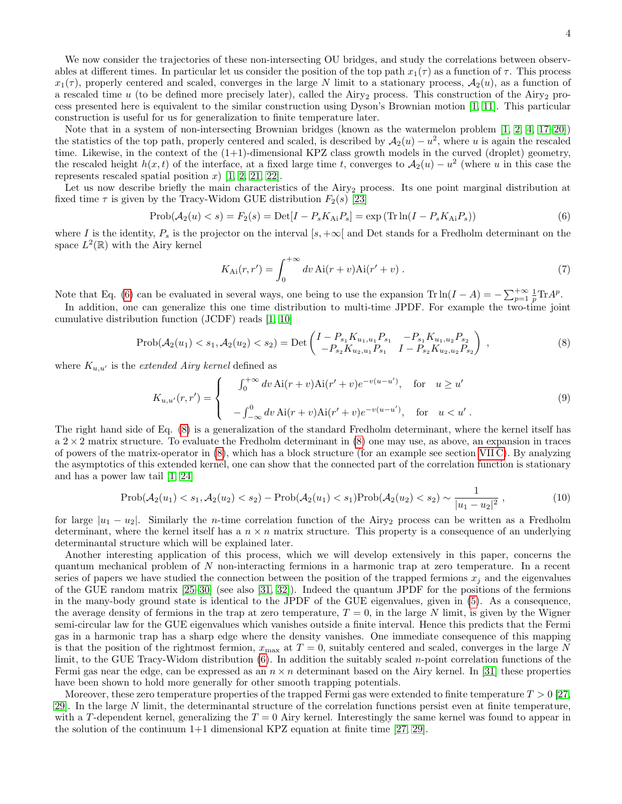4

We now consider the trajectories of these non-intersecting OU bridges, and study the correlations between observables at different times. In particular let us consider the position of the top path  $x_1(\tau)$  as a function of  $\tau$ . This process  $x_1(\tau)$ , properly centered and scaled, converges in the large N limit to a stationary process,  $A_2(u)$ , as a function of a rescaled time  $u$  (to be defined more precisely later), called the Airy<sub>2</sub> process. This construction of the Airy<sub>2</sub> process presented here is equivalent to the similar construction using Dyson's Brownian motion [\[1,](#page-31-1) [11\]](#page-31-11). This particular construction is useful for us for generalization to finite temperature later.

Note that in a system of non-intersecting Brownian bridges (known as the watermelon problem [\[1,](#page-31-1) [2,](#page-31-2) [4,](#page-31-4) [17–](#page-31-17)[20\]](#page-31-18)) the statistics of the top path, properly centered and scaled, is described by  $A_2(u) - u^2$ , where u is again the rescaled time. Likewise, in the context of the (1+1)-dimensional KPZ class growth models in the curved (droplet) geometry, the rescaled height  $h(x, t)$  of the interface, at a fixed large time t, converges to  $A_2(u) - u^2$  (where u in this case the represents rescaled spatial position x  $[1, 2, 21, 22]$  $[1, 2, 21, 22]$  $[1, 2, 21, 22]$  $[1, 2, 21, 22]$ .

Let us now describe briefly the main characteristics of the Airy<sub>2</sub> process. Its one point marginal distribution at fixed time  $\tau$  is given by the Tracy-Widom GUE distribution  $F_2(s)$  [\[23\]](#page-31-21)

<span id="page-3-0"></span>
$$
Prob(\mathcal{A}_2(u) < s) = F_2(s) = Det[I - P_s K_{Ai} P_s] = \exp\left(\text{Tr}\ln(I - P_s K_{Ai} P_s)\right) \tag{6}
$$

where I is the identity,  $P_s$  is the projector on the interval  $[s, +\infty[$  and Det stands for a Fredholm determinant on the space  $L^2(\mathbb{R})$  with the Airy kernel

$$
K_{\text{Ai}}(r,r') = \int_0^{+\infty} dv \,\text{Ai}(r+v)\text{Ai}(r'+v) \,. \tag{7}
$$

Note that Eq. [\(6\)](#page-3-0) can be evaluated in several ways, one being to use the expansion  $\text{Tr} \ln(I - A) = -\sum_{p=1}^{+\infty} \frac{1}{p} \text{Tr} A^p$ .

In addition, one can generalize this one time distribution to multi-time JPDF. For example the two-time joint cumulative distribution function (JCDF) reads [\[1,](#page-31-1) [10\]](#page-31-10)

<span id="page-3-1"></span>
$$
Prob(\mathcal{A}_2(u_1) < s_1, \mathcal{A}_2(u_2) < s_2) = Det\begin{pmatrix} I - P_{s_1} K_{u_1, u_1} P_{s_1} & -P_{s_1} K_{u_1, u_2} P_{s_2} \\ -P_{s_2} K_{u_2, u_1} P_{s_1} & I - P_{s_2} K_{u_2, u_2} P_{s_2} \end{pmatrix},\tag{8}
$$

where  $K_{u,u'}$  is the *extended Airy kernel* defined as

$$
K_{u,u'}(r,r') = \begin{cases} \int_0^{+\infty} dv \, \text{Ai}(r+v) \text{Ai}(r'+v)e^{-v(u-u')}, & \text{for } u \ge u' \\ -\int_{-\infty}^0 dv \, \text{Ai}(r+v) \text{Ai}(r'+v)e^{-v(u-u')}, & \text{for } u < u' \end{cases} \tag{9}
$$

The right hand side of Eq. [\(8\)](#page-3-1) is a generalization of the standard Fredholm determinant, where the kernel itself has  $a$  2  $\times$  2 matrix structure. To evaluate the Fredholm determinant in [\(8\)](#page-3-1) one may use, as above, an expansion in traces of powers of the matrix-operator in [\(8\)](#page-3-1), which has a block structure (for an example see section [VII C\)](#page-18-0). By analyzing the asymptotics of this extended kernel, one can show that the connected part of the correlation function is stationary and has a power law tail [\[1,](#page-31-1) [24\]](#page-31-22)

$$
\text{Prob}(\mathcal{A}_2(u_1) < s_1, \mathcal{A}_2(u_2) < s_2) - \text{Prob}(\mathcal{A}_2(u_1) < s_1) \text{Prob}(\mathcal{A}_2(u_2) < s_2) \sim \frac{1}{|u_1 - u_2|^2},\tag{10}
$$

for large  $|u_1 - u_2|$ . Similarly the *n*-time correlation function of the Airy<sub>2</sub> process can be written as a Fredholm determinant, where the kernel itself has a  $n \times n$  matrix structure. This property is a consequence of an underlying determinantal structure which will be explained later.

Another interesting application of this process, which we will develop extensively in this paper, concerns the quantum mechanical problem of N non-interacting fermions in a harmonic trap at zero temperature. In a recent series of papers we have studied the connection between the position of the trapped fermions  $x_j$  and the eigenvalues of the GUE random matrix [\[25–](#page-31-23)[30\]](#page-31-24) (see also [\[31,](#page-31-25) [32\]](#page-31-26)). Indeed the quantum JPDF for the positions of the fermions in the many-body ground state is identical to the JPDF of the GUE eigenvalues, given in [\(5\)](#page-2-5). As a consequence, the average density of fermions in the trap at zero temperature,  $T = 0$ , in the large N limit, is given by the Wigner semi-circular law for the GUE eigenvalues which vanishes outside a finite interval. Hence this predicts that the Fermi gas in a harmonic trap has a sharp edge where the density vanishes. One immediate consequence of this mapping is that the position of the rightmost fermion,  $x_{\text{max}}$  at  $T = 0$ , suitably centered and scaled, converges in the large N limit, to the GUE Tracy-Widom distribution  $(6)$ . In addition the suitably scaled *n*-point correlation functions of the Fermi gas near the edge, can be expressed as an  $n \times n$  determinant based on the Airy kernel. In [\[31\]](#page-31-25) these properties have been shown to hold more generally for other smooth trapping potentials.

Moreover, these zero temperature properties of the trapped Fermi gas were extended to finite temperature  $T > 0$  [\[27,](#page-31-27) 29. In the large  $N$  limit, the determinantal structure of the correlation functions persist even at finite temperature, with a T-dependent kernel, generalizing the  $T = 0$  Airy kernel. Interestingly the same kernel was found to appear in the solution of the continuum  $1+1$  dimensional KPZ equation at finite time [\[27,](#page-31-27) [29\]](#page-31-28).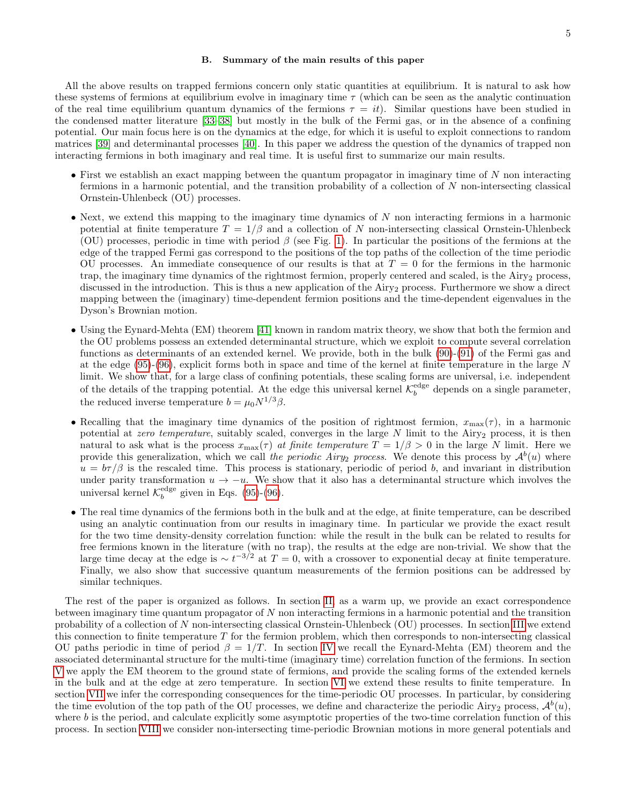# <span id="page-4-0"></span>B. Summary of the main results of this paper

All the above results on trapped fermions concern only static quantities at equilibrium. It is natural to ask how these systems of fermions at equilibrium evolve in imaginary time  $\tau$  (which can be seen as the analytic continuation of the real time equilibrium quantum dynamics of the fermions  $\tau = it$ ). Similar questions have been studied in the condensed matter literature [\[33–](#page-31-29)[38\]](#page-32-0) but mostly in the bulk of the Fermi gas, or in the absence of a confining potential. Our main focus here is on the dynamics at the edge, for which it is useful to exploit connections to random matrices [\[39\]](#page-32-1) and determinantal processes [\[40\]](#page-32-2). In this paper we address the question of the dynamics of trapped non interacting fermions in both imaginary and real time. It is useful first to summarize our main results.

- First we establish an exact mapping between the quantum propagator in imaginary time of  $N$  non interacting fermions in a harmonic potential, and the transition probability of a collection of N non-intersecting classical Ornstein-Uhlenbeck (OU) processes.
- Next, we extend this mapping to the imaginary time dynamics of  $N$  non interacting fermions in a harmonic potential at finite temperature  $T = 1/\beta$  and a collection of N non-intersecting classical Ornstein-Uhlenbeck (OU) processes, periodic in time with period  $\beta$  (see Fig. [1\)](#page-8-0). In particular the positions of the fermions at the edge of the trapped Fermi gas correspond to the positions of the top paths of the collection of the time periodic OU processes. An immediate consequence of our results is that at  $T = 0$  for the fermions in the harmonic trap, the imaginary time dynamics of the rightmost fermion, properly centered and scaled, is the Airy<sub>2</sub> process, discussed in the introduction. This is thus a new application of the Airy<sub>2</sub> process. Furthermore we show a direct mapping between the (imaginary) time-dependent fermion positions and the time-dependent eigenvalues in the Dyson's Brownian motion.
- Using the Eynard-Mehta (EM) theorem [\[41\]](#page-32-3) known in random matrix theory, we show that both the fermion and the OU problems possess an extended determinantal structure, which we exploit to compute several correlation functions as determinants of an extended kernel. We provide, both in the bulk [\(90\)](#page-15-1)-[\(91\)](#page-15-1) of the Fermi gas and at the edge  $(95)-(96)$  $(95)-(96)$  $(95)-(96)$ , explicit forms both in space and time of the kernel at finite temperature in the large N limit. We show that, for a large class of confining potentials, these scaling forms are universal, i.e. independent of the details of the trapping potential. At the edge this universal kernel  $\mathcal{K}_b^{\text{edge}}$  depends on a single parameter, the reduced inverse temperature  $b = \mu_0 N^{1/3} \beta$ .
- Recalling that the imaginary time dynamics of the position of rightmost fermion,  $x_{\text{max}}(\tau)$ , in a harmonic potential at zero temperature, suitably scaled, converges in the large  $N$  limit to the Airy<sub>2</sub> process, it is then natural to ask what is the process  $x_{\text{max}}(\tau)$  at finite temperature  $T = 1/\beta > 0$  in the large N limit. Here we provide this generalization, which we call the periodic Airy<sub>2</sub> process. We denote this process by  $\mathcal{A}^b(u)$  where  $u = b\tau/\beta$  is the rescaled time. This process is stationary, periodic of period b, and invariant in distribution under parity transformation  $u \to -u$ . We show that it also has a determinantal structure which involves the universal kernel  $\mathcal{K}_b^{\text{edge}}$  given in Eqs. [\(95\)](#page-16-2)-[\(96\)](#page-16-3).
- The real time dynamics of the fermions both in the bulk and at the edge, at finite temperature, can be described using an analytic continuation from our results in imaginary time. In particular we provide the exact result for the two time density-density correlation function: while the result in the bulk can be related to results for free fermions known in the literature (with no trap), the results at the edge are non-trivial. We show that the large time decay at the edge is  $\sim t^{-3/2}$  at  $T = 0$ , with a crossover to exponential decay at finite temperature. Finally, we also show that successive quantum measurements of the fermion positions can be addressed by similar techniques.

The rest of the paper is organized as follows. In section [II,](#page-5-0) as a warm up, we provide an exact correspondence between imaginary time quantum propagator of N non interacting fermions in a harmonic potential and the transition probability of a collection of N non-intersecting classical Ornstein-Uhlenbeck (OU) processes. In section [III](#page-7-0) we extend this connection to finite temperature  $T$  for the fermion problem, which then corresponds to non-intersecting classical OU paths periodic in time of period  $\beta = 1/T$ . In section [IV](#page-9-0) we recall the Eynard-Mehta (EM) theorem and the associated determinantal structure for the multi-time (imaginary time) correlation function of the fermions. In section [V](#page-11-0) we apply the EM theorem to the ground state of fermions, and provide the scaling forms of the extended kernels in the bulk and at the edge at zero temperature. In section [VI](#page-13-0) we extend these results to finite temperature. In section [VII](#page-16-0) we infer the corresponding consequences for the time-periodic OU processes. In particular, by considering the time evolution of the top path of the OU processes, we define and characterize the periodic Airy<sub>2</sub> process,  $\mathcal{A}^b(u)$ , where  $b$  is the period, and calculate explicitly some asymptotic properties of the two-time correlation function of this process. In section [VIII](#page-21-0) we consider non-intersecting time-periodic Brownian motions in more general potentials and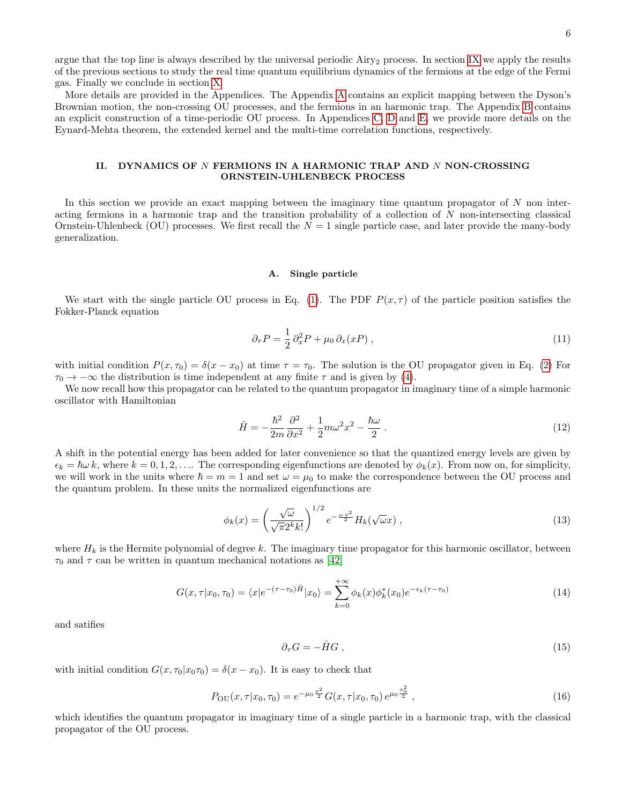argue that the top line is always described by the universal periodic Airy<sub>2</sub> process. In section [IX](#page-21-1) we apply the results of the previous sections to study the real time quantum equilibrium dynamics of the fermions at the edge of the Fermi gas. Finally we conclude in section [X.](#page-27-0)

More details are provided in the Appendices. The Appendix [A](#page-28-1) contains an explicit mapping between the Dyson's Brownian motion, the non-crossing OU processes, and the fermions in an harmonic trap. The Appendix [B](#page-29-0) contains an explicit construction of a time-periodic OU process. In Appendices [C,](#page-29-3) [D](#page-30-0) and [E,](#page-30-1) we provide more details on the Eynard-Mehta theorem, the extended kernel and the multi-time correlation functions, respectively.

# <span id="page-5-0"></span>II. DYNAMICS OF N FERMIONS IN A HARMONIC TRAP AND N NON-CROSSING ORNSTEIN-UHLENBECK PROCESS

In this section we provide an exact mapping between the imaginary time quantum propagator of N non interacting fermions in a harmonic trap and the transition probability of a collection of N non-intersecting classical Ornstein-Uhlenbeck (OU) processes. We first recall the  $N = 1$  single particle case, and later provide the many-body generalization.

# <span id="page-5-1"></span>A. Single particle

We start with the single particle OU process in Eq. [\(1\)](#page-2-6). The PDF  $P(x, \tau)$  of the particle position satisfies the Fokker-Planck equation

$$
\partial_{\tau} P = \frac{1}{2} \partial_x^2 P + \mu_0 \partial_x (xP) , \qquad (11)
$$

with initial condition  $P(x, \tau_0) = \delta(x - x_0)$  at time  $\tau = \tau_0$ . The solution is the OU propagator given in Eq. [\(2\)](#page-2-2) For  $\tau_0 \rightarrow -\infty$  the distribution is time independent at any finite  $\tau$  and is given by [\(4\)](#page-2-4).

We now recall how this propagator can be related to the quantum propagator in imaginary time of a simple harmonic oscillator with Hamiltonian

<span id="page-5-2"></span>
$$
\hat{H} = -\frac{\hbar^2}{2m} \frac{\partial^2}{\partial x^2} + \frac{1}{2} m \omega^2 x^2 - \frac{\hbar \omega}{2} \,. \tag{12}
$$

A shift in the potential energy has been added for later convenience so that the quantized energy levels are given by  $\epsilon_k = \hbar \omega k$ , where  $k = 0, 1, 2, \ldots$  The corresponding eigenfunctions are denoted by  $\phi_k(x)$ . From now on, for simplicity, we will work in the units where  $\hbar = m = 1$  and set  $\omega = \mu_0$  to make the correspondence between the OU process and the quantum problem. In these units the normalized eigenfunctions are

$$
\phi_k(x) = \left(\frac{\sqrt{\omega}}{\sqrt{\pi}2^k k!}\right)^{1/2} e^{-\frac{\omega x^2}{2}} H_k(\sqrt{\omega}x) , \qquad (13)
$$

where  $H_k$  is the Hermite polynomial of degree k. The imaginary time propagator for this harmonic oscillator, between  $\tau_0$  and  $\tau$  can be written in quantum mechanical notations as [\[42\]](#page-32-4)

<span id="page-5-3"></span>
$$
G(x,\tau|x_0,\tau_0) = \langle x|e^{-(\tau-\tau_0)\hat{H}}|x_0\rangle = \sum_{k=0}^{+\infty} \phi_k(x)\phi_k^*(x_0)e^{-\epsilon_k(\tau-\tau_0)}
$$
(14)

and satifies

$$
\partial_{\tau} G = -\hat{H} G \,, \tag{15}
$$

with initial condition  $G(x, \tau_0|x_0\tau_0) = \delta(x-x_0)$ . It is easy to check that

<span id="page-5-4"></span>
$$
P_{\text{OU}}(x,\tau|x_0,\tau_0) = e^{-\mu_0 \frac{x^2}{2}} G(x,\tau|x_0,\tau_0) e^{\mu_0 \frac{x_0^2}{2}}, \qquad (16)
$$

which identifies the quantum propagator in imaginary time of a single particle in a harmonic trap, with the classical propagator of the OU process.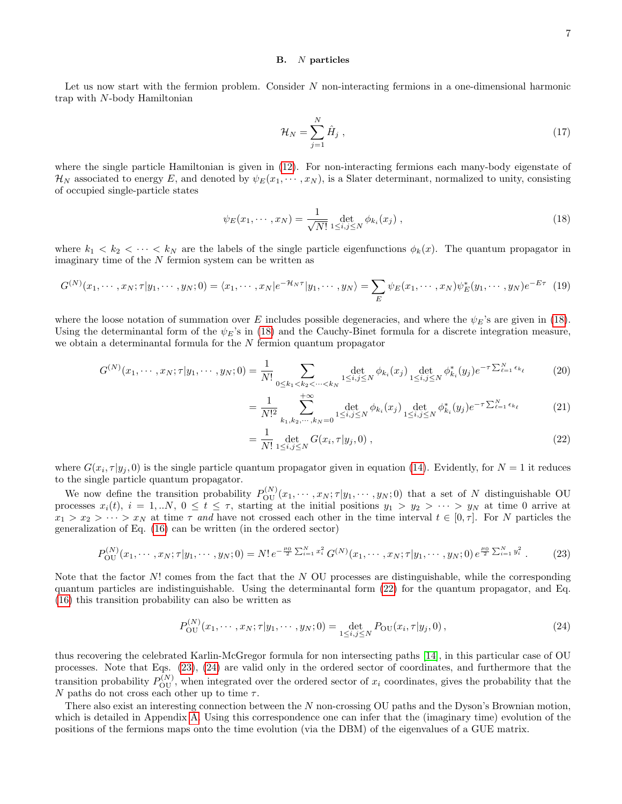#### <span id="page-6-0"></span>B. N particles

Let us now start with the fermion problem. Consider N non-interacting fermions in a one-dimensional harmonic trap with N-body Hamiltonian

<span id="page-6-5"></span>
$$
\mathcal{H}_N = \sum_{j=1}^N \hat{H}_j \;, \tag{17}
$$

where the single particle Hamiltonian is given in [\(12\)](#page-5-2). For non-interacting fermions each many-body eigenstate of  $\mathcal{H}_N$  associated to energy E, and denoted by  $\psi_E(x_1, \dots, x_N)$ , is a Slater determinant, normalized to unity, consisting of occupied single-particle states

<span id="page-6-1"></span>
$$
\psi_E(x_1, \cdots, x_N) = \frac{1}{\sqrt{N!}} \det_{1 \le i, j \le N} \phi_{k_i}(x_j) ,
$$
\n(18)

where  $k_1 < k_2 < \cdots < k_N$  are the labels of the single particle eigenfunctions  $\phi_k(x)$ . The quantum propagator in imaginary time of the  $N$  fermion system can be written as

<span id="page-6-6"></span>
$$
G^{(N)}(x_1,\dots,x_N;\tau|y_1,\dots,y_N;0) = \langle x_1,\dots,x_N|e^{-\mathcal{H}_N\tau}|y_1,\dots,y_N\rangle = \sum_E \psi_E(x_1,\dots,x_N)\psi_E^*(y_1,\dots,y_N)e^{-E\tau}
$$
(19)

where the loose notation of summation over E includes possible degeneracies, and where the  $\psi_E$ 's are given in [\(18\)](#page-6-1). Using the determinantal form of the  $\psi_E$ 's in [\(18\)](#page-6-1) and the Cauchy-Binet formula for a discrete integration measure, we obtain a determinantal formula for the N fermion quantum propagator

<span id="page-6-2"></span>
$$
G^{(N)}(x_1, \cdots, x_N; \tau | y_1, \cdots, y_N; 0) = \frac{1}{N!} \sum_{0 \le k_1 < k_2 < \cdots < k_N} \det_{1 \le i, j \le N} \phi_{k_i}(x_j) \det_{1 \le i, j \le N} \phi_{k_i}^*(y_j) e^{-\tau \sum_{\ell=1}^N \epsilon_{k_\ell}} \tag{20}
$$

$$
= \frac{1}{N!^2} \sum_{k_1, k_2, \cdots, k_N = 0}^{+\infty} \det_{1 \le i, j \le N} \phi_{k_i}(x_j) \det_{1 \le i, j \le N} \phi_{k_i}^*(y_j) e^{-\tau \sum_{\ell=1}^N \epsilon_{k_\ell}} \tag{21}
$$

$$
= \frac{1}{N!} \det_{1 \le i,j \le N} G(x_i, \tau | y_j, 0) , \qquad (22)
$$

where  $G(x_i, \tau | y_j, 0)$  is the single particle quantum propagator given in equation [\(14\)](#page-5-3). Evidently, for  $N = 1$  it reduces to the single particle quantum propagator.

=

We now define the transition probability  $P_{\text{OU}}^{(N)}(x_1,\dots,x_N;\tau|y_1,\dots,y_N;0)$  that a set of N distinguishable OU processes  $x_i(t)$ ,  $i = 1,..N$ ,  $0 \le t \le \tau$ , starting at the initial positions  $y_1 > y_2 > \cdots > y_N$  at time 0 arrive at  $x_1 > x_2 > \cdots > x_N$  at time  $\tau$  and have not crossed each other in the time interval  $t \in [0, \tau]$ . For N particles the generalization of Eq. [\(16\)](#page-5-4) can be written (in the ordered sector)

<span id="page-6-3"></span>
$$
P_{\text{OU}}^{(N)}(x_1,\cdots,x_N;\tau|y_1,\cdots,y_N;0) = N! \, e^{-\frac{\mu_0}{2} \sum_{i=1}^N x_i^2} \, G^{(N)}(x_1,\cdots,x_N;\tau|y_1,\cdots,y_N;0) \, e^{\frac{\mu_0}{2} \sum_{i=1}^N y_i^2} \,. \tag{23}
$$

Note that the factor  $N!$  comes from the fact that the  $N$  OU processes are distinguishable, while the corresponding quantum particles are indistinguishable. Using the determinantal form [\(22\)](#page-6-2) for the quantum propagator, and Eq. [\(16\)](#page-5-4) this transition probability can also be written as

<span id="page-6-4"></span>
$$
P_{\text{OU}}^{(N)}(x_1, \cdots, x_N; \tau | y_1, \cdots, y_N; 0) = \det_{1 \le i, j \le N} P_{\text{OU}}(x_i, \tau | y_j, 0), \qquad (24)
$$

thus recovering the celebrated Karlin-McGregor formula for non intersecting paths [\[14\]](#page-31-14), in this particular case of OU processes. Note that Eqs. [\(23\)](#page-6-3), [\(24\)](#page-6-4) are valid only in the ordered sector of coordinates, and furthermore that the transition probability  $P_{\text{OU}}^{(N)}$ , when integrated over the ordered sector of  $x_i$  coordinates, gives the probability that the N paths do not cross each other up to time  $\tau$ .

There also exist an interesting connection between the N non-crossing OU paths and the Dyson's Brownian motion, which is detailed in Appendix [A.](#page-28-1) Using this correspondence one can infer that the (imaginary time) evolution of the positions of the fermions maps onto the time evolution (via the DBM) of the eigenvalues of a GUE matrix.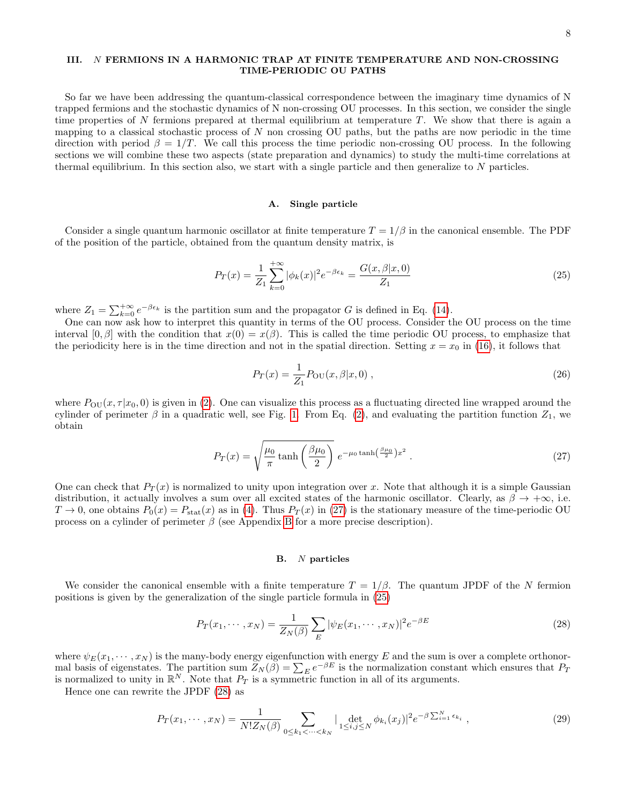# <span id="page-7-0"></span>III. N FERMIONS IN A HARMONIC TRAP AT FINITE TEMPERATURE AND NON-CROSSING TIME-PERIODIC OU PATHS

So far we have been addressing the quantum-classical correspondence between the imaginary time dynamics of N trapped fermions and the stochastic dynamics of N non-crossing OU processes. In this section, we consider the single time properties of N fermions prepared at thermal equilibrium at temperature T. We show that there is again a mapping to a classical stochastic process of  $N$  non crossing OU paths, but the paths are now periodic in the time direction with period  $\beta = 1/T$ . We call this process the time periodic non-crossing OU process. In the following sections we will combine these two aspects (state preparation and dynamics) to study the multi-time correlations at thermal equilibrium. In this section also, we start with a single particle and then generalize to  $N$  particles.

#### <span id="page-7-1"></span>A. Single particle

Consider a single quantum harmonic oscillator at finite temperature  $T = 1/\beta$  in the canonical ensemble. The PDF of the position of the particle, obtained from the quantum density matrix, is

<span id="page-7-4"></span>
$$
P_T(x) = \frac{1}{Z_1} \sum_{k=0}^{+\infty} |\phi_k(x)|^2 e^{-\beta \epsilon_k} = \frac{G(x, \beta | x, 0)}{Z_1}
$$
\n(25)

where  $Z_1 = \sum_{k=0}^{+\infty} e^{-\beta \epsilon_k}$  is the partition sum and the propagator G is defined in Eq. [\(14\)](#page-5-3).

One can now ask how to interpret this quantity in terms of the OU process. Consider the OU process on the time interval [0, β] with the condition that  $x(0) = x(\beta)$ . This is called the time periodic OU process, to emphasize that the periodicity here is in the time direction and not in the spatial direction. Setting  $x = x_0$  in [\(16\)](#page-5-4), it follows that

<span id="page-7-6"></span>
$$
P_T(x) = \frac{1}{Z_1} P_{\text{OU}}(x, \beta | x, 0) \,, \tag{26}
$$

where  $P_{\text{OU}}(x, \tau | x_0, 0)$  is given in [\(2\)](#page-2-2). One can visualize this process as a fluctuating directed line wrapped around the cylinder of perimeter  $\beta$  in a quadratic well, see Fig. [1.](#page-8-0) From Eq. [\(2\)](#page-2-2), and evaluating the partition function  $Z_1$ , we obtain

<span id="page-7-3"></span>
$$
P_T(x) = \sqrt{\frac{\mu_0}{\pi} \tanh\left(\frac{\beta\mu_0}{2}\right)} e^{-\mu_0 \tanh\left(\frac{\beta\mu_0}{2}\right)x^2} . \tag{27}
$$

One can check that  $P_T(x)$  is normalized to unity upon integration over x. Note that although it is a simple Gaussian distribution, it actually involves a sum over all excited states of the harmonic oscillator. Clearly, as  $\beta \to +\infty$ , i.e.  $T \to 0$ , one obtains  $P_0(x) = P_{\text{stat}}(x)$  as in [\(4\)](#page-2-4). Thus  $P_T(x)$  in [\(27\)](#page-7-3) is the stationary measure of the time-periodic OU process on a cylinder of perimeter  $\beta$  (see Appendix [B](#page-29-0) for a more precise description).

# <span id="page-7-2"></span>B. N particles

We consider the canonical ensemble with a finite temperature  $T = 1/\beta$ . The quantum JPDF of the N fermion positions is given by the generalization of the single particle formula in [\(25\)](#page-7-4)

<span id="page-7-5"></span>
$$
P_T(x_1, \dots, x_N) = \frac{1}{Z_N(\beta)} \sum_E |\psi_E(x_1, \dots, x_N)|^2 e^{-\beta E}
$$
 (28)

where  $\psi_E(x_1, \dots, x_N)$  is the many-body energy eigenfunction with energy E and the sum is over a complete orthonormal basis of eigenstates. The partition sum  $Z_N(\beta) = \sum_E e^{-\beta E}$  is the normalization constant which ensures that  $P_T$ is normalized to unity in  $\mathbb{R}^N$ . Note that  $P_T$  is a symmetric function in all of its arguments.

Hence one can rewrite the JPDF [\(28\)](#page-7-5) as

$$
P_T(x_1, \cdots, x_N) = \frac{1}{N! Z_N(\beta)} \sum_{0 \le k_1 < \cdots < k_N} |\det_{1 \le i, j \le N} \phi_{k_i}(x_j)|^2 e^{-\beta \sum_{i=1}^N \epsilon_{k_i}}, \tag{29}
$$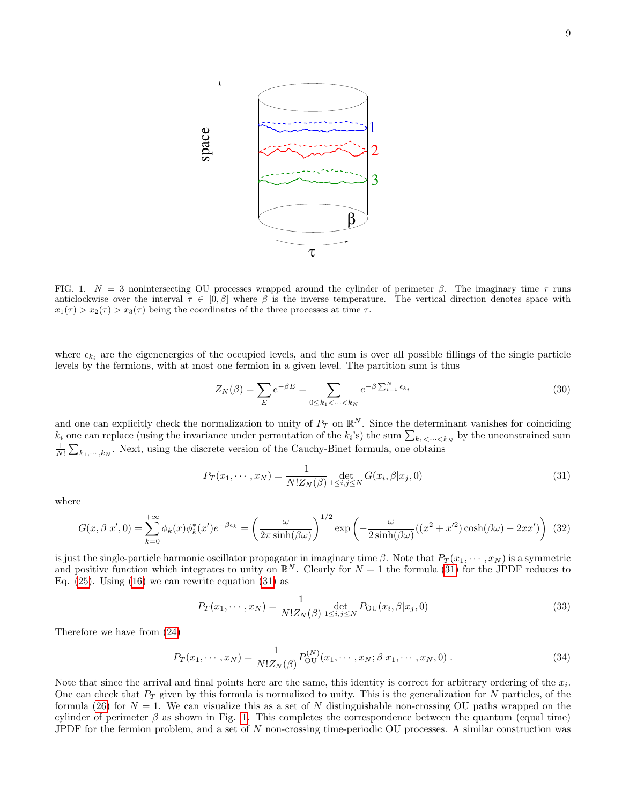

<span id="page-8-0"></span>FIG. 1.  $N = 3$  nonintersecting OU processes wrapped around the cylinder of perimeter  $\beta$ . The imaginary time  $\tau$  runs anticlockwise over the interval  $\tau \in [0,\beta]$  where  $\beta$  is the inverse temperature. The vertical direction denotes space with  $x_1(\tau) > x_2(\tau) > x_3(\tau)$  being the coordinates of the three processes at time  $\tau$ .

where  $\epsilon_{k_i}$  are the eigenenergies of the occupied levels, and the sum is over all possible fillings of the single particle levels by the fermions, with at most one fermion in a given level. The partition sum is thus

$$
Z_N(\beta) = \sum_E e^{-\beta E} = \sum_{0 \le k_1 < \dots < k_N} e^{-\beta \sum_{i=1}^N \epsilon_{k_i}} \tag{30}
$$

and one can explicitly check the normalization to unity of  $P_T$  on  $\mathbb{R}^N$ . Since the determinant vanishes for coinciding  $k_i$  one can replace (using the invariance under permutation of the  $k_i$ 's) the sum  $\sum_{k_1 \leq \dots \leq k_N}$  by the unconstrained sum  $\frac{1}{N!} \sum_{k_1,\dots,k_N}$ . Next, using the discrete version of the Cauchy-Binet formula, one obtains

<span id="page-8-1"></span>
$$
P_T(x_1, \dots, x_N) = \frac{1}{N! Z_N(\beta)} \det_{1 \le i, j \le N} G(x_i, \beta | x_j, 0)
$$
\n(31)

where

<span id="page-8-4"></span>
$$
G(x,\beta|x',0) = \sum_{k=0}^{+\infty} \phi_k(x)\phi_k^*(x')e^{-\beta\epsilon_k} = \left(\frac{\omega}{2\pi\sinh(\beta\omega)}\right)^{1/2} \exp\left(-\frac{\omega}{2\sinh(\beta\omega)}((x^2+x'^2)\cosh(\beta\omega)-2xx')\right)
$$
(32)

is just the single-particle harmonic oscillator propagator in imaginary time  $\beta$ . Note that  $P_T(x_1, \dots, x_N)$  is a symmetric and positive function which integrates to unity on  $\mathbb{R}^N$ . Clearly for  $N = 1$  the formula [\(31\)](#page-8-1) for the JPDF reduces to Eq.  $(25)$ . Using  $(16)$  we can rewrite equation  $(31)$  as

<span id="page-8-2"></span>
$$
P_T(x_1, \cdots, x_N) = \frac{1}{N! Z_N(\beta)} \det_{1 \le i, j \le N} P_{\text{OU}}(x_i, \beta | x_j, 0)
$$
\n(33)

Therefore we have from [\(24\)](#page-6-4)

<span id="page-8-3"></span>
$$
P_T(x_1, \cdots, x_N) = \frac{1}{N! Z_N(\beta)} P_{\text{OU}}^{(N)}(x_1, \cdots, x_N; \beta | x_1, \cdots, x_N, 0) \,. \tag{34}
$$

Note that since the arrival and final points here are the same, this identity is correct for arbitrary ordering of the  $x_i$ . One can check that  $P_T$  given by this formula is normalized to unity. This is the generalization for N particles, of the formula [\(26\)](#page-7-6) for  $N = 1$ . We can visualize this as a set of N distinguishable non-crossing OU paths wrapped on the cylinder of perimeter  $\beta$  as shown in Fig. [1.](#page-8-0) This completes the correspondence between the quantum (equal time) JPDF for the fermion problem, and a set of N non-crossing time-periodic OU processes. A similar construction was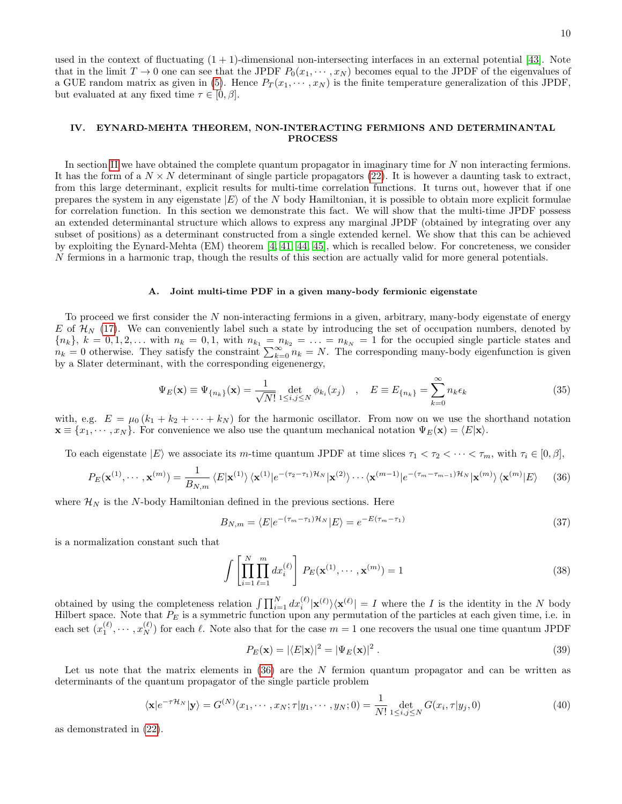used in the context of fluctuating  $(1 + 1)$ -dimensional non-intersecting interfaces in an external potential [\[43\]](#page-32-5). Note that in the limit  $T \to 0$  one can see that the JPDF  $P_0(x_1, \dots, x_N)$  becomes equal to the JPDF of the eigenvalues of a GUE random matrix as given in [\(5\)](#page-2-5). Hence  $P_T(x_1, \dots, x_N)$  is the finite temperature generalization of this JPDF, but evaluated at any fixed time  $\tau \in [0, \beta]$ .

# <span id="page-9-0"></span>IV. EYNARD-MEHTA THEOREM, NON-INTERACTING FERMIONS AND DETERMINANTAL PROCESS

In section [II](#page-5-0) we have obtained the complete quantum propagator in imaginary time for N non interacting fermions. It has the form of a  $N \times N$  determinant of single particle propagators [\(22\)](#page-6-2). It is however a daunting task to extract, from this large determinant, explicit results for multi-time correlation functions. It turns out, however that if one prepares the system in any eigenstate  $|E\rangle$  of the N body Hamiltonian, it is possible to obtain more explicit formulae for correlation function. In this section we demonstrate this fact. We will show that the multi-time JPDF possess an extended determinantal structure which allows to express any marginal JPDF (obtained by integrating over any subset of positions) as a determinant constructed from a single extended kernel. We show that this can be achieved by exploiting the Eynard-Mehta (EM) theorem [\[4,](#page-31-4) [41,](#page-32-3) [44,](#page-32-6) [45\]](#page-32-7), which is recalled below. For concreteness, we consider N fermions in a harmonic trap, though the results of this section are actually valid for more general potentials.

#### <span id="page-9-1"></span>A. Joint multi-time PDF in a given many-body fermionic eigenstate

To proceed we first consider the  $N$  non-interacting fermions in a given, arbitrary, many-body eigenstate of energy E of  $\mathcal{H}_N$  [\(17\)](#page-6-5). We can conveniently label such a state by introducing the set of occupation numbers, denoted by  ${n_k}$ ,  $k = 0, 1, 2, \ldots$  with  $n_k = 0, 1$ , with  $n_{k_1} = n_{k_2} = \ldots = n_{k_N} = 1$  for the occupied single particle states and  $n_k = 0$  otherwise. They satisfy the constraint  $\sum_{k=0}^{\infty} n_k = N$ . The corresponding many-body eigenfunction is given by a Slater determinant, with the corresponding eigenenergy,

$$
\Psi_E(\mathbf{x}) \equiv \Psi_{\{n_k\}}(\mathbf{x}) = \frac{1}{\sqrt{N!}} \det_{1 \le i,j \le N} \phi_{k_i}(x_j) \quad , \quad E \equiv E_{\{n_k\}} = \sum_{k=0}^{\infty} n_k \epsilon_k \tag{35}
$$

with, e.g.  $E = \mu_0 (k_1 + k_2 + \cdots + k_N)$  for the harmonic oscillator. From now on we use the shorthand notation  $\mathbf{x} \equiv \{x_1, \dots, x_N\}$ . For convenience we also use the quantum mechanical notation  $\Psi_E(\mathbf{x}) = \langle E|\mathbf{x}\rangle$ .

To each eigenstate  $|E\rangle$  we associate its m-time quantum JPDF at time slices  $\tau_1 < \tau_2 < \cdots < \tau_m$ , with  $\tau_i \in [0, \beta],$ 

<span id="page-9-2"></span>
$$
P_E(\mathbf{x}^{(1)},\cdots,\mathbf{x}^{(m)}) = \frac{1}{B_{N,m}} \langle E|\mathbf{x}^{(1)}\rangle \langle \mathbf{x}^{(1)}|e^{-(\tau_2-\tau_1)\mathcal{H}_N}|\mathbf{x}^{(2)}\rangle \cdots \langle \mathbf{x}^{(m-1)}|e^{-(\tau_m-\tau_{m-1})\mathcal{H}_N}|\mathbf{x}^{(m)}\rangle \langle \mathbf{x}^{(m)}|E\rangle \tag{36}
$$

where  $\mathcal{H}_N$  is the N-body Hamiltonian defined in the previous sections. Here

<span id="page-9-3"></span>
$$
B_{N,m} = \langle E|e^{-(\tau_m - \tau_1)\mathcal{H}_N}|E\rangle = e^{-E(\tau_m - \tau_1)}\tag{37}
$$

is a normalization constant such that

$$
\int \left[ \prod_{i=1}^{N} \prod_{\ell=1}^{m} dx_i^{(\ell)} \right] P_E(\mathbf{x}^{(1)}, \cdots, \mathbf{x}^{(m)}) = 1
$$
\n(38)

obtained by using the completeness relation  $\int \prod_{i=1}^N dx_i^{(\ell)} |\mathbf{x}^{(\ell)}\rangle \langle \mathbf{x}^{(\ell)}| = I$  where the I is the identity in the N body Hilbert space. Note that  $P_E$  is a symmetric function upon any permutation of the particles at each given time, i.e. in each set  $(x_1^{(\ell)}, \dots, x_N^{(\ell)})$  for each  $\ell$ . Note also that for the case  $m=1$  one recovers the usual one time quantum JPDF

<span id="page-9-4"></span>
$$
P_E(\mathbf{x}) = |\langle E|\mathbf{x}\rangle|^2 = |\Psi_E(\mathbf{x})|^2.
$$
\n(39)

Let us note that the matrix elements in  $(36)$  are the N fermion quantum propagator and can be written as determinants of the quantum propagator of the single particle problem

$$
\langle \mathbf{x} | e^{-\tau \mathcal{H}_N} | \mathbf{y} \rangle = G^{(N)}(x_1, \cdots, x_N; \tau | y_1, \cdots, y_N; 0) = \frac{1}{N!} \det_{1 \le i, j \le N} G(x_i, \tau | y_j, 0)
$$
(40)

as demonstrated in [\(22\)](#page-6-2).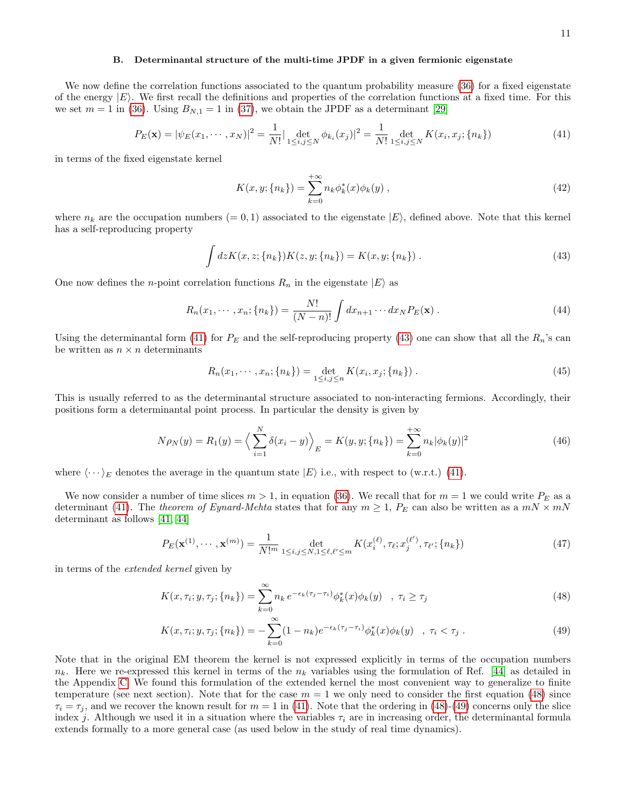#### <span id="page-10-0"></span>B. Determinantal structure of the multi-time JPDF in a given fermionic eigenstate

We now define the correlation functions associated to the quantum probability measure [\(36\)](#page-9-2) for a fixed eigenstate of the energy  $|E\rangle$ . We first recall the definitions and properties of the correlation functions at a fixed time. For this we set  $m = 1$  in [\(36\)](#page-9-2). Using  $B_{N,1} = 1$  in [\(37\)](#page-9-3), we obtain the JPDF as a determinant [\[29\]](#page-31-28)

<span id="page-10-1"></span>
$$
P_E(\mathbf{x}) = |\psi_E(x_1, \cdots, x_N)|^2 = \frac{1}{N!} |\det_{1 \le i, j \le N} \phi_{k_i}(x_j)|^2 = \frac{1}{N!} \det_{1 \le i, j \le N} K(x_i, x_j; \{n_k\})
$$
(41)

in terms of the fixed eigenstate kernel

$$
K(x, y; \{n_k\}) = \sum_{k=0}^{+\infty} n_k \phi_k^*(x) \phi_k(y) , \qquad (42)
$$

where  $n_k$  are the occupation numbers (= 0, 1) associated to the eigenstate  $|E\rangle$ , defined above. Note that this kernel has a self-reproducing property

<span id="page-10-2"></span>
$$
\int dz K(x, z; \{n_k\}) K(z, y; \{n_k\}) = K(x, y; \{n_k\}) . \tag{43}
$$

One now defines the *n*-point correlation functions  $R_n$  in the eigenstate  $|E\rangle$  as

$$
R_n(x_1, \dots, x_n; \{n_k\}) = \frac{N!}{(N-n)!} \int dx_{n+1} \dots dx_N P_E(\mathbf{x}). \tag{44}
$$

Using the determinantal form [\(41\)](#page-10-1) for  $P_E$  and the self-reproducing property [\(43\)](#page-10-2) one can show that all the  $R_n$ 's can be written as  $n \times n$  determinants

$$
R_n(x_1, \cdots, x_n; \{n_k\}) = \det_{1 \le i, j \le n} K(x_i, x_j; \{n_k\}) .
$$
\n(45)

This is usually referred to as the determinantal structure associated to non-interacting fermions. Accordingly, their positions form a determinantal point process. In particular the density is given by

<span id="page-10-5"></span>
$$
N\rho_N(y) = R_1(y) = \left\langle \sum_{i=1}^N \delta(x_i - y) \right\rangle_E = K(y, y; \{n_k\}) = \sum_{k=0}^{+\infty} n_k |\phi_k(y)|^2
$$
 (46)

where  $\langle \cdots \rangle_E$  denotes the average in the quantum state  $|E\rangle$  i.e., with respect to (w.r.t.) [\(41\)](#page-10-1).

We now consider a number of time slices  $m > 1$ , in equation [\(36\)](#page-9-2). We recall that for  $m = 1$  we could write  $P_E$  as a determinant [\(41\)](#page-10-1). The theorem of Eynard-Mehta states that for any  $m \geq 1$ ,  $P_E$  can also be written as a  $mN \times mN$ determinant as follows [\[41,](#page-32-3) [44\]](#page-32-6)

<span id="page-10-4"></span>
$$
P_E(\mathbf{x}^{(1)}, \cdots, \mathbf{x}^{(m)}) = \frac{1}{N!^m} \det_{1 \le i, j \le N, 1 \le \ell, \ell' \le m} K(x_i^{(\ell)}, \tau_\ell; x_j^{(\ell')}, \tau_{\ell'}; \{n_k\})
$$
(47)

in terms of the extended kernel given by

<span id="page-10-3"></span>
$$
K(x, \tau_i; y, \tau_j; \{n_k\}) = \sum_{k=0}^{\infty} n_k e^{-\epsilon_k(\tau_j - \tau_i)} \phi_k^*(x) \phi_k(y) \quad , \ \tau_i \ge \tau_j \tag{48}
$$

$$
K(x,\tau_i;y,\tau_j;\{n_k\}) = -\sum_{k=0}^{\infty} (1-n_k)e^{-\epsilon_k(\tau_j-\tau_i)}\phi_k^*(x)\phi_k(y) \quad , \ \tau_i < \tau_j \ . \tag{49}
$$

Note that in the original EM theorem the kernel is not expressed explicitly in terms of the occupation numbers  $n_k$ . Here we re-expressed this kernel in terms of the  $n_k$  variables using the formulation of Ref. [\[44\]](#page-32-6) as detailed in the Appendix [C.](#page-29-3) We found this formulation of the extended kernel the most convenient way to generalize to finite temperature (see next section). Note that for the case  $m = 1$  we only need to consider the first equation [\(48\)](#page-10-3) since  $\tau_i = \tau_j$ , and we recover the known result for  $m = 1$  in [\(41\)](#page-10-1). Note that the ordering in [\(48\)](#page-10-3)-[\(49\)](#page-10-3) concerns only the slice index j. Although we used it in a situation where the variables  $\tau_i$  are in increasing order, the determinantal formula extends formally to a more general case (as used below in the study of real time dynamics).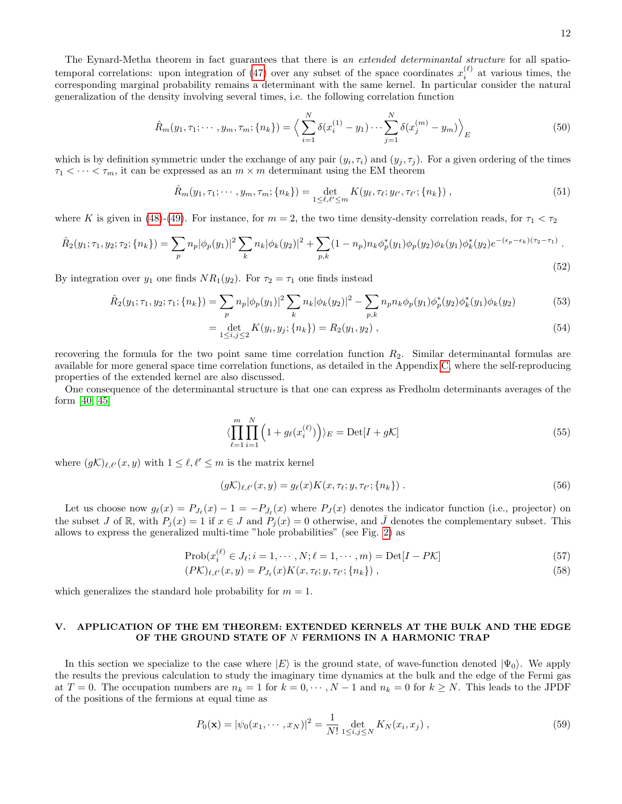The Eynard-Metha theorem in fact guarantees that there is an extended determinantal structure for all spatio-temporal correlations: upon integration of [\(47\)](#page-10-4) over any subset of the space coordinates  $x_i^{(\ell)}$  at various times, the corresponding marginal probability remains a determinant with the same kernel. In particular consider the natural generalization of the density involving several times, i.e. the following correlation function

<span id="page-11-2"></span>
$$
\hat{R}_m(y_1, \tau_1; \cdots, y_m, \tau_m; \{n_k\}) = \left\langle \sum_{i=1}^N \delta(x_i^{(1)} - y_1) \cdots \sum_{j=1}^N \delta(x_j^{(m)} - y_m) \right\rangle_E \tag{50}
$$

which is by definition symmetric under the exchange of any pair  $(y_i, \tau_i)$  and  $(y_j, \tau_j)$ . For a given ordering of the times  $\tau_1 \leq \cdots \leq \tau_m$ , it can be expressed as an  $m \times m$  determinant using the EM theorem

<span id="page-11-3"></span>
$$
\hat{R}_m(y_1, \tau_1; \cdots, y_m, \tau_m; \{n_k\}) = \det_{1 \le \ell, \ell' \le m} K(y_\ell, \tau_\ell; y_{\ell'}, \tau_{\ell'}; \{n_k\}), \qquad (51)
$$

where K is given in [\(48\)](#page-10-3)-[\(49\)](#page-10-3). For instance, for  $m = 2$ , the two time density-density correlation reads, for  $\tau_1 < \tau_2$ 

$$
\hat{R}_2(y_1; \tau_1, y_2; \tau_2; \{n_k\}) = \sum_p n_p |\phi_p(y_1)|^2 \sum_k n_k |\phi_k(y_2)|^2 + \sum_{p,k} (1 - n_p) n_k \phi_p^*(y_1) \phi_p(y_2) \phi_k(y_1) \phi_k^*(y_2) e^{-(\epsilon_p - \epsilon_k)(\tau_2 - \tau_1)}.
$$
\n(52)

By integration over  $y_1$  one finds  $NR_1(y_2)$ . For  $\tau_2 = \tau_1$  one finds instead

$$
\hat{R}_2(y_1; \tau_1, y_2; \tau_1; \{n_k\}) = \sum_p n_p |\phi_p(y_1)|^2 \sum_k n_k |\phi_k(y_2)|^2 - \sum_{p,k} n_p n_k \phi_p(y_1) \phi_p^*(y_2) \phi_k^*(y_1) \phi_k(y_2)
$$
\n(53)

$$
= \det_{1 \leq i,j \leq 2} K(y_i, y_j; \{n_k\}) = R_2(y_1, y_2) , \qquad (54)
$$

recovering the formula for the two point same time correlation function R2. Similar determinantal formulas are available for more general space time correlation functions, as detailed in the Appendix [C,](#page-29-3) where the self-reproducing properties of the extended kernel are also discussed.

One consequence of the determinantal structure is that one can express as Fredholm determinants averages of the form [\[40,](#page-32-2) [45\]](#page-32-7)

$$
\langle \prod_{\ell=1}^{m} \prod_{i=1}^{N} \left( 1 + g_{\ell}(x_i^{(\ell)}) \right) \rangle_E = \text{Det}[I + g\mathcal{K}] \tag{55}
$$

where  $(g\mathcal{K})_{\ell,\ell'}(x, y)$  with  $1 \leq \ell, \ell' \leq m$  is the matrix kernel

$$
(g\mathcal{K})_{\ell,\ell'}(x,y) = g_{\ell}(x)K(x,\tau_{\ell};y,\tau_{\ell'};\{n_k\})\,. \tag{56}
$$

Let us choose now  $g_{\ell}(x) = P_{J_{\ell}}(x) - 1 = -P_{\bar{J}_{\ell}}(x)$  where  $P_{J}(x)$  denotes the indicator function (i.e., projector) on the subset J of R, with  $P_i(x) = 1$  if  $x \in J$  and  $P_i(x) = 0$  otherwise, and  $\overline{J}$  denotes the complementary subset. This allows to express the generalized multi-time "hole probabilities" (see Fig. [2\)](#page-12-0) as

$$
Prob(x_i^{(\ell)} \in J_{\ell}; i = 1, \cdots, N; \ell = 1, \cdots, m) = Det[I - P\mathcal{K}]
$$
\n
$$
(57)
$$

$$
(P\mathcal{K})_{\ell,\ell'}(x,y) = P_{J_{\ell}}(x)K(x,\tau_{\ell};y,\tau_{\ell'};\{n_k\})\,,\tag{58}
$$

which generalizes the standard hole probability for  $m = 1$ .

# <span id="page-11-0"></span>V. APPLICATION OF THE EM THEOREM: EXTENDED KERNELS AT THE BULK AND THE EDGE OF THE GROUND STATE OF N FERMIONS IN A HARMONIC TRAP

In this section we specialize to the case where  $|E\rangle$  is the ground state, of wave-function denoted  $|\Psi_0\rangle$ . We apply the results the previous calculation to study the imaginary time dynamics at the bulk and the edge of the Fermi gas at  $T = 0$ . The occupation numbers are  $n_k = 1$  for  $k = 0, \dots, N-1$  and  $n_k = 0$  for  $k \ge N$ . This leads to the JPDF of the positions of the fermions at equal time as

<span id="page-11-1"></span>
$$
P_0(\mathbf{x}) = |\psi_0(x_1, \cdots, x_N)|^2 = \frac{1}{N!} \det_{1 \le i, j \le N} K_N(x_i, x_j) ,
$$
\n(59)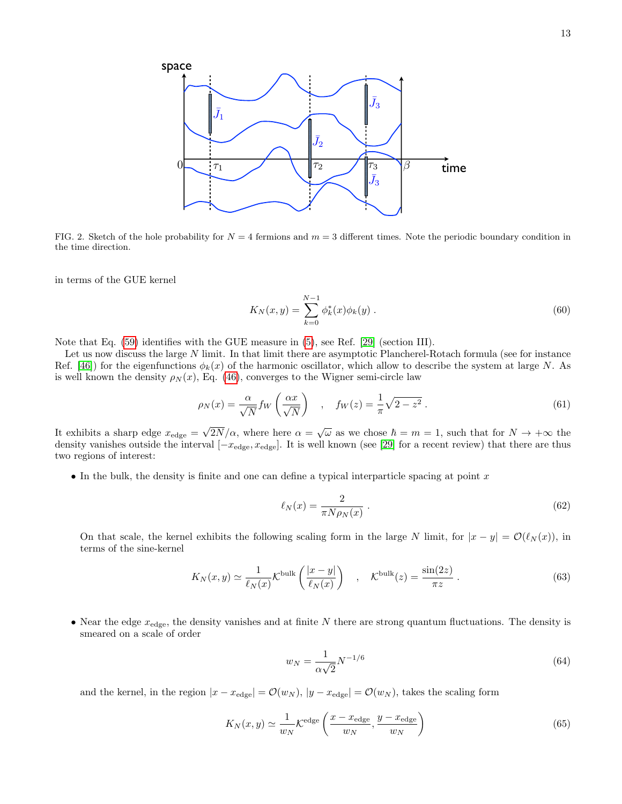

<span id="page-12-0"></span>FIG. 2. Sketch of the hole probability for  $N = 4$  fermions and  $m = 3$  different times. Note the periodic boundary condition in the time direction.

in terms of the GUE kernel

$$
K_N(x, y) = \sum_{k=0}^{N-1} \phi_k^*(x)\phi_k(y).
$$
 (60)

Note that Eq.  $(59)$  identifies with the GUE measure in  $(5)$ , see Ref. [\[29\]](#page-31-28) (section III).

Let us now discuss the large N limit. In that limit there are asymptotic Plancherel-Rotach formula (see for instance Ref. [\[46\]](#page-32-8)) for the eigenfunctions  $\phi_k(x)$  of the harmonic oscillator, which allow to describe the system at large N. As is well known the density  $\rho_N(x)$ , Eq. [\(46\)](#page-10-5), converges to the Wigner semi-circle law

<span id="page-12-3"></span>
$$
\rho_N(x) = \frac{\alpha}{\sqrt{N}} f_W\left(\frac{\alpha x}{\sqrt{N}}\right) \quad , \quad f_W(z) = \frac{1}{\pi} \sqrt{2 - z^2} \,. \tag{61}
$$

It exhibits a sharp edge  $x_{\text{edge}} = \sqrt{2N}/\alpha$ , where here  $\alpha = \sqrt{\omega}$  as we chose  $\hbar = m = 1$ , such that for  $N \to +\infty$  the density vanishes outside the interval  $[-x_{\text{edge}}, x_{\text{edge}}]$ . It is well known (see [\[29\]](#page-31-28) for a recent review) that there are thus two regions of interest:

• In the bulk, the density is finite and one can define a typical interparticle spacing at point  $x$ 

<span id="page-12-2"></span>
$$
\ell_N(x) = \frac{2}{\pi N \rho_N(x)}\,. \tag{62}
$$

On that scale, the kernel exhibits the following scaling form in the large N limit, for  $|x - y| = \mathcal{O}(\ell_N(x))$ , in terms of the sine-kernel

$$
K_N(x,y) \simeq \frac{1}{\ell_N(x)} \mathcal{K}^{\text{bulk}}\left(\frac{|x-y|}{\ell_N(x)}\right) \quad , \quad \mathcal{K}^{\text{bulk}}(z) = \frac{\sin(2z)}{\pi z} \ . \tag{63}
$$

• Near the edge  $x_{\text{edge}}$ , the density vanishes and at finite N there are strong quantum fluctuations. The density is smeared on a scale of order

<span id="page-12-1"></span>
$$
w_N = \frac{1}{\alpha \sqrt{2}} N^{-1/6}
$$
\n(64)

and the kernel, in the region  $|x - x_{\text{edge}}| = \mathcal{O}(w_N)$ ,  $|y - x_{\text{edge}}| = \mathcal{O}(w_N)$ , takes the scaling form

$$
K_N(x,y) \simeq \frac{1}{w_N} \mathcal{K}^{\text{edge}}\left(\frac{x - x_{\text{edge}}}{w_N}, \frac{y - x_{\text{edge}}}{w_N}\right)
$$
(65)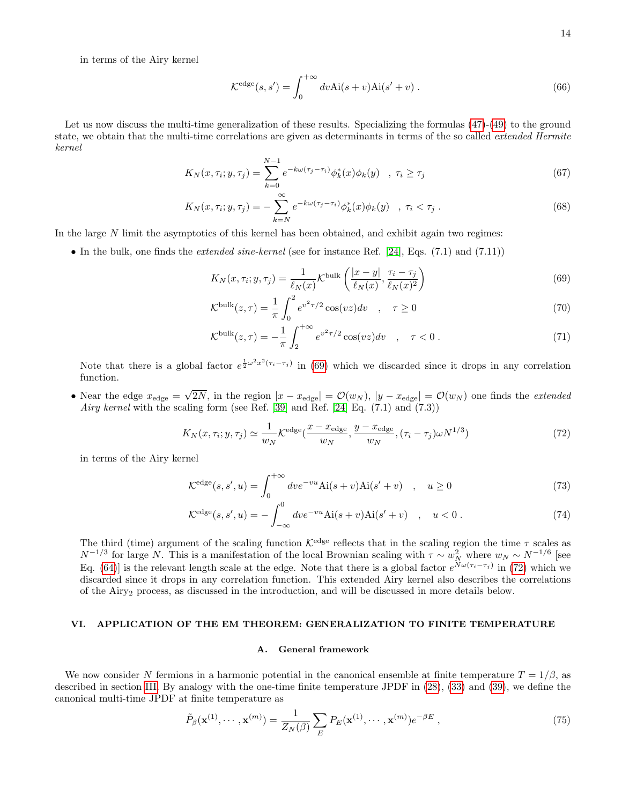in terms of the Airy kernel

$$
\mathcal{K}^{\text{edge}}(s, s') = \int_0^{+\infty} dv \text{Ai}(s+v) \text{Ai}(s'+v) . \tag{66}
$$

Let us now discuss the multi-time generalization of these results. Specializing the formulas  $(47)-(49)$  $(47)-(49)$  $(47)-(49)$  to the ground state, we obtain that the multi-time correlations are given as determinants in terms of the so called *extended Hermite* kernel

<span id="page-13-4"></span>
$$
K_N(x, \tau_i; y, \tau_j) = \sum_{k=0}^{N-1} e^{-k\omega(\tau_j - \tau_i)} \phi_k^*(x) \phi_k(y) \quad , \ \tau_i \ge \tau_j \tag{67}
$$

$$
K_N(x, \tau_i; y, \tau_j) = -\sum_{k=N}^{\infty} e^{-k\omega(\tau_j - \tau_i)} \phi_k^*(x) \phi_k(y) \quad , \ \tau_i < \tau_j \ . \tag{68}
$$

In the large N limit the asymptotics of this kernel has been obtained, and exhibit again two regimes:

• In the bulk, one finds the *extended sine-kernel* (see for instance Ref. [\[24\]](#page-31-22), Eqs.  $(7.1)$  and  $(7.11)$ )

<span id="page-13-2"></span>
$$
K_N(x, \tau_i; y, \tau_j) = \frac{1}{\ell_N(x)} \mathcal{K}^{\text{bulk}}\left(\frac{|x - y|}{\ell_N(x)}, \frac{\tau_i - \tau_j}{\ell_N(x)^2}\right)
$$
(69)

$$
\mathcal{K}^{\text{bulk}}(z,\tau) = \frac{1}{\pi} \int_0^2 e^{v^2 \tau/2} \cos(vz) dv \quad , \quad \tau \ge 0 \tag{70}
$$

$$
\mathcal{K}^{\text{bulk}}(z,\tau) = -\frac{1}{\pi} \int_{2}^{+\infty} e^{v^2 \tau/2} \cos(vz) dv \quad , \quad \tau < 0 \; . \tag{71}
$$

Note that there is a global factor  $e^{\frac{1}{2}\omega^2 x^2(\tau_i-\tau_j)}$  in [\(69\)](#page-13-2) which we discarded since it drops in any correlation function.

• Near the edge  $x_{\text{edge}} = \sqrt{2N}$ , in the region  $|x - x_{\text{edge}}| = \mathcal{O}(w_N)$ ,  $|y - x_{\text{edge}}| = \mathcal{O}(w_N)$  one finds the *extended* Airy kernel with the scaling form (see Ref. [\[39\]](#page-32-1) and Ref. [\[24\]](#page-31-22) Eq.  $(7.1)$  and  $(7.3)$ )

<span id="page-13-3"></span>
$$
K_N(x,\tau_i;y,\tau_j) \simeq \frac{1}{w_N} \mathcal{K}^{\text{edge}}(\frac{x-x_{\text{edge}}}{w_N},\frac{y-x_{\text{edge}}}{w_N},(\tau_i-\tau_j)\omega N^{1/3})
$$
(72)

in terms of the Airy kernel

$$
\mathcal{K}^{\text{edge}}(s, s', u) = \int_0^{+\infty} dv e^{-vu} \text{Ai}(s+v) \text{Ai}(s'+v) \quad , \quad u \ge 0 \tag{73}
$$

$$
\mathcal{K}^{\text{edge}}(s, s', u) = -\int_{-\infty}^{0} dve^{-vu} \text{Ai}(s+v) \text{Ai}(s'+v) \quad , \quad u < 0 \; . \tag{74}
$$

The third (time) argument of the scaling function  $\mathcal{K}^{\text{edge}}$  reflects that in the scaling region the time  $\tau$  scales as  $N^{-1/3}$  for large N. This is a manifestation of the local Brownian scaling with  $\tau \sim w_N^2$  where  $w_N \sim N^{-1/6}$  [see Eq. [\(64\)](#page-12-1)] is the relevant length scale at the edge. Note that there is a global factor  $e^{N\omega(\tau_i-\tau_j)}$  in [\(72\)](#page-13-3) which we discarded since it drops in any correlation function. This extended Airy kernel also describes the correlations of the Airy<sup>2</sup> process, as discussed in the introduction, and will be discussed in more details below.

# <span id="page-13-0"></span>VI. APPLICATION OF THE EM THEOREM: GENERALIZATION TO FINITE TEMPERATURE

# <span id="page-13-1"></span>A. General framework

We now consider N fermions in a harmonic potential in the canonical ensemble at finite temperature  $T = 1/\beta$ , as described in section [III.](#page-7-0) By analogy with the one-time finite temperature JPDF in [\(28\)](#page-7-5), [\(33\)](#page-8-2) and [\(39\)](#page-9-4), we define the canonical multi-time JPDF at finite temperature as

$$
\tilde{P}_{\beta}(\mathbf{x}^{(1)},\cdots,\mathbf{x}^{(m)}) = \frac{1}{Z_N(\beta)} \sum_{E} P_E(\mathbf{x}^{(1)},\cdots,\mathbf{x}^{(m)}) e^{-\beta E},\tag{75}
$$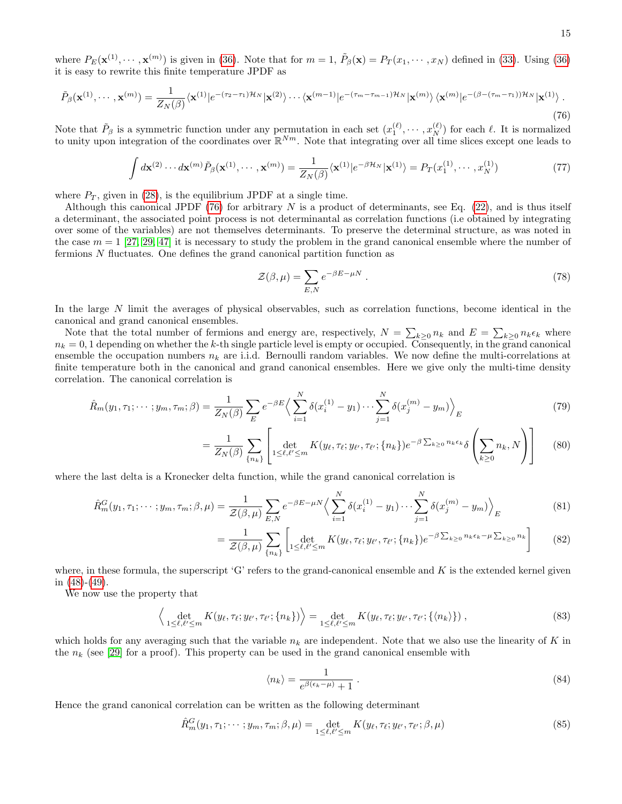where  $P_E(\mathbf{x}^{(1)}, \dots, \mathbf{x}^{(m)})$  is given in [\(36\)](#page-9-2). Note that for  $m = 1$ ,  $\tilde{P}_{\beta}(\mathbf{x}) = P_T(x_1, \dots, x_N)$  defined in [\(33\)](#page-8-2). Using (36) it is easy to rewrite this finite temperature JPDF as

<span id="page-14-0"></span>
$$
\tilde{P}_{\beta}(\mathbf{x}^{(1)},\cdots,\mathbf{x}^{(m)}) = \frac{1}{Z_N(\beta)} \langle \mathbf{x}^{(1)} | e^{-(\tau_2 - \tau_1)\mathcal{H}_N} | \mathbf{x}^{(2)} \rangle \cdots \langle \mathbf{x}^{(m-1)} | e^{-(\tau_m - \tau_{m-1})\mathcal{H}_N} | \mathbf{x}^{(m)} \rangle \langle \mathbf{x}^{(m)} | e^{-(\beta - (\tau_m - \tau_1))\mathcal{H}_N} | \mathbf{x}^{(1)} \rangle.
$$
\n(76)

Note that  $\tilde{P}_{\beta}$  is a symmetric function under any permutation in each set  $(x_1^{(\ell)}, \dots, x_N^{(\ell)})$  for each  $\ell$ . It is normalized to unity upon integration of the coordinates over  $\mathbb{R}^{Nm}$ . Note that integrating over all time slices except one leads to

$$
\int d\mathbf{x}^{(2)} \cdots d\mathbf{x}^{(m)} \tilde{P}_{\beta}(\mathbf{x}^{(1)}, \cdots, \mathbf{x}^{(m)}) = \frac{1}{Z_N(\beta)} \langle \mathbf{x}^{(1)} | e^{-\beta \mathcal{H}_N} | \mathbf{x}^{(1)} \rangle = P_T(x_1^{(1)}, \cdots, x_N^{(1)}) \tag{77}
$$

where  $P_T$ , given in [\(28\)](#page-7-5), is the equilibrium JPDF at a single time.

Although this canonical JPDF [\(76\)](#page-14-0) for arbitrary N is a product of determinants, see Eq. [\(22\)](#page-6-2), and is thus itself a determinant, the associated point process is not determinantal as correlation functions (i.e obtained by integrating over some of the variables) are not themselves determinants. To preserve the determinal structure, as was noted in the case  $m = 1$  [\[27,](#page-31-27) [29,](#page-31-28) [47\]](#page-32-9) it is necessary to study the problem in the grand canonical ensemble where the number of fermions N fluctuates. One defines the grand canonical partition function as

$$
\mathcal{Z}(\beta,\mu) = \sum_{E,N} e^{-\beta E - \mu N} \,. \tag{78}
$$

In the large N limit the averages of physical observables, such as correlation functions, become identical in the canonical and grand canonical ensembles.

Note that the total number of fermions and energy are, respectively,  $N = \sum_{k\geq 0} n_k$  and  $E = \sum_{k\geq 0} n_k \epsilon_k$  where  $n_k = 0, 1$  depending on whether the k-th single particle level is empty or occupied. Consequently, in the grand canonical ensemble the occupation numbers  $n_k$  are i.i.d. Bernoulli random variables. We now define the multi-correlations at finite temperature both in the canonical and grand canonical ensembles. Here we give only the multi-time density correlation. The canonical correlation is

$$
\hat{R}_m(y_1, \tau_1; \cdots; y_m, \tau_m; \beta) = \frac{1}{Z_N(\beta)} \sum_E e^{-\beta E} \Big\langle \sum_{i=1}^N \delta(x_i^{(1)} - y_1) \cdots \sum_{j=1}^N \delta(x_j^{(m)} - y_m) \Big\rangle_E \tag{79}
$$

$$
= \frac{1}{Z_N(\beta)} \sum_{\{n_k\}} \left[ \det_{1 \leq \ell, \ell' \leq m} K(y_\ell, \tau_\ell; y_{\ell'}, \tau_{\ell'}; \{n_k\}) e^{-\beta \sum_{k \geq 0} n_k \epsilon_k} \delta \left( \sum_{k \geq 0} n_k, N \right) \right]
$$
(80)

where the last delta is a Kronecker delta function, while the grand canonical correlation is

$$
\hat{R}_m^G(y_1, \tau_1; \cdots; y_m, \tau_m; \beta, \mu) = \frac{1}{\mathcal{Z}(\beta, \mu)} \sum_{E, N} e^{-\beta E - \mu N} \Big\langle \sum_{i=1}^N \delta(x_i^{(1)} - y_1) \cdots \sum_{j=1}^N \delta(x_j^{(m)} - y_m) \Big\rangle_E \tag{81}
$$

$$
= \frac{1}{\mathcal{Z}(\beta,\mu)} \sum_{\{n_k\}} \left[ \det_{1 \leq \ell,\ell' \leq m} K(y_\ell, \tau_\ell; y_{\ell'}, \tau_{\ell'}; \{n_k\}) e^{-\beta \sum_{k \geq 0} n_k \epsilon_k - \mu \sum_{k \geq 0} n_k} \right]
$$
(82)

where, in these formula, the superscript 'G' refers to the grand-canonical ensemble and  $K$  is the extended kernel given in  $(48)-(49)$  $(48)-(49)$  $(48)-(49)$ .

We now use the property that

$$
\left\langle \det_{1 \leq \ell, \ell' \leq m} K(y_{\ell}, \tau_{\ell}; y_{\ell'}, \tau_{\ell'}; \{n_k\}) \right\rangle = \det_{1 \leq \ell, \ell' \leq m} K(y_{\ell}, \tau_{\ell}; y_{\ell'}, \tau_{\ell'}; \{\langle n_k \rangle\}) , \tag{83}
$$

which holds for any averaging such that the variable  $n_k$  are independent. Note that we also use the linearity of K in the  $n_k$  (see [\[29\]](#page-31-28) for a proof). This property can be used in the grand canonical ensemble with

<span id="page-14-2"></span>
$$
\langle n_k \rangle = \frac{1}{e^{\beta(\epsilon_k - \mu)} + 1} \,. \tag{84}
$$

Hence the grand canonical correlation can be written as the following determinant

<span id="page-14-1"></span>
$$
\hat{R}_m^G(y_1, \tau_1; \cdots; y_m, \tau_m; \beta, \mu) = \det_{1 \leq \ell, \ell' \leq m} K(y_\ell, \tau_\ell; y_{\ell'}, \tau_{\ell'}; \beta, \mu)
$$
\n(85)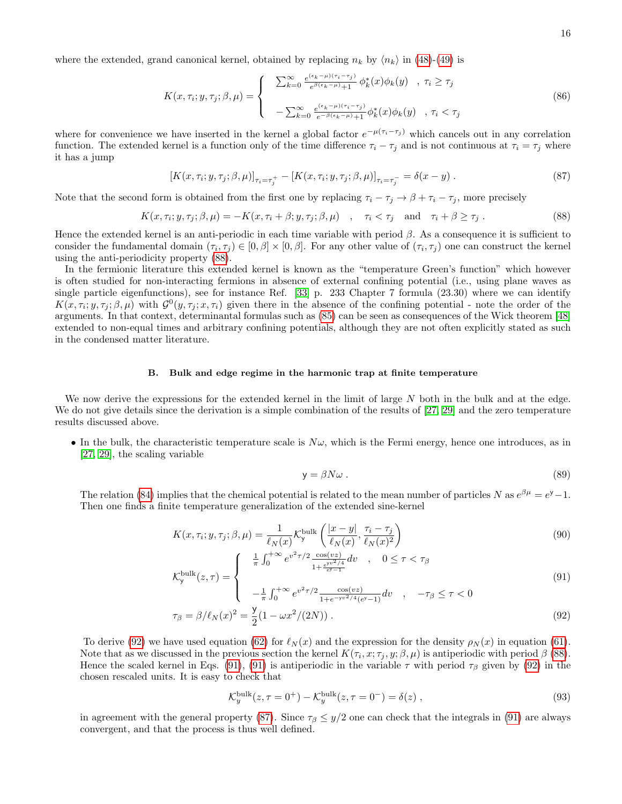where the extended, grand canonical kernel, obtained by replacing  $n_k$  by  $\langle n_k \rangle$  in [\(48\)](#page-10-3)-[\(49\)](#page-10-3) is

$$
K(x,\tau_i;y,\tau_j;\beta,\mu) = \begin{cases} \sum_{k=0}^{\infty} \frac{e^{(\epsilon_k-\mu)(\tau_i-\tau_j)}}{e^{\beta(\epsilon_k-\mu)}+1} \phi_k^*(x)\phi_k(y) & , \tau_i \ge \tau_j \\ -\sum_{k=0}^{\infty} \frac{e^{(\epsilon_k-\mu)(\tau_i-\tau_j)}}{e^{-\beta(\epsilon_k-\mu)}+1} \phi_k^*(x)\phi_k(y) & , \tau_i < \tau_j \end{cases}
$$
(86)

where for convenience we have inserted in the kernel a global factor  $e^{-\mu(\tau_i-\tau_j)}$  which cancels out in any correlation function. The extended kernel is a function only of the time difference  $\tau_i - \tau_j$  and is not continuous at  $\tau_i = \tau_j$  where it has a jump

<span id="page-15-3"></span>
$$
[K(x,\tau_i; y,\tau_j;\beta,\mu)]_{\tau_i=\tau_j^+} - [K(x,\tau_i; y,\tau_j;\beta,\mu)]_{\tau_i=\tau_j^-} = \delta(x-y) . \tag{87}
$$

Note that the second form is obtained from the first one by replacing  $\tau_i - \tau_j \to \beta + \tau_i - \tau_j$ , more precisely

<span id="page-15-2"></span>
$$
K(x,\tau_i;y,\tau_j;\beta,\mu) = -K(x,\tau_i+\beta;y,\tau_j;\beta,\mu) \quad , \quad \tau_i < \tau_j \quad \text{and} \quad \tau_i + \beta \ge \tau_j \; . \tag{88}
$$

Hence the extended kernel is an anti-periodic in each time variable with period  $\beta$ . As a consequence it is sufficient to consider the fundamental domain  $(\tau_i, \tau_j) \in [0, \beta] \times [0, \beta]$ . For any other value of  $(\tau_i, \tau_j)$  one can construct the kernel using the anti-periodicity property [\(88\)](#page-15-2).

In the fermionic literature this extended kernel is known as the "temperature Green's function" which however is often studied for non-interacting fermions in absence of external confining potential (i.e., using plane waves as single particle eigenfunctions), see for instance Ref. [\[33\]](#page-31-29) p. 233 Chapter 7 formula (23.30) where we can identify  $K(x, \tau_i; y, \tau_j; \beta, \mu)$  with  $\mathcal{G}^0(y, \tau_j; x, \tau_i)$  given there in the absence of the confining potential - note the order of the arguments. In that context, determinantal formulas such as [\(85\)](#page-14-1) can be seen as consequences of the Wick theorem [\[48\]](#page-32-10) extended to non-equal times and arbitrary confining potentials, although they are not often explicitly stated as such in the condensed matter literature.

#### <span id="page-15-0"></span>B. Bulk and edge regime in the harmonic trap at finite temperature

We now derive the expressions for the extended kernel in the limit of large N both in the bulk and at the edge. We do not give details since the derivation is a simple combination of the results of [\[27,](#page-31-27) [29\]](#page-31-28) and the zero temperature results discussed above.

• In the bulk, the characteristic temperature scale is  $N\omega$ , which is the Fermi energy, hence one introduces, as in [\[27,](#page-31-27) [29\]](#page-31-28), the scaling variable

$$
y = \beta N \omega \tag{89}
$$

The relation [\(84\)](#page-14-2) implies that the chemical potential is related to the mean number of particles N as  $e^{\beta \mu} = e^y - 1$ . Then one finds a finite temperature generalization of the extended sine-kernel

<span id="page-15-1"></span>
$$
K(x, \tau_i; y, \tau_j; \beta, \mu) = \frac{1}{\ell_N(x)} \mathcal{K}_\mathsf{y}^{\text{bulk}} \left( \frac{|x - y|}{\ell_N(x)}, \frac{\tau_i - \tau_j}{\ell_N(x)^2} \right)
$$
(90)

$$
\mathcal{K}_y^{\text{bulk}}(z,\tau) = \begin{cases} & \frac{1}{\pi} \int_0^{+\infty} e^{v^2 \tau/2} \frac{\cos(vz)}{1 + \frac{e^{y v^2/4}}{e^y - 1}} dv & , \quad 0 \le \tau < \tau_\beta \\ \end{cases} \tag{91}
$$

$$
\left(-\frac{1}{\pi} \int_0^{+\infty} e^{v^2 \tau/2} \frac{\cos(vz)}{1 + e^{-yv^2/4} (e^y - 1)} dv \right), \quad -\tau_\beta \le \tau < 0
$$
  

$$
\tau_\beta = \beta / \ell_N(x)^2 = \frac{y}{2} (1 - \omega x^2 / (2N)). \tag{92}
$$

To derive [\(92\)](#page-15-1) we have used equation [\(62\)](#page-12-2) for  $\ell_N (x)$  and the expression for the density  $\rho_N (x)$  in equation [\(61\)](#page-12-3). Note that as we discussed in the previous section the kernel  $K(\tau_i, x; \tau_j, y; \beta, \mu)$  is antiperiodic with period  $\beta$  [\(88\)](#page-15-2). Hence the scaled kernel in Eqs. [\(91\)](#page-15-1), (91) is antiperiodic in the variable  $\tau$  with period  $\tau_\beta$  given by [\(92\)](#page-15-1) in the chosen rescaled units. It is easy to check that

$$
\mathcal{K}_y^{\text{bulk}}(z, \tau = 0^+) - \mathcal{K}_y^{\text{bulk}}(z, \tau = 0^-) = \delta(z) , \qquad (93)
$$

in agreement with the general property [\(87\)](#page-15-3). Since  $\tau_\beta \leq y/2$  one can check that the integrals in [\(91\)](#page-15-1) are always convergent, and that the process is thus well defined.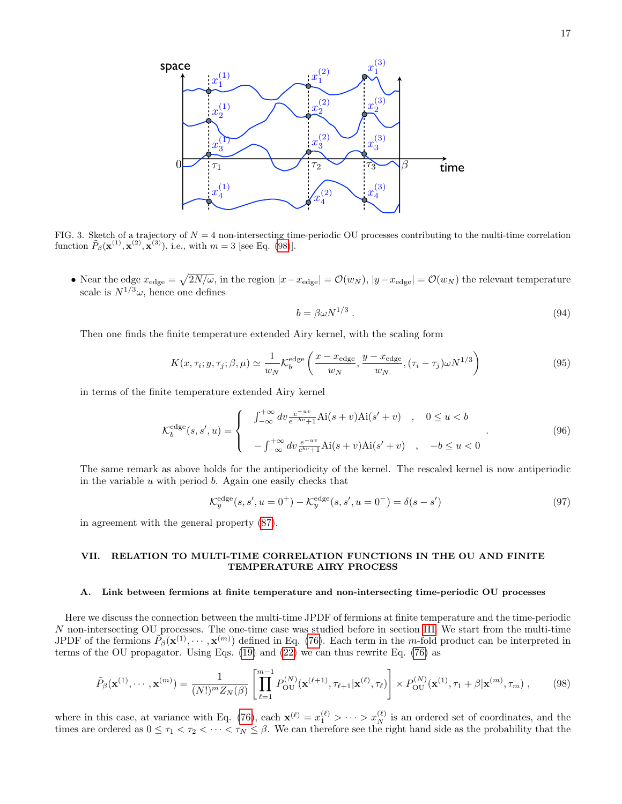

<span id="page-16-5"></span>FIG. 3. Sketch of a trajectory of  $N = 4$  non-intersecting time-periodic OU processes contributing to the multi-time correlation function  $\tilde{P}_{\beta}(\mathbf{x}^{(1)}, \mathbf{x}^{(2)}, \mathbf{x}^{(3)})$ , i.e., with  $m = 3$  [see Eq. [\(98\)](#page-16-4)].

• Near the edge  $x_{\text{edge}} = \sqrt{2N/\omega}$ , in the region  $|x-x_{\text{edge}}| = \mathcal{O}(w_N)$ ,  $|y-x_{\text{edge}}| = \mathcal{O}(w_N)$  the relevant temperature scale is  $N^{1/3}\omega$ , hence one defines

$$
b = \beta \omega N^{1/3} \tag{94}
$$

Then one finds the finite temperature extended Airy kernel, with the scaling form

<span id="page-16-2"></span>
$$
K(x, \tau_i; y, \tau_j; \beta, \mu) \simeq \frac{1}{w_N} \mathcal{K}_b^{\text{edge}} \left( \frac{x - x_{\text{edge}}}{w_N}, \frac{y - x_{\text{edge}}}{w_N}, (\tau_i - \tau_j) \omega N^{1/3} \right)
$$
(95)

in terms of the finite temperature extended Airy kernel

<span id="page-16-3"></span>
$$
\mathcal{K}_b^{\text{edge}}(s, s', u) = \begin{cases}\n\int_{-\infty}^{+\infty} dv \frac{e^{-uv}}{e^{-bv} + 1} \text{Ai}(s+v) \text{Ai}(s'+v) & , & 0 \le u < b \\
-\int_{-\infty}^{+\infty} dv \frac{e^{-uv}}{e^{bv} + 1} \text{Ai}(s+v) \text{Ai}(s'+v) & , & -b \le u < 0\n\end{cases}
$$
\n(96)

The same remark as above holds for the antiperiodicity of the kernel. The rescaled kernel is now antiperiodic in the variable  $u$  with period  $b$ . Again one easily checks that

$$
\mathcal{K}_y^{\text{edge}}(s, s', u = 0^+) - \mathcal{K}_y^{\text{edge}}(s, s', u = 0^-) = \delta(s - s')
$$
\n(97)

in agreement with the general property [\(87\)](#page-15-3).

# <span id="page-16-0"></span>VII. RELATION TO MULTI-TIME CORRELATION FUNCTIONS IN THE OU AND FINITE TEMPERATURE AIRY PROCESS

#### <span id="page-16-1"></span>A. Link between fermions at finite temperature and non-intersecting time-periodic OU processes

Here we discuss the connection between the multi-time JPDF of fermions at finite temperature and the time-periodic N non-intersecting OU processes. The one-time case was studied before in section [III.](#page-7-0) We start from the multi-time JPDF of the fermions  $\tilde{P}_{\beta}(\mathbf{x}^{(1)},\cdots,\mathbf{x}^{(m)})$  defined in Eq. [\(76\)](#page-14-0). Each term in the m-fold product can be interpreted in terms of the OU propagator. Using Eqs. [\(19\)](#page-6-6) and [\(22\)](#page-6-2) we can thus rewrite Eq. [\(76\)](#page-14-0) as

<span id="page-16-4"></span>
$$
\tilde{P}_{\beta}(\mathbf{x}^{(1)},\cdots,\mathbf{x}^{(m)}) = \frac{1}{(N!)^m Z_N(\beta)} \left[ \prod_{\ell=1}^{m-1} P_{\text{OU}}^{(N)}(\mathbf{x}^{(\ell+1)},\tau_{\ell+1}|\mathbf{x}^{(\ell)},\tau_{\ell}) \right] \times P_{\text{OU}}^{(N)}(\mathbf{x}^{(1)},\tau_1+\beta|\mathbf{x}^{(m)},\tau_m) ,\qquad(98)
$$

where in this case, at variance with Eq. [\(76\)](#page-14-0), each  $\mathbf{x}^{(\ell)} = x_1^{(\ell)} > \cdots > x_N^{(\ell)}$  is an ordered set of coordinates, and the times are ordered as  $0 \le \tau_1 < \tau_2 < \cdots < \tau_N \le \beta$ . We can therefore see the right hand side as the probability that the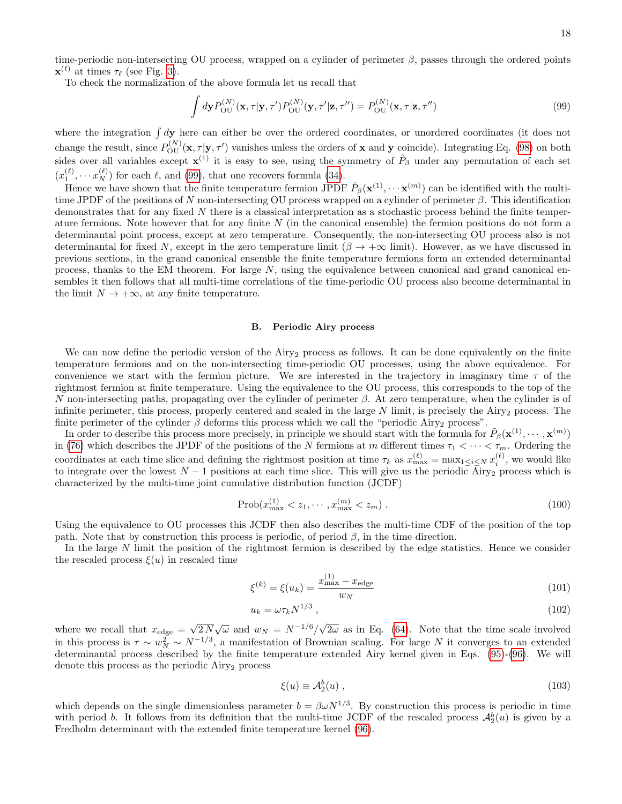time-periodic non-intersecting OU process, wrapped on a cylinder of perimeter  $\beta$ , passes through the ordered points  $\mathbf{x}^{(\ell)}$  at times  $\tau_{\ell}$  (see Fig. [3\)](#page-16-5).

To check the normalization of the above formula let us recall that

<span id="page-17-1"></span>
$$
\int d\mathbf{y} P_{\text{OU}}^{(N)}(\mathbf{x}, \tau | \mathbf{y}, \tau') P_{\text{OU}}^{(N)}(\mathbf{y}, \tau' | \mathbf{z}, \tau'') = P_{\text{OU}}^{(N)}(\mathbf{x}, \tau | \mathbf{z}, \tau'')
$$
(99)

where the integration  $\int d\mathbf{y}$  here can either be over the ordered coordinates, or unordered coordinates (it does not change the result, since  $P_{\text{OU}}^{(N)}(\mathbf{x}, \tau | \mathbf{y}, \tau')$  vanishes unless the orders of **x** and **y** coincide). Integrating Eq. [\(98\)](#page-16-4) on both sides over all variables except  $\mathbf{x}^{(1)}$  it is easy to see, using the symmetry of  $\tilde{P}_{\beta}$  under any permutation of each set  $(x_1^{(\ell)}, \cdots x_N^{(\ell)})$  for each  $\ell$ , and [\(99\)](#page-17-1), that one recovers formula [\(34\)](#page-8-3).

Hence we have shown that the finite temperature fermion JPDF  $\tilde{P}_{\beta}(\mathbf{x}^{(1)}, \cdots \mathbf{x}^{(m)})$  can be identified with the multitime JPDF of the positions of N non-intersecting OU process wrapped on a cylinder of perimeter  $\beta$ . This identification demonstrates that for any fixed  $N$  there is a classical interpretation as a stochastic process behind the finite temperature fermions. Note however that for any finite  $N$  (in the canonical ensemble) the fermion positions do not form a determinantal point process, except at zero temperature. Consequently, the non-intersecting OU process also is not determinantal for fixed N, except in the zero temperature limit  $(\beta \to +\infty$  limit). However, as we have discussed in previous sections, in the grand canonical ensemble the finite temperature fermions form an extended determinantal process, thanks to the EM theorem. For large  $N$ , using the equivalence between canonical and grand canonical ensembles it then follows that all multi-time correlations of the time-periodic OU process also become determinantal in the limit  $N \to +\infty$ , at any finite temperature.

#### <span id="page-17-0"></span>B. Periodic Airy process

We can now define the periodic version of the Airy<sub>2</sub> process as follows. It can be done equivalently on the finite temperature fermions and on the non-intersecting time-periodic OU processes, using the above equivalence. For convenience we start with the fermion picture. We are interested in the trajectory in imaginary time  $\tau$  of the rightmost fermion at finite temperature. Using the equivalence to the OU process, this corresponds to the top of the N non-intersecting paths, propagating over the cylinder of perimeter  $\beta$ . At zero temperature, when the cylinder is of infinite perimeter, this process, properly centered and scaled in the large  $N$  limit, is precisely the Airy<sub>2</sub> process. The finite perimeter of the cylinder  $\beta$  deforms this process which we call the "periodic Airy<sub>2</sub> process".

In order to describe this process more precisely, in principle we should start with the formula for  $\tilde{P}_{\beta}(\mathbf{x}^{(1)},\cdots,\mathbf{x}^{(m)})$ in [\(76\)](#page-14-0) which describes the JPDF of the positions of the N fermions at m different times  $\tau_1 < \cdots < \tau_m$ . Ordering the coordinates at each time slice and defining the rightmost position at time  $\tau_k$  as  $x_{\max}^{(\ell)} = \max_{1 \le i \le N} x_i^{(\ell)}$ , we would like to integrate over the lowest  $N-1$  positions at each time slice. This will give us the periodic Airy<sub>2</sub> process which is characterized by the multi-time joint cumulative distribution function (JCDF)

$$
Prob(x_{\max}^{(1)} < z_1, \cdots, x_{\max}^{(m)} < z_m). \tag{100}
$$

Using the equivalence to OU processes this JCDF then also describes the multi-time CDF of the position of the top path. Note that by construction this process is periodic, of period  $\beta$ , in the time direction.

In the large N limit the position of the rightmost fermion is described by the edge statistics. Hence we consider the rescaled process  $\xi(u)$  in rescaled time

$$
\xi^{(k)} = \xi(u_k) = \frac{x_{\text{max}}^{(1)} - x_{\text{edge}}}{w_N} \tag{101}
$$

$$
u_k = \omega \tau_k N^{1/3} \tag{102}
$$

where we recall that  $x_{\text{edge}} = \sqrt{2 N} \sqrt{\omega}$  and  $w_N = N^{-1/6} / \sqrt{2 \omega}$  as in Eq. [\(64\)](#page-12-1). Note that the time scale involved in this process is  $\tau \sim w_N^2 \sim N^{-1/3}$ , a manifestation of Brownian scaling. For large N it converges to an extended determinantal process described by the finite temperature extended Airy kernel given in Eqs. [\(95\)](#page-16-2)-[\(96\)](#page-16-3). We will denote this process as the periodic  $Airy<sub>2</sub>$  process

$$
\xi(u) \equiv \mathcal{A}_2^b(u) \;, \tag{103}
$$

which depends on the single dimensionless parameter  $b = \beta \omega N^{1/3}$ . By construction this process is periodic in time with period b. It follows from its definition that the multi-time JCDF of the rescaled process  $\mathcal{A}_2^b(u)$  is given by a Fredholm determinant with the extended finite temperature kernel [\(96\)](#page-16-3).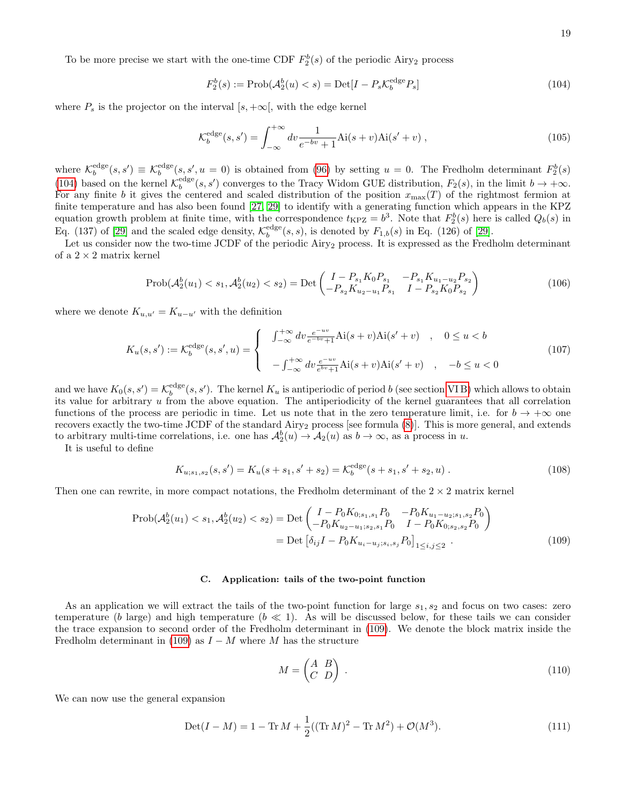To be more precise we start with the one-time CDF  $F_2^b(s)$  of the periodic Airy<sub>2</sub> process

<span id="page-18-1"></span>
$$
F_2^b(s) := \text{Prob}(\mathcal{A}_2^b(u) < s) = \text{Det}[I - P_s \mathcal{K}_b^{\text{edge}} P_s] \tag{104}
$$

where  $P_s$  is the projector on the interval  $[s, +\infty]$ , with the edge kernel

$$
\mathcal{K}_b^{\text{edge}}(s, s') = \int_{-\infty}^{+\infty} dv \frac{1}{e^{-bv} + 1} \text{Ai}(s+v) \text{Ai}(s'+v) ,\qquad(105)
$$

where  $\mathcal{K}_b^{\text{edge}}(s, s') \equiv \mathcal{K}_b^{\text{edge}}(s, s', u = 0)$  is obtained from [\(96\)](#page-16-3) by setting  $u = 0$ . The Fredholm determinant  $F_2^b(s)$ [\(104\)](#page-18-1) based on the kernel  $\mathcal{K}_b^{\text{edge}}(s, s')$  converges to the Tracy Widom GUE distribution,  $F_2(s)$ , in the limit  $b \to +\infty$ . For any finite b it gives the centered and scaled distribution of the position  $x_{\text{max}}(T)$  of the rightmost fermion at finite temperature and has also been found [\[27,](#page-31-27) [29\]](#page-31-28) to identify with a generating function which appears in the KPZ equation growth problem at finite time, with the correspondence  $t_{KPZ} = b^3$ . Note that  $F_2^b(s)$  here is called  $Q_b(s)$  in Eq. (137) of [\[29\]](#page-31-28) and the scaled edge density,  $\mathcal{K}_b^{\text{edge}}(s, s)$ , is denoted by  $F_{1,b}(s)$  in Eq. (126) of [29].

Let us consider now the two-time JCDF of the periodic Airy<sub>2</sub> process. It is expressed as the Fredholm determinant of a  $2\times 2$  matrix kernel

$$
Prob(\mathcal{A}_2^b(u_1) < s_1, \mathcal{A}_2^b(u_2) < s_2) = Det\begin{pmatrix} I - P_{s_1} K_0 P_{s_1} & -P_{s_1} K_{u_1 - u_2} P_{s_2} \\ -P_{s_2} K_{u_2 - u_1} P_{s_1} & I - P_{s_2} K_0 P_{s_2} \end{pmatrix} \tag{106}
$$

where we denote  $K_{u,u'} = K_{u-u'}$  with the definition

$$
K_u(s, s') := \mathcal{K}_b^{\text{edge}}(s, s', u) = \begin{cases} \int_{-\infty}^{+\infty} dv \frac{e^{-uv}}{e^{-bv} + 1} Ai(s+v) Ai(s'+v) , & 0 \le u < b \\ -\int_{-\infty}^{+\infty} dv \frac{e^{-uv}}{e^{bv} + 1} Ai(s+v) Ai(s'+v) , & -b \le u < 0 \end{cases}
$$
(107)

and we have  $K_0(s, s') = \mathcal{K}_b^{\text{edge}}(s, s')$ . The kernel  $K_u$  is antiperiodic of period b (see section VIB) which allows to obtain its value for arbitrary u from the above equation. The antiperiodicity of the kernel guarantees that all correlation functions of the process are periodic in time. Let us note that in the zero temperature limit, i.e. for  $b \to +\infty$  one recovers exactly the two-time JCDF of the standard  $Airy<sub>2</sub>$  process [see formula  $(8)$ ]. This is more general, and extends to arbitrary multi-time correlations, i.e. one has  $\mathcal{A}_2^b(u) \to \mathcal{A}_2(u)$  as  $b \to \infty$ , as a process in u.

It is useful to define

$$
K_{u;s_1,s_2}(s,s') = K_u(s+s_1,s'+s_2) = \mathcal{K}_b^{\text{edge}}(s+s_1,s'+s_2,u) \,. \tag{108}
$$

Then one can rewrite, in more compact notations, the Fredholm determinant of the  $2 \times 2$  matrix kernel

<span id="page-18-2"></span>
$$
\text{Prob}(\mathcal{A}_2^b(u_1) < s_1, \mathcal{A}_2^b(u_2) < s_2) = \text{Det}\begin{pmatrix} I - P_0 K_{0;s_1,s_1} P_0 & -P_0 K_{u_1 - u_2;s_1,s_2} P_0 \\ -P_0 K_{u_2 - u_1;s_2,s_1} P_0 & I - P_0 K_{0;s_2,s_2} P_0 \end{pmatrix}
$$
\n
$$
= \text{Det}\begin{bmatrix} \delta_{ij} I - P_0 K_{u_i - u_j;s_i,s_j} P_0 \end{bmatrix}_{1 \le i,j \le 2} \tag{109}
$$

# <span id="page-18-0"></span>C. Application: tails of the two-point function

As an application we will extract the tails of the two-point function for large  $s_1, s_2$  and focus on two cases: zero temperature (b large) and high temperature ( $b \ll 1$ ). As will be discussed below, for these tails we can consider the trace expansion to second order of the Fredholm determinant in [\(109\)](#page-18-2). We denote the block matrix inside the Fredholm determinant in [\(109\)](#page-18-2) as  $I - M$  where M has the structure

$$
M = \begin{pmatrix} A & B \\ C & D \end{pmatrix} \tag{110}
$$

We can now use the general expansion

$$
Det(I - M) = 1 - Tr M + \frac{1}{2}((Tr M)^{2} - Tr M^{2}) + \mathcal{O}(M^{3}).
$$
\n(111)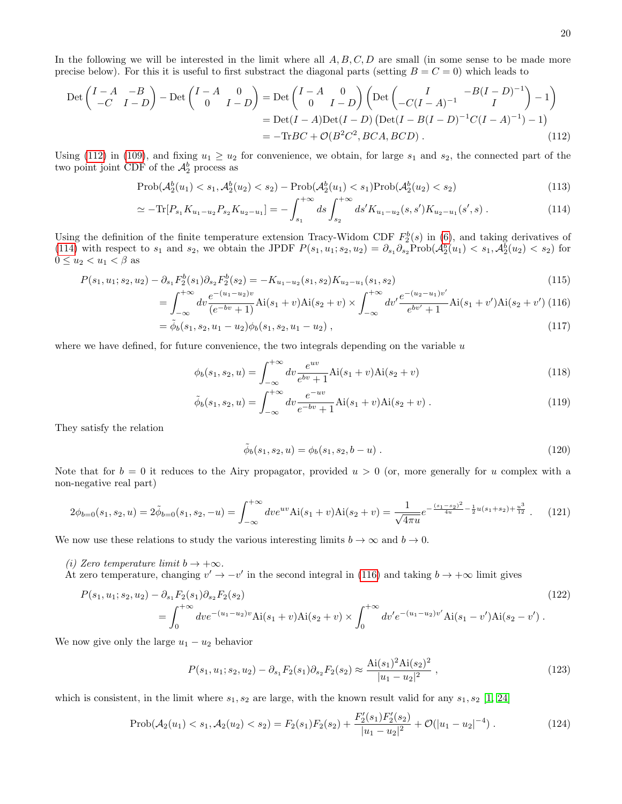In the following we will be interested in the limit where all  $A, B, C, D$  are small (in some sense to be made more precise below). For this it is useful to first substract the diagonal parts (setting  $B = C = 0$ ) which leads to

<span id="page-19-0"></span>
$$
\begin{split} \text{Det}\begin{pmatrix} I - A & -B \\ -C & I - D \end{pmatrix} - \text{Det}\begin{pmatrix} I - A & 0 \\ 0 & I - D \end{pmatrix} &= \text{Det}\begin{pmatrix} I - A & 0 \\ 0 & I - D \end{pmatrix} \begin{pmatrix} \text{Det}\begin{pmatrix} I & -B(I - D)^{-1} \\ -C(I - A)^{-1} & I \end{pmatrix} - 1 \end{pmatrix} \\ &= \text{Det}(I - A)\text{Det}(I - D)\begin{pmatrix} \text{Det}(I - B(I - D)^{-1}C(I - A)^{-1}) - 1 \end{pmatrix} \\ &= -\text{Tr}BC + \mathcal{O}(B^2C^2, BCA, BCD) \,. \end{split} \tag{112}
$$

Using [\(112\)](#page-19-0) in [\(109\)](#page-18-2), and fixing  $u_1 \geq u_2$  for convenience, we obtain, for large  $s_1$  and  $s_2$ , the connected part of the two point joint CDF of the  $\mathcal{A}_2^b$  process as

<span id="page-19-1"></span>
$$
Prob(\mathcal{A}_2^b(u_1) < s_1, \mathcal{A}_2^b(u_2) < s_2) - Prob(\mathcal{A}_2^b(u_1) < s_1) \text{Prob}(\mathcal{A}_2^b(u_2) < s_2) \tag{113}
$$

$$
\simeq -\text{Tr}[P_{s_1}K_{u_1-u_2}P_{s_2}K_{u_2-u_1}] = -\int_{s_1}^{+\infty} ds \int_{s_2}^{+\infty} ds' K_{u_1-u_2}(s,s')K_{u_2-u_1}(s',s) . \tag{114}
$$

Using the definition of the finite temperature extension Tracy-Widom CDF  $F_2^b(s)$  in [\(6\)](#page-3-0), and taking derivatives of [\(114\)](#page-19-1) with respect to  $s_1$  and  $s_2$ , we obtain the JPDF  $P(s_1, u_1; s_2, u_2) = \partial_{s_1} \partial_{s_2} \text{Prob}(\mathcal{A}_2^b(u_1) < s_1, \mathcal{A}_2^b(u_2) < s_2)$  for  $0 \leq u_2 < u_1 < \beta$  as

<span id="page-19-2"></span>
$$
P(s_1, u_1; s_2, u_2) - \partial_{s_1} F_2^b(s_1) \partial_{s_2} F_2^b(s_2) = -K_{u_1 - u_2}(s_1, s_2) K_{u_2 - u_1}(s_1, s_2)
$$
  

$$
f^{+\infty} \quad e^{-(u_1 - u_2)v} \qquad f^{+\infty} \quad e^{-(u_2 - u_1)v'}
$$
 (115)

$$
= \int_{-\infty}^{+\infty} dv \frac{e^{-(u_1 - u_2)v}}{(e^{-bv} + 1)} \text{Ai}(s_1 + v) \text{Ai}(s_2 + v) \times \int_{-\infty}^{+\infty} dv' \frac{e^{-(u_2 - u_1)v'}}{e^{bv'} + 1} \text{Ai}(s_1 + v') \text{Ai}(s_2 + v') \ (116)
$$

$$
= \tilde{\phi}_b(s_1, s_2, u_1 - u_2) \phi_b(s_1, s_2, u_1 - u_2) , \qquad (117)
$$

where we have defined, for future convenience, the two integrals depending on the variable  $u$ 

<span id="page-19-4"></span>
$$
\phi_b(s_1, s_2, u) = \int_{-\infty}^{+\infty} dv \frac{e^{uv}}{e^{bv} + 1} \text{Ai}(s_1 + v) \text{Ai}(s_2 + v)
$$
\n(118)

$$
\tilde{\phi}_b(s_1, s_2, u) = \int_{-\infty}^{+\infty} dv \frac{e^{-uv}}{e^{-bv} + 1} \text{Ai}(s_1 + v) \text{Ai}(s_2 + v) . \tag{119}
$$

They satisfy the relation

$$
\tilde{\phi}_b(s_1, s_2, u) = \phi_b(s_1, s_2, b - u) \tag{120}
$$

Note that for  $b = 0$  it reduces to the Airy propagator, provided  $u > 0$  (or, more generally for u complex with a non-negative real part)

<span id="page-19-3"></span>
$$
2\phi_{b=0}(s_1, s_2, u) = 2\tilde{\phi}_{b=0}(s_1, s_2, -u) = \int_{-\infty}^{+\infty} dv e^{uv} \text{Ai}(s_1 + v) \text{Ai}(s_2 + v) = \frac{1}{\sqrt{4\pi u}} e^{-\frac{(s_1 - s_2)^2}{4u} - \frac{1}{2}u(s_1 + s_2) + \frac{u^3}{12}}.
$$
 (121)

We now use these relations to study the various interesting limits  $b \to \infty$  and  $b \to 0$ .

- (i) Zero temperature limit  $b \to +\infty$ .
- At zero temperature, changing  $v' \to -v'$  in the second integral in [\(116\)](#page-19-2) and taking  $b \to +\infty$  limit gives

$$
P(s_1, u_1; s_2, u_2) - \partial_{s_1} F_2(s_1) \partial_{s_2} F_2(s_2)
$$
  
= 
$$
\int_0^{+\infty} dve^{-(u_1 - u_2)v} \text{Ai}(s_1 + v) \text{Ai}(s_2 + v) \times \int_0^{+\infty} dv' e^{-(u_1 - u_2)v'} \text{Ai}(s_1 - v') \text{Ai}(s_2 - v')
$$
 (122)

We now give only the large  $u_1 - u_2$  behavior

<span id="page-19-5"></span>
$$
P(s_1, u_1; s_2, u_2) - \partial_{s_1} F_2(s_1) \partial_{s_2} F_2(s_2) \approx \frac{\text{Ai}(s_1)^2 \text{Ai}(s_2)^2}{|u_1 - u_2|^2} \,,\tag{123}
$$

which is consistent, in the limit where  $s_1, s_2$  are large, with the known result valid for any  $s_1, s_2$  [\[1,](#page-31-1) [24\]](#page-31-22)

$$
\text{Prob}(\mathcal{A}_2(u_1) < s_1, \mathcal{A}_2(u_2) < s_2) = F_2(s_1)F_2(s_2) + \frac{F_2'(s_1)F_2'(s_2)}{|u_1 - u_2|^2} + \mathcal{O}(|u_1 - u_2|^{-4})\,. \tag{124}
$$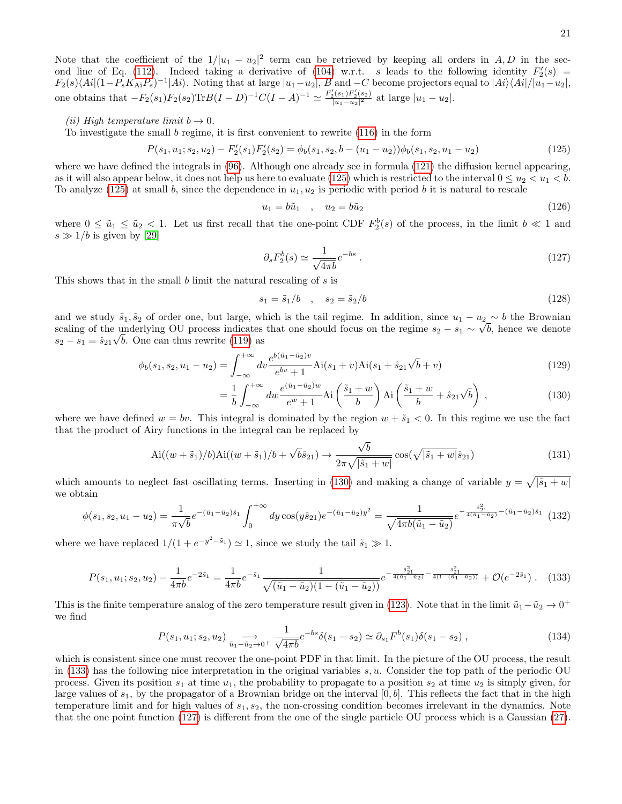Note that the coefficient of the  $1/|u_1 - u_2|^2$  term can be retrieved by keeping all orders in A, D in the sec-ond line of Eq. [\(112\)](#page-19-0). Indeed taking a derivative of [\(104\)](#page-18-1) w.r.t. s leads to the following identity  $F_2'(s)$  $F_2(s)\langle Ai|(1-P_sK_{Ai}P_s)^{-1}|Ai\rangle$ . Noting that at large  $|u_1-u_2|$ ,  $B$  and  $-C$  become projectors equal to  $|Ai\rangle\langle Ai|/|u_1-u_2|$ , one obtains that  $-F_2(s_1)F_2(s_2)\text{Tr}B(I-D)^{-1}C(I-A)^{-1} \simeq \frac{F_2'(s_1)F_2'(s_2)}{|u_1-u_2|^2}$  $\frac{[u_1(u_1-u_2)]^2}{[u_1-u_2]^2}$  at large  $|u_1-u_2|$ .

#### (ii) High temperature limit  $b \to 0$ .

To investigate the small  $b$  regime, it is first convenient to rewrite  $(116)$  in the form

<span id="page-20-0"></span>
$$
P(s_1, u_1; s_2, u_2) - F'_2(s_1)F'_2(s_2) = \phi_b(s_1, s_2, b - (u_1 - u_2))\phi_b(s_1, s_2, u_1 - u_2)
$$
\n(125)

where we have defined the integrals in  $(96)$ . Although one already see in formula  $(121)$  the diffusion kernel appearing, as it will also appear below, it does not help us here to evaluate [\(125\)](#page-20-0) which is restricted to the interval  $0 \le u_2 < u_1 < b$ . To analyze [\(125\)](#page-20-0) at small b, since the dependence in  $u_1, u_2$  is periodic with period b it is natural to rescale

$$
u_1 = b\tilde{u}_1 \quad , \quad u_2 = b\tilde{u}_2 \tag{126}
$$

where  $0 \leq \tilde{u}_1 \leq \tilde{u}_2 < 1$ . Let us first recall that the one-point CDF  $F_2^b(s)$  of the process, in the limit  $b \ll 1$  and  $s \gg 1/b$  is given by [\[29\]](#page-31-28)

<span id="page-20-3"></span>
$$
\partial_s F_2^b(s) \simeq \frac{1}{\sqrt{4\pi b}} e^{-bs} \ . \tag{127}
$$

This shows that in the small b limit the natural rescaling of s is

$$
s_1 = \tilde{s}_1/b \quad , \quad s_2 = \tilde{s}_2/b \tag{128}
$$

and we study  $\tilde{s}_1, \tilde{s}_2$  of order one, but large, which is the tail regime. In addition, since  $u_1 - u_2 \sim b$  the Brownian scaling of the underlying OU process indicates that one should focus on the regime  $s_2 - s_1 \sim \sqrt{b}$ , hence we denote s<sub>2</sub> – s<sub>1</sub> =  $\hat{s}_{21}\sqrt{b}$ . One can thus rewrite [\(119\)](#page-19-4) as

<span id="page-20-1"></span>
$$
\phi_b(s_1, s_2, u_1 - u_2) = \int_{-\infty}^{+\infty} dv \frac{e^{b(\tilde{u}_1 - \tilde{u}_2)v}}{e^{bv} + 1} Ai(s_1 + v) Ai(s_1 + \hat{s}_{21} \sqrt{b} + v)
$$
\n(129)

$$
= \frac{1}{b} \int_{-\infty}^{+\infty} dw \frac{e^{(\tilde{u}_1 - \tilde{u}_2)w}}{e^w + 1} \text{Ai}\left(\frac{\tilde{s}_1 + w}{b}\right) \text{Ai}\left(\frac{\tilde{s}_1 + w}{b} + \hat{s}_{21}\sqrt{b}\right) ,\tag{130}
$$

where we have defined  $w = bv$ . This integral is dominated by the region  $w + \tilde{s}_1 < 0$ . In this regime we use the fact that the product of Airy functions in the integral can be replaced by

$$
\text{Ai}((w+\tilde{s}_1)/b)\text{Ai}((w+\tilde{s}_1)/b+\sqrt{b}\hat{s}_{21}) \to \frac{\sqrt{b}}{2\pi\sqrt{|\tilde{s}_1+w|}}\cos(\sqrt{|\tilde{s}_1+w|}\hat{s}_{21})
$$
\n(131)

which amounts to neglect fast oscillating terms. Inserting in [\(130\)](#page-20-1) and making a change of variable  $y = \sqrt{|\tilde{s}_1 + w|}$ we obtain

$$
\phi(s_1, s_2, u_1 - u_2) = \frac{1}{\pi\sqrt{b}} e^{-(\tilde{u}_1 - \tilde{u}_2)\tilde{s}_1} \int_0^{+\infty} dy \cos(y \hat{s}_{21}) e^{-(\tilde{u}_1 - \tilde{u}_2)y^2} = \frac{1}{\sqrt{4\pi b(\tilde{u}_1 - \tilde{u}_2)}} e^{-\frac{\hat{s}_{21}^2}{4(\tilde{u}_1 - \tilde{u}_2)} - (\tilde{u}_1 - \tilde{u}_2)\tilde{s}_1} \tag{132}
$$

where we have replaced  $1/(1 + e^{-y^2 - \tilde{s}_1}) \simeq 1$ , since we study the tail  $\tilde{s}_1 \gg 1$ .

<span id="page-20-2"></span>
$$
P(s_1, u_1; s_2, u_2) - \frac{1}{4\pi b} e^{-2\tilde{s}_1} = \frac{1}{4\pi b} e^{-\tilde{s}_1} \frac{1}{\sqrt{(\tilde{u}_1 - \tilde{u}_2)(1 - (\tilde{u}_1 - \tilde{u}_2))}} e^{-\frac{\tilde{s}_2^2}{4(\tilde{u}_1 - \tilde{u}_2)} - \frac{\tilde{s}_2^2}{4(1 - (\tilde{u}_1 - \tilde{u}_2))}} + \mathcal{O}(e^{-2\tilde{s}_1}).
$$
 (133)

This is the finite temperature analog of the zero temperature result given in [\(123\)](#page-19-5). Note that in the limit  $\tilde{u}_1 - \tilde{u}_2 \rightarrow 0^+$ we find

$$
P(s_1, u_1; s_2, u_2) \xrightarrow{\tilde{u}_1 - \tilde{u}_2 \to 0^+} \frac{1}{\sqrt{4\pi b}} e^{-bs} \delta(s_1 - s_2) \simeq \partial_{s_1} F^b(s_1) \delta(s_1 - s_2) ,
$$
\n(134)

which is consistent since one must recover the one-point PDF in that limit. In the picture of the OU process, the result in [\(133\)](#page-20-2) has the following nice interpretation in the original variables  $s, u$ . Consider the top path of the periodic OU process. Given its position  $s_1$  at time  $u_1$ , the probability to propagate to a position  $s_2$  at time  $u_2$  is simply given, for large values of  $s_1$ , by the propagator of a Brownian bridge on the interval  $[0, b]$ . This reflects the fact that in the high temperature limit and for high values of  $s_1, s_2$ , the non-crossing condition becomes irrelevant in the dynamics. Note that the one point function [\(127\)](#page-20-3) is different from the one of the single particle OU process which is a Gaussian [\(27\)](#page-7-3).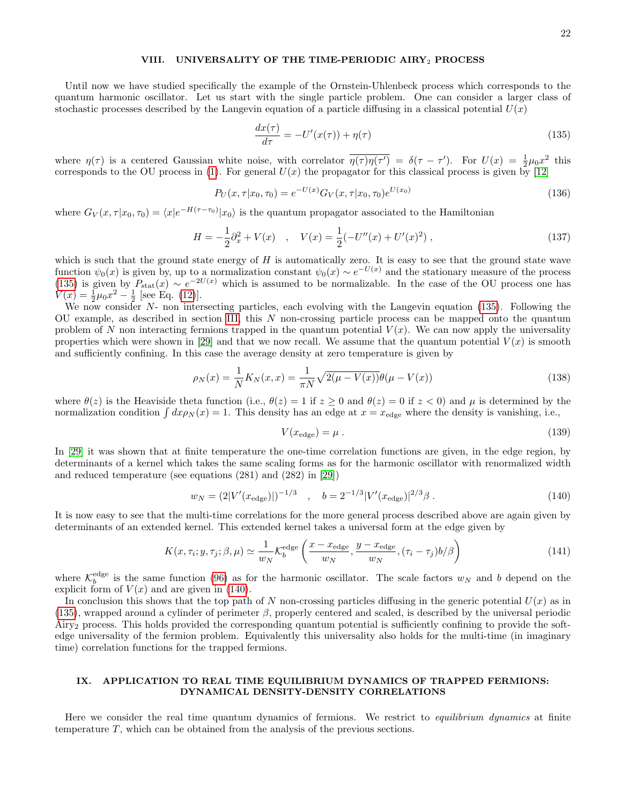# <span id="page-21-0"></span>VIII. UNIVERSALITY OF THE TIME-PERIODIC AIRY<sub>2</sub> PROCESS

Until now we have studied specifically the example of the Ornstein-Uhlenbeck process which corresponds to the quantum harmonic oscillator. Let us start with the single particle problem. One can consider a larger class of stochastic processes described by the Langevin equation of a particle diffusing in a classical potential  $U(x)$ 

<span id="page-21-2"></span>
$$
\frac{dx(\tau)}{d\tau} = -U'(x(\tau)) + \eta(\tau) \tag{135}
$$

where  $\eta(\tau)$  is a centered Gaussian white noise, with correlator  $\overline{\eta(\tau)\eta(\tau')} = \delta(\tau - \tau')$ . For  $U(x) = \frac{1}{2}\mu_0 x^2$  this corresponds to the OU process in [\(1\)](#page-2-6). For general  $U(x)$  the propagator for this classical process is given by [\[12\]](#page-31-12)

$$
P_U(x, \tau | x_0, \tau_0) = e^{-U(x)} G_V(x, \tau | x_0, \tau_0) e^{U(x_0)}
$$
\n(136)

where  $G_V(x, \tau | x_0, \tau_0) = \langle x | e^{-H(\tau - \tau_0)} | x_0 \rangle$  is the quantum propagator associated to the Hamiltonian

$$
H = -\frac{1}{2}\partial_x^2 + V(x) \quad , \quad V(x) = \frac{1}{2}(-U''(x) + U'(x)^2) \quad , \tag{137}
$$

which is such that the ground state energy of  $H$  is automatically zero. It is easy to see that the ground state wave function  $\psi_0(x)$  is given by, up to a normalization constant  $\psi_0(x) \sim e^{-U(x)}$  and the stationary measure of the process [\(135\)](#page-21-2) is given by  $P_{\text{stat}}(x) \sim e^{-2U(x)}$  which is assumed to be normalizable. In the case of the OU process one has  $V(x) = \frac{1}{2}\mu_0 x^2 - \frac{1}{2}$  [see Eq. [\(12\)](#page-5-2)].

We now consider N- non intersecting particles, each evolving with the Langevin equation [\(135\)](#page-21-2). Following the OU example, as described in section [III,](#page-7-0) this N non-crossing particle process can be mapped onto the quantum problem of N non interacting fermions trapped in the quantum potential  $V(x)$ . We can now apply the universality properties which were shown in [\[29\]](#page-31-28) and that we now recall. We assume that the quantum potential  $V(x)$  is smooth and sufficiently confining. In this case the average density at zero temperature is given by

$$
\rho_N(x) = \frac{1}{N} K_N(x, x) = \frac{1}{\pi N} \sqrt{2(\mu - V(x))} \theta(\mu - V(x))
$$
\n(138)

where  $\theta(z)$  is the Heaviside theta function (i.e.,  $\theta(z) = 1$  if  $z \ge 0$  and  $\theta(z) = 0$  if  $z < 0$ ) and  $\mu$  is determined by the normalization condition  $\int dx \rho_N(x) = 1$ . This density has an edge at  $x = x_{\text{edge}}$  where the density is vanishing, i.e.,

$$
V(x_{\text{edge}}) = \mu \tag{139}
$$

In [\[29\]](#page-31-28) it was shown that at finite temperature the one-time correlation functions are given, in the edge region, by determinants of a kernel which takes the same scaling forms as for the harmonic oscillator with renormalized width and reduced temperature (see equations (281) and (282) in [\[29\]](#page-31-28))

<span id="page-21-3"></span>
$$
w_N = (2|V'(x_{\text{edge}})|)^{-1/3} \quad , \quad b = 2^{-1/3}|V'(x_{\text{edge}})|^{2/3}\beta \; . \tag{140}
$$

It is now easy to see that the multi-time correlations for the more general process described above are again given by determinants of an extended kernel. This extended kernel takes a universal form at the edge given by

$$
K(x, \tau_i; y, \tau_j; \beta, \mu) \simeq \frac{1}{w_N} \mathcal{K}_b^{\text{edge}} \left( \frac{x - x_{\text{edge}}}{w_N}, \frac{y - x_{\text{edge}}}{w_N}, (\tau_i - \tau_j) b/\beta \right)
$$
(141)

where  $\mathcal{K}_{b}^{\text{edge}}$  is the same function [\(96\)](#page-16-3) as for the harmonic oscillator. The scale factors  $w_N$  and b depend on the explicit form of  $V(x)$  and are given in [\(140\)](#page-21-3).

In conclusion this shows that the top path of N non-crossing particles diffusing in the generic potential  $U(x)$  as in  $(135)$ , wrapped around a cylinder of perimeter  $\beta$ , properly centered and scaled, is described by the universal periodic Airy<sup>2</sup> process. This holds provided the corresponding quantum potential is sufficiently confining to provide the softedge universality of the fermion problem. Equivalently this universality also holds for the multi-time (in imaginary time) correlation functions for the trapped fermions.

# <span id="page-21-1"></span>IX. APPLICATION TO REAL TIME EQUILIBRIUM DYNAMICS OF TRAPPED FERMIONS: DYNAMICAL DENSITY-DENSITY CORRELATIONS

Here we consider the real time quantum dynamics of fermions. We restrict to *equilibrium dynamics* at finite temperature T, which can be obtained from the analysis of the previous sections.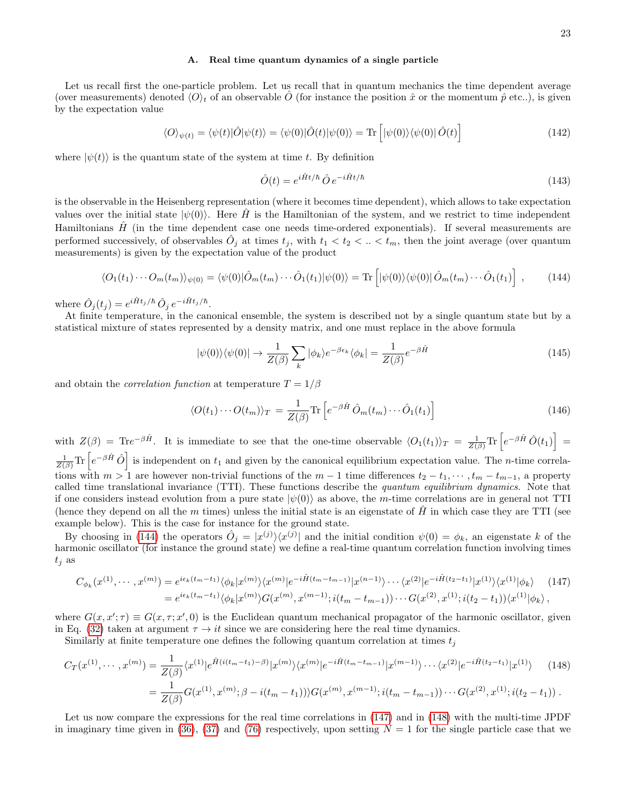#### <span id="page-22-0"></span>A. Real time quantum dynamics of a single particle

Let us recall first the one-particle problem. Let us recall that in quantum mechanics the time dependent average (over measurements) denoted  $\langle O \rangle_t$  of an observable  $\hat{O}$  (for instance the position  $\hat{x}$  or the momentum  $\hat{p}$  etc..), is given by the expectation value

$$
\langle O \rangle_{\psi(t)} = \langle \psi(t) | \hat{O} | \psi(t) \rangle = \langle \psi(0) | \hat{O}(t) | \psi(0) \rangle = \text{Tr} \left[ | \psi(0) \rangle \langle \psi(0) | \hat{O}(t) \right] \tag{142}
$$

where  $|\psi(t)\rangle$  is the quantum state of the system at time t. By definition

$$
\hat{O}(t) = e^{i\hat{H}t/\hbar} \hat{O} e^{-i\hat{H}t/\hbar}
$$
\n(143)

is the observable in the Heisenberg representation (where it becomes time dependent), which allows to take expectation values over the initial state  $|\psi(0)\rangle$ . Here H<sup>†</sup> is the Hamiltonian of the system, and we restrict to time independent Hamiltonians  $\hat{H}$  (in the time dependent case one needs time-ordered exponentials). If several measurements are performed successively, of observables  $\hat{O}_j$  at times  $t_j$ , with  $t_1 < t_2 < ... < t_m$ , then the joint average (over quantum measurements) is given by the expectation value of the product

<span id="page-22-1"></span>
$$
\langle O_1(t_1)\cdots O_m(t_m)\rangle_{\psi(0)} = \langle \psi(0)|\hat{O}_m(t_m)\cdots \hat{O}_1(t_1)|\psi(0)\rangle = \text{Tr}\left[|\psi(0)\rangle\langle\psi(0)|\hat{O}_m(t_m)\cdots \hat{O}_1(t_1)\right],\tag{144}
$$

where  $\hat{O}_j(t_j) = e^{i\hat{H}t_j/\hbar} \hat{O}_j e^{-i\hat{H}t_j/\hbar}$ .

At finite temperature, in the canonical ensemble, the system is described not by a single quantum state but by a statistical mixture of states represented by a density matrix, and one must replace in the above formula

$$
|\psi(0)\rangle\langle\psi(0)| \to \frac{1}{Z(\beta)}\sum_{k} |\phi_{k}\rangle e^{-\beta \epsilon_{k}} \langle\phi_{k}| = \frac{1}{Z(\beta)} e^{-\beta \hat{H}}
$$
\n(145)

and obtain the *correlation function* at temperature  $T = 1/\beta$ 

$$
\langle O(t_1)\cdots O(t_m)\rangle_T = \frac{1}{Z(\beta)} \text{Tr}\left[e^{-\beta \hat{H}} \hat{O}_m(t_m)\cdots \hat{O}_1(t_1)\right]
$$
(146)

with  $Z(\beta) = \text{Tr}e^{-\beta \hat{H}}$ . It is immediate to see that the one-time observable  $\langle O_1(t_1) \rangle_T = \frac{1}{Z(\beta)} \text{Tr} \left[ e^{-\beta \hat{H}} \hat{O}(t_1) \right] =$  $\frac{1}{Z(\beta)} \text{Tr} \left[ e^{-\beta \hat{H}} \hat{O} \right]$  is independent on  $t_1$  and given by the canonical equilibrium expectation value. The *n*-time correlations with  $m > 1$  are however non-trivial functions of the  $m - 1$  time differences  $t_2 - t_1, \dots, t_m - t_{m-1}$ , a property called time translational invariance (TTI). These functions describe the quantum equilibrium dynamics. Note that if one considers instead evolution from a pure state  $|\psi(0)\rangle$  as above, the m-time correlations are in general not TTI (hence they depend on all the m times) unless the initial state is an eigenstate of  $\hat{H}$  in which case they are TTI (see example below). This is the case for instance for the ground state.

By choosing in [\(144\)](#page-22-1) the operators  $\hat{O}_j = |x^{(j)}\rangle \langle x^{(j)}|$  and the initial condition  $\psi(0) = \phi_k$ , an eigenstate k of the harmonic oscillator (for instance the ground state) we define a real-time quantum correlation function involving times  $t_j$  as

<span id="page-22-2"></span>
$$
C_{\phi_k}(x^{(1)},\cdots,x^{(m)}) = e^{i\epsilon_k(t_m-t_1)}\langle\phi_k|x^{(m)}\rangle\langle x^{(m)}|e^{-i\hat{H}(t_m-t_{m-1})}|x^{(n-1)}\rangle\cdots\langle x^{(2)}|e^{-i\hat{H}(t_2-t_1)}|x^{(1)}\rangle\langle x^{(1)}|\phi_k\rangle \qquad (147)
$$
  
= 
$$
e^{i\epsilon_k(t_m-t_1)}\langle\phi_k|x^{(m)}\rangle G(x^{(m)},x^{(m-1)};i(t_m-t_{m-1}))\cdots G(x^{(2)},x^{(1)};i(t_2-t_1))\langle x^{(1)}|\phi_k\rangle,
$$

where  $G(x, x'; \tau) \equiv G(x, \tau; x', 0)$  is the Euclidean quantum mechanical propagator of the harmonic oscillator, given in Eq. [\(32\)](#page-8-4) taken at argument  $\tau \to it$  since we are considering here the real time dynamics.

Similarly at finite temperature one defines the following quantum correlation at times  $t_j$ 

<span id="page-22-3"></span>
$$
C_T(x^{(1)},\cdots,x^{(m)}) = \frac{1}{Z(\beta)} \langle x^{(1)} | e^{\hat{H}(i(t_m-t_1)-\beta)} | x^{(m)} \rangle \langle x^{(m)} | e^{-i\hat{H}(t_m-t_{m-1})} | x^{(m-1)} \rangle \cdots \langle x^{(2)} | e^{-i\hat{H}(t_2-t_1)} | x^{(1)} \rangle \qquad (148)
$$

$$
= \frac{1}{Z(\beta)} G(x^{(1)},x^{(m)};\beta - i(t_m-t_1)) \rangle G(x^{(m)},x^{(m-1)};i(t_m-t_{m-1})) \cdots G(x^{(2)},x^{(1)};i(t_2-t_1)) .
$$

Let us now compare the expressions for the real time correlations in [\(147\)](#page-22-2) and in [\(148\)](#page-22-3) with the multi-time JPDF in imaginary time given in [\(36\)](#page-9-2), [\(37\)](#page-9-3) and [\(76\)](#page-14-0) respectively, upon setting  $N = 1$  for the single particle case that we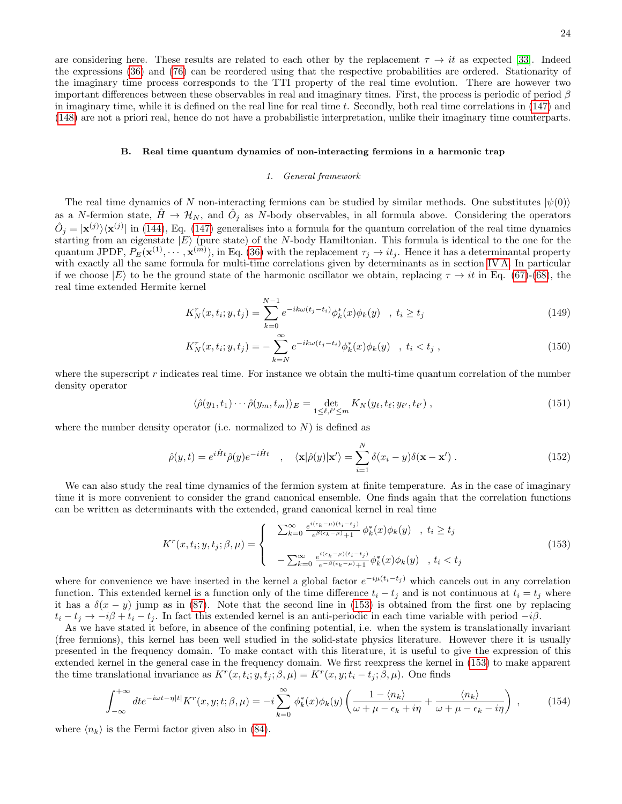are considering here. These results are related to each other by the replacement  $\tau \to it$  as expected [\[33\]](#page-31-29). Indeed the expressions [\(36\)](#page-9-2) and [\(76\)](#page-14-0) can be reordered using that the respective probabilities are ordered. Stationarity of the imaginary time process corresponds to the TTI property of the real time evolution. There are however two important differences between these observables in real and imaginary times. First, the process is periodic of period  $\beta$ in imaginary time, while it is defined on the real line for real time  $t$ . Secondly, both real time correlations in  $(147)$  and [\(148\)](#page-22-3) are not a priori real, hence do not have a probabilistic interpretation, unlike their imaginary time counterparts.

#### <span id="page-23-0"></span>B. Real time quantum dynamics of non-interacting fermions in a harmonic trap

#### <span id="page-23-1"></span>1. General framework

The real time dynamics of N non-interacting fermions can be studied by similar methods. One substitutes  $|\psi(0)\rangle$ as a N-fermion state,  $\hat{H} \to \mathcal{H}_N$ , and  $\hat{O}_j$  as N-body observables, in all formula above. Considering the operators  $\hat{O}_j = |\mathbf{x}^{(j)}\rangle\langle\mathbf{x}^{(j)}|$  in [\(144\)](#page-22-1), Eq. [\(147\)](#page-22-2) generalises into a formula for the quantum correlation of the real time dynamics starting from an eigenstate  $|E\rangle$  (pure state) of the N-body Hamiltonian. This formula is identical to the one for the quantum JPDF,  $P_E(\mathbf{x}^{(1)}, \dots, \mathbf{x}^{(m)})$ , in Eq. [\(36\)](#page-9-2) with the replacement  $\tau_j \to it_j$ . Hence it has a determinantal property with exactly all the same formula for multi-time correlations given by determinants as in section [IV A.](#page-9-1) In particular if we choose  $|E\rangle$  to be the ground state of the harmonic oscillator we obtain, replacing  $\tau \to it$  in Eq. [\(67\)](#page-13-4)-[\(68\)](#page-13-4), the real time extended Hermite kernel

$$
K_N^r(x, t_i; y, t_j) = \sum_{k=0}^{N-1} e^{-ik\omega(t_j - t_i)} \phi_k^*(x) \phi_k(y) \quad , \ t_i \ge t_j \tag{149}
$$

$$
K_N^r(x, t_i; y, t_j) = -\sum_{k=N}^{\infty} e^{-ik\omega(t_j - t_i)} \phi_k^*(x) \phi_k(y) \quad , \ t_i < t_j \ , \tag{150}
$$

where the superscript  $r$  indicates real time. For instance we obtain the multi-time quantum correlation of the number density operator

$$
\langle \hat{\rho}(y_1, t_1) \cdots \hat{\rho}(y_m, t_m) \rangle_E = \det_{1 \leq \ell, \ell' \leq m} K_N(y_\ell, t_\ell; y_{\ell'}, t_{\ell'}) \,, \tag{151}
$$

where the number density operator (i.e. normalized to  $N$ ) is defined as

$$
\hat{\rho}(y,t) = e^{i\hat{H}t}\hat{\rho}(y)e^{-i\hat{H}t} \quad , \quad \langle \mathbf{x}|\hat{\rho}(y)|\mathbf{x}'\rangle = \sum_{i=1}^{N} \delta(x_i - y)\delta(\mathbf{x} - \mathbf{x}') \; . \tag{152}
$$

We can also study the real time dynamics of the fermion system at finite temperature. As in the case of imaginary time it is more convenient to consider the grand canonical ensemble. One finds again that the correlation functions can be written as determinants with the extended, grand canonical kernel in real time

<span id="page-23-2"></span>
$$
K^{r}(x, t_{i}; y, t_{j}; \beta, \mu) = \begin{cases} \sum_{k=0}^{\infty} \frac{e^{i(\epsilon_{k} - \mu)(t_{i} - t_{j})}}{e^{\beta(\epsilon_{k} - \mu)} + 1} \phi_{k}^{*}(x)\phi_{k}(y) , t_{i} \ge t_{j} \\ -\sum_{k=0}^{\infty} \frac{e^{i(\epsilon_{k} - \mu)(t_{i} - t_{j})}}{e^{-\beta(\epsilon_{k} - \mu)} + 1} \phi_{k}^{*}(x)\phi_{k}(y) , t_{i} < t_{j} \end{cases}
$$
(153)

where for convenience we have inserted in the kernel a global factor  $e^{-i\mu(t_i-t_j)}$  which cancels out in any correlation function. This extended kernel is a function only of the time difference  $t_i - t_j$  and is not continuous at  $t_i = t_j$  where it has a  $\delta(x - y)$  jump as in [\(87\)](#page-15-3). Note that the second line in [\(153\)](#page-23-2) is obtained from the first one by replacing  $t_i - t_j \rightarrow -i\beta + t_i - t_j$ . In fact this extended kernel is an anti-periodic in each time variable with period  $-i\beta$ .

As we have stated it before, in absence of the confining potential, i.e. when the system is translationally invariant (free fermions), this kernel has been well studied in the solid-state physics literature. However there it is usually presented in the frequency domain. To make contact with this literature, it is useful to give the expression of this extended kernel in the general case in the frequency domain. We first reexpress the kernel in [\(153\)](#page-23-2) to make apparent the time translational invariance as  $K^r(x, t_i; y, t_j; \beta, \mu) = K^r(x, y; t_i - t_j; \beta, \mu)$ . One finds

$$
\int_{-\infty}^{+\infty} dt e^{-i\omega t - \eta |t|} K^{r}(x, y; t; \beta, \mu) = -i \sum_{k=0}^{\infty} \phi_{k}^{*}(x) \phi_{k}(y) \left( \frac{1 - \langle n_{k} \rangle}{\omega + \mu - \epsilon_{k} + i\eta} + \frac{\langle n_{k} \rangle}{\omega + \mu - \epsilon_{k} - i\eta} \right) , \qquad (154)
$$

where  $\langle n_k \rangle$  is the Fermi factor given also in [\(84\)](#page-14-2).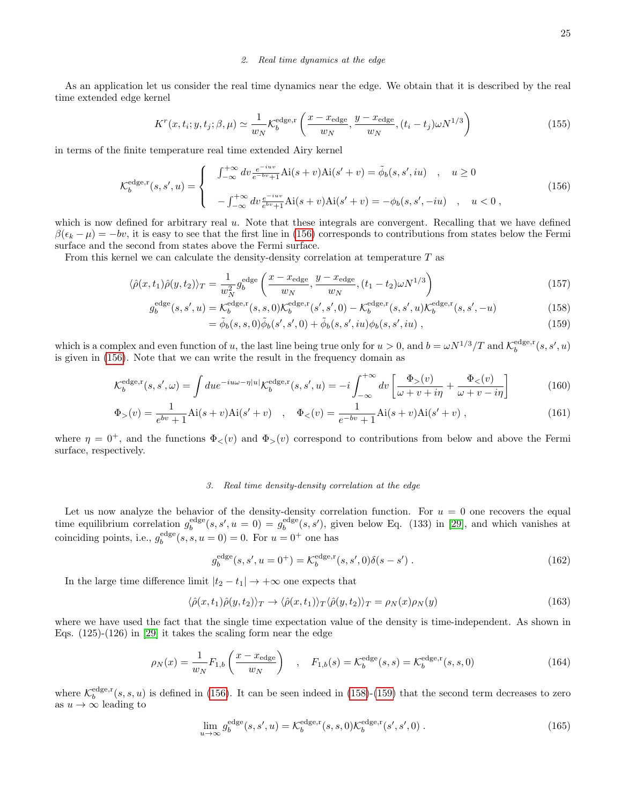#### <span id="page-24-0"></span>2. Real time dynamics at the edge

As an application let us consider the real time dynamics near the edge. We obtain that it is described by the real time extended edge kernel

$$
K^{r}(x,t_{i};y,t_{j};\beta,\mu) \simeq \frac{1}{w_{N}} \mathcal{K}_{b}^{\text{edge,r}}\left(\frac{x-x_{\text{edge}}}{w_{N}},\frac{y-x_{\text{edge}}}{w_{N}},(t_{i}-t_{j})\omega N^{1/3}\right)
$$
(155)

in terms of the finite temperature real time extended Airy kernel

<span id="page-24-2"></span>
$$
\mathcal{K}_{b}^{\text{edge,r}}(s,s',u) = \begin{cases}\n\int_{-\infty}^{+\infty} dv \frac{e^{-iuv}}{e^{-bv}+1} \text{Ai}(s+v) \text{Ai}(s'+v) = \tilde{\phi}_{b}(s,s',iu) & , u \ge 0 \\
-\int_{-\infty}^{+\infty} dv \frac{e^{-iuv}}{e^{bv}+1} \text{Ai}(s+v) \text{Ai}(s'+v) = -\phi_{b}(s,s',-iu) & , u < 0\n\end{cases}
$$
\n(156)

which is now defined for arbitrary real u. Note that these integrals are convergent. Recalling that we have defined  $\beta(\epsilon_k - \mu) = -bv$ , it is easy to see that the first line in [\(156\)](#page-24-2) corresponds to contributions from states below the Fermi surface and the second from states above the Fermi surface.

From this kernel we can calculate the density-density correlation at temperature T as

<span id="page-24-3"></span>
$$
\langle \hat{\rho}(x, t_1)\hat{\rho}(y, t_2) \rangle_T = \frac{1}{w_N^2} g_b^{\text{edge}} \left( \frac{x - x_{\text{edge}}}{w_N}, \frac{y - x_{\text{edge}}}{w_N}, (t_1 - t_2)\omega N^{1/3} \right) \tag{157}
$$

$$
g_b^{\text{edge}}(s, s', u) = \mathcal{K}_b^{\text{edge}, \mathbf{r}}(s, s, 0) \mathcal{K}_b^{\text{edge}, \mathbf{r}}(s', s', 0) - \mathcal{K}_b^{\text{edge}, \mathbf{r}}(s, s', u) \mathcal{K}_b^{\text{edge}, \mathbf{r}}(s, s', -u)
$$
(158)

$$
= \tilde{\phi}_b(s, s, 0)\tilde{\phi}_b(s', s', 0) + \tilde{\phi}_b(s, s', i\omega)\phi_b(s, s', i\omega) ,
$$
\n(159)

which is a complex and even function of u, the last line being true only for  $u > 0$ , and  $b = \omega N^{1/3}/T$  and  $\mathcal{K}_b^{\text{edge},r}(s, s', u)$ is given in [\(156\)](#page-24-2). Note that we can write the result in the frequency domain as

$$
\mathcal{K}_b^{\text{edge}, \mathbf{r}}(s, s', \omega) = \int du e^{-i u \omega - \eta |u|} \mathcal{K}_b^{\text{edge}, \mathbf{r}}(s, s', u) = -i \int_{-\infty}^{+\infty} dv \left[ \frac{\Phi_>(v)}{\omega + v + i\eta} + \frac{\Phi_<(v)}{\omega + v - i\eta} \right] \tag{160}
$$

$$
\Phi_{>}(v) = \frac{1}{e^{bv} + 1} \text{Ai}(s+v) \text{Ai}(s'+v) \quad , \quad \Phi_{<}(v) = \frac{1}{e^{-bv} + 1} \text{Ai}(s+v) \text{Ai}(s'+v) \tag{161}
$$

where  $\eta = 0^+$ , and the functions  $\Phi_{\leq}(v)$  and  $\Phi_{\geq}(v)$  correspond to contributions from below and above the Fermi surface, respectively.

# <span id="page-24-1"></span>3. Real time density-density correlation at the edge

Let us now analyze the behavior of the density-density correlation function. For  $u = 0$  one recovers the equal time equilibrium correlation  $g_b^{\text{edge}}(s, s', u = 0) = g_b^{\text{edge}}(s, s')$ , given below Eq. (133) in [\[29\]](#page-31-28), and which vanishes at coinciding points, i.e.,  $g_b^{\text{edge}}(s, s, u = 0) = 0$ . For  $u = 0^+$  one has

$$
g_b^{\text{edge}}(s, s', u = 0^+) = \mathcal{K}_b^{\text{edge}, \text{r}}(s, s', 0)\delta(s - s') . \tag{162}
$$

In the large time difference limit  $|t_2 - t_1| \to +\infty$  one expects that

$$
\langle \hat{\rho}(x,t_1)\hat{\rho}(y,t_2)\rangle_T \to \langle \hat{\rho}(x,t_1)\rangle_T \langle \hat{\rho}(y,t_2)\rangle_T = \rho_N(x)\rho_N(y) \tag{163}
$$

where we have used the fact that the single time expectation value of the density is time-independent. As shown in Eqs. (125)-(126) in [\[29\]](#page-31-28) it takes the scaling form near the edge

$$
\rho_N(x) = \frac{1}{w_N} F_{1,b} \left( \frac{x - x_{\text{edge}}}{w_N} \right) , \quad F_{1,b}(s) = \mathcal{K}_b^{\text{edge}}(s, s) = \mathcal{K}_b^{\text{edge}, \text{r}}(s, s, 0)
$$
\n(164)

where  $\mathcal{K}_{b}^{\text{edge},r}(s, s, u)$  is defined in [\(156\)](#page-24-2). It can be seen indeed in [\(158\)](#page-24-3)-[\(159\)](#page-24-3) that the second term decreases to zero as  $u \to \infty$  leading to

$$
\lim_{u \to \infty} g_b^{\text{edge}}(s, s', u) = \mathcal{K}_b^{\text{edge}, \mathbf{r}}(s, s, 0) \mathcal{K}_b^{\text{edge}, \mathbf{r}}(s', s', 0) \,. \tag{165}
$$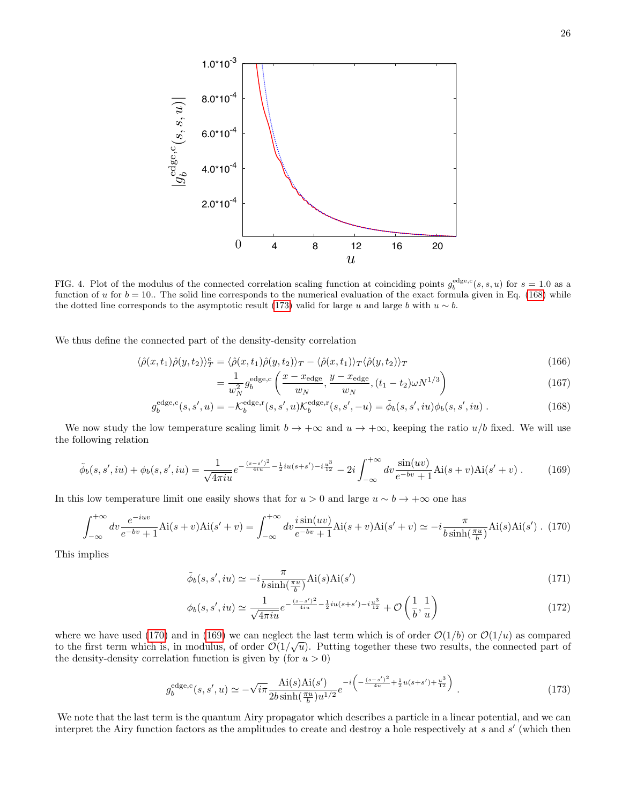

<span id="page-25-4"></span>FIG. 4. Plot of the modulus of the connected correlation scaling function at coinciding points  $g_b^{\text{edge},c}(s,s,u)$  for  $s=1.0$  as a function of u for  $b = 10$ . The solid line corresponds to the numerical evaluation of the exact formula given in Eq. [\(168\)](#page-25-0) while the dotted line corresponds to the asymptotic result [\(173\)](#page-25-1) valid for large u and large b with  $u \sim b$ .

We thus define the connected part of the density-density correlation

<span id="page-25-0"></span>
$$
\langle \hat{\rho}(x, t_1) \hat{\rho}(y, t_2) \rangle_T^c = \langle \hat{\rho}(x, t_1) \hat{\rho}(y, t_2) \rangle_T - \langle \hat{\rho}(x, t_1) \rangle_T \langle \hat{\rho}(y, t_2) \rangle_T \tag{166}
$$

$$
= \frac{1}{w_N^2} g_b^{\text{edge},c} \left( \frac{x - x_{\text{edge}}}{w_N}, \frac{y - x_{\text{edge}}}{w_N}, (t_1 - t_2) \omega N^{1/3} \right)
$$
(167)

$$
g_b^{\text{edge,c}}(s, s', u) = -\mathcal{K}_b^{\text{edge,r}}(s, s', u)\mathcal{K}_b^{\text{edge,r}}(s, s', -u) = \tilde{\phi}_b(s, s', iu)\phi_b(s, s', iu) \tag{168}
$$

We now study the low temperature scaling limit  $b \to +\infty$  and  $u \to +\infty$ , keeping the ratio  $u/b$  fixed. We will use the following relation

<span id="page-25-3"></span>
$$
\tilde{\phi}_b(s, s', iu) + \phi_b(s, s', iu) = \frac{1}{\sqrt{4\pi i u}} e^{-\frac{(s-s')^2}{4iu} - \frac{1}{2}iu(s+s') - i\frac{u^3}{12}} - 2i \int_{-\infty}^{+\infty} dv \frac{\sin(uv)}{e^{-bv} + 1} Ai(s+v) Ai(s'+v) . \tag{169}
$$

In this low temperature limit one easily shows that for  $u > 0$  and large  $u \sim b \to +\infty$  one has

<span id="page-25-2"></span>
$$
\int_{-\infty}^{+\infty} dv \frac{e^{-iuv}}{e^{-bv} + 1} \text{Ai}(s+v) \text{Ai}(s'+v) = \int_{-\infty}^{+\infty} dv \frac{i \sin(uv)}{e^{-bv} + 1} \text{Ai}(s+v) \text{Ai}(s'+v) \simeq -i \frac{\pi}{b \sinh(\frac{\pi u}{b})} \text{Ai}(s) \text{Ai}(s') \quad (170)
$$

This implies

$$
\tilde{\phi}_b(s, s', iu) \simeq -i\frac{\pi}{b\sinh(\frac{\pi u}{b})} \text{Ai}(s)\text{Ai}(s')
$$
\n(171)

$$
\phi_b(s, s', iu) \simeq \frac{1}{\sqrt{4\pi i u}} e^{-\frac{(s-s')^2}{4iu} - \frac{1}{2}iu(s+s') - i\frac{u^3}{12}} + \mathcal{O}\left(\frac{1}{b}, \frac{1}{u}\right) \tag{172}
$$

where we have used [\(170\)](#page-25-2) and in [\(169\)](#page-25-3) we can neglect the last term which is of order  $\mathcal{O}(1/b)$  or  $\mathcal{O}(1/u)$  as compared to the first term which is, in modulus, of order  $\mathcal{O}(1/\sqrt{u})$ . Putting together these two results, the connected part of the density-density correlation function is given by (for  $u > 0$ )

<span id="page-25-1"></span>
$$
g_b^{\text{edge},c}(s,s',u) \simeq -\sqrt{i\pi} \frac{\text{Ai}(s)\text{Ai}(s')}{2b\sinh(\frac{\pi u}{b})u^{1/2}} e^{-i\left(-\frac{(s-s')^2}{4u} + \frac{1}{2}u(s+s') + \frac{u^3}{12}\right)}.
$$
\n(173)

We note that the last term is the quantum Airy propagator which describes a particle in a linear potential, and we can interpret the Airy function factors as the amplitudes to create and destroy a hole respectively at  $s$  and  $s'$  (which then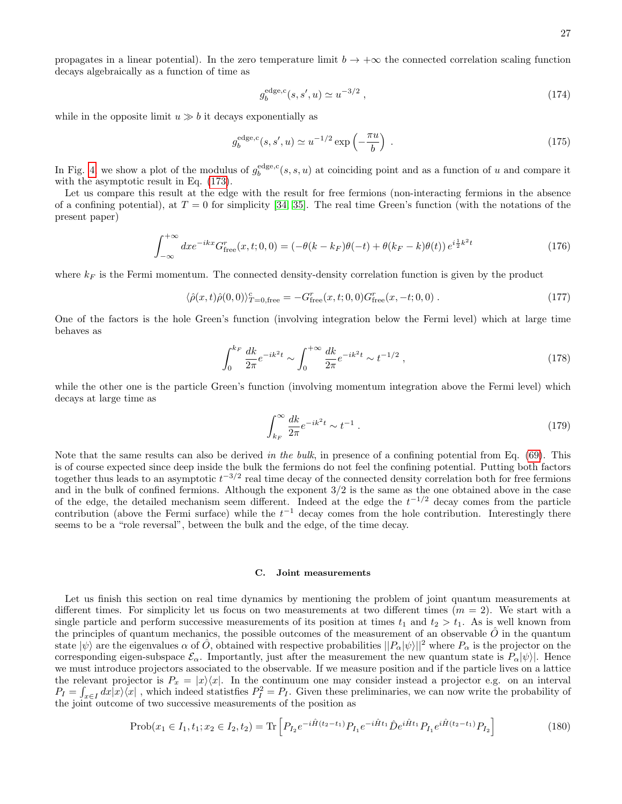27

propagates in a linear potential). In the zero temperature limit  $b \to +\infty$  the connected correlation scaling function decays algebraically as a function of time as

$$
g_b^{\text{edge,c}}(s, s', u) \simeq u^{-3/2} \,, \tag{174}
$$

while in the opposite limit  $u \gg b$  it decays exponentially as

$$
g_b^{\text{edge,c}}(s, s', u) \simeq u^{-1/2} \exp\left(-\frac{\pi u}{b}\right) \tag{175}
$$

In Fig. [4,](#page-25-4) we show a plot of the modulus of  $g_b^{\text{edge},c}(s,s,u)$  at coinciding point and as a function of u and compare it with the asymptotic result in Eq.  $(173)$ .

Let us compare this result at the edge with the result for free fermions (non-interacting fermions in the absence of a confining potential), at  $T = 0$  for simplicity [\[34,](#page-31-30) [35\]](#page-31-31). The real time Green's function (with the notations of the present paper)

$$
\int_{-\infty}^{+\infty} dx e^{-ikx} G_{\text{free}}^r(x, t; 0, 0) = \left(-\theta(k - k_F)\theta(-t) + \theta(k_F - k)\theta(t)\right) e^{i\frac{1}{2}k^2t} \tag{176}
$$

where  $k_F$  is the Fermi momentum. The connected density-density correlation function is given by the product

$$
\langle \hat{\rho}(x,t)\hat{\rho}(0,0)\rangle_{T=0,\text{free}}^c = -G_{\text{free}}^r(x,t;0,0)G_{\text{free}}^r(x,-t;0,0) \tag{177}
$$

One of the factors is the hole Green's function (involving integration below the Fermi level) which at large time behaves as

$$
\int_0^{k_F} \frac{dk}{2\pi} e^{-ik^2t} \sim \int_0^{+\infty} \frac{dk}{2\pi} e^{-ik^2t} \sim t^{-1/2} \,,\tag{178}
$$

while the other one is the particle Green's function (involving momentum integration above the Fermi level) which decays at large time as

$$
\int_{k_F}^{\infty} \frac{dk}{2\pi} e^{-ik^2t} \sim t^{-1} \,. \tag{179}
$$

Note that the same results can also be derived in the bulk, in presence of a confining potential from Eq.  $(69)$ . This is of course expected since deep inside the bulk the fermions do not feel the confining potential. Putting both factors together thus leads to an asymptotic  $t^{-3/2}$  real time decay of the connected density correlation both for free fermions and in the bulk of confined fermions. Although the exponent 3/2 is the same as the one obtained above in the case of the edge, the detailed mechanism seem different. Indeed at the edge the  $t^{-1/2}$  decay comes from the particle contribution (above the Fermi surface) while the  $t^{-1}$  decay comes from the hole contribution. Interestingly there seems to be a "role reversal", between the bulk and the edge, of the time decay.

#### <span id="page-26-0"></span>C. Joint measurements

Let us finish this section on real time dynamics by mentioning the problem of joint quantum measurements at different times. For simplicity let us focus on two measurements at two different times  $(m = 2)$ . We start with a single particle and perform successive measurements of its position at times  $t_1$  and  $t_2 > t_1$ . As is well known from the principles of quantum mechanics, the possible outcomes of the measurement of an observable  $\hat{O}$  in the quantum state  $|\psi\rangle$  are the eigenvalues  $\alpha$  of  $\hat{O}$ , obtained with respective probabilities  $||P_{\alpha}|\psi\rangle||^2$  where  $P_{\alpha}$  is the projector on the corresponding eigen-subspace  $\mathcal{E}_{\alpha}$ . Importantly, just after the measurement the new quantum state is  $P_{\alpha}|\psi\rangle$ . Hence we must introduce projectors associated to the observable. If we measure position and if the particle lives on a lattice the relevant projector is  $P_x = |x\rangle\langle x|$ . In the continuum one may consider instead a projector e.g. on an interval  $P_I = \int_{x \in I} dx |x\rangle\langle x|$ , which indeed statistfies  $P_I^2 = P_I$ . Given these preliminaries, we can now write the probability of the joint outcome of two successive measurements of the position as

<span id="page-26-1"></span>
$$
\text{Prob}(x_1 \in I_1, t_1; x_2 \in I_2, t_2) = \text{Tr}\left[P_{I_2}e^{-i\hat{H}(t_2 - t_1)}P_{I_1}e^{-i\hat{H}t_1}\hat{D}e^{i\hat{H}t_1}P_{I_1}e^{i\hat{H}(t_2 - t_1)}P_{I_2}\right] \tag{180}
$$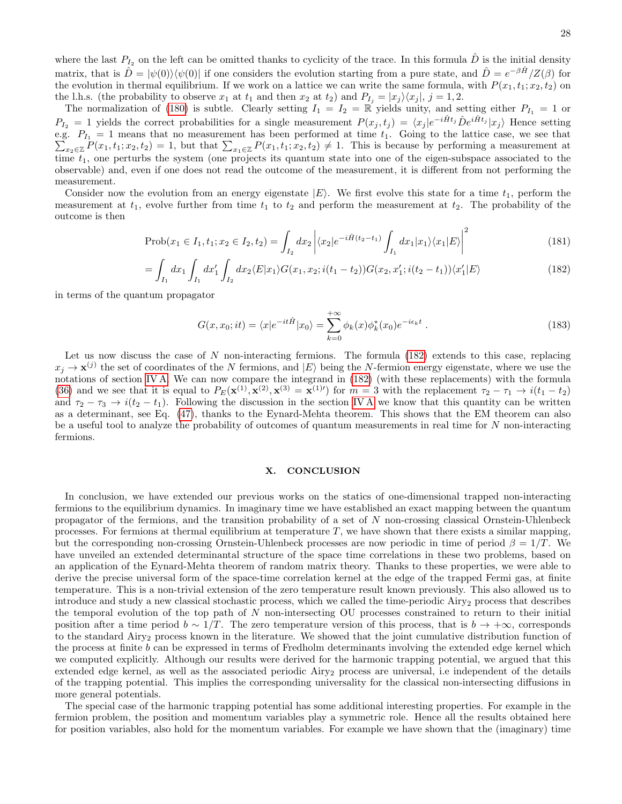where the last  $P_{I_2}$  on the left can be omitted thanks to cyclicity of the trace. In this formula  $\hat{D}$  is the initial density matrix, that is  $\hat{D} = |\psi(0)\rangle\langle\psi(0)|$  if one considers the evolution starting from a pure state, and  $\hat{D} = e^{-\beta \hat{H}}/Z(\beta)$  for the evolution in thermal equilibrium. If we work on a lattice we can write the same formula, with  $P(x_1, t_1; x_2, t_2)$  on the l.h.s. (the probability to observe  $x_1$  at  $t_1$  and then  $x_2$  at  $t_2$ ) and  $P_{I_i} = |x_j\rangle\langle x_j|, j = 1, 2$ .

The normalization of [\(180\)](#page-26-1) is subtle. Clearly setting  $I_1 = I_2 = \mathbb{R}$  yields unity, and setting either  $P_{I_1} = 1$  or  $P_{I_2} = 1$  yields the correct probabilities for a single measurement  $P(x_j, t_j) = \langle x_j | e^{-i\hat{H}t_j} \hat{D} e^{i\hat{H}t_j} | x_j \rangle$  Hence setting e.g.  $P_{I_1} = 1$  means that no measurement has been performed at time  $t_1$ . Going to the lattice case, we see that  $\sum_{x_2 \in \mathbb{Z}} P(x_1, t_1; x_2, t_2) = 1$ , but that  $\sum_{x_1 \in \mathbb{Z}} P(x_1, t_1; x_2, t_2) \neq 1$ . This is because by performing a measurement at time  $t_1$ , one perturbs the system (one projects its quantum state into one of the eigen-subspace associated to the observable) and, even if one does not read the outcome of the measurement, it is different from not performing the measurement.

Consider now the evolution from an energy eigenstate  $|E\rangle$ . We first evolve this state for a time  $t_1$ , perform the measurement at  $t_1$ , evolve further from time  $t_1$  to  $t_2$  and perform the measurement at  $t_2$ . The probability of the outcome is then

<span id="page-27-1"></span>
$$
\text{Prob}(x_1 \in I_1, t_1; x_2 \in I_2, t_2) = \int_{I_2} dx_2 \left| \langle x_2 | e^{-i\hat{H}(t_2 - t_1)} \int_{I_1} dx_1 | x_1 \rangle \langle x_1 | E \rangle \right|^2 \tag{181}
$$

$$
= \int_{I_1} dx_1 \int_{I_1} dx'_1 \int_{I_2} dx_2 \langle E | x_1 \rangle G(x_1, x_2; i(t_1 - t_2)) G(x_2, x'_1; i(t_2 - t_1)) \langle x'_1 | E \rangle \tag{182}
$$

in terms of the quantum propagator

$$
G(x, x_0; it) = \langle x | e^{-it\hat{H}} | x_0 \rangle = \sum_{k=0}^{+\infty} \phi_k(x) \phi_k^*(x_0) e^{-i\epsilon_k t} . \tag{183}
$$

Let us now discuss the case of N non-interacting fermions. The formula  $(182)$  extends to this case, replacing  $x_j \to \mathbf{x}^{(j)}$  the set of coordinates of the N fermions, and  $|E\rangle$  being the N-fermion energy eigenstate, where we use the notations of section [IV A.](#page-9-1) We can now compare the integrand in [\(182\)](#page-27-1) (with these replacements) with the formula [\(36\)](#page-9-2) and we see that it is equal to  $P_E(\mathbf{x}^{(1)}, \mathbf{x}^{(2)}, \mathbf{x}^{(3)} = \mathbf{x}^{(1)'} )$  for  $m = 3$  with the replacement  $\tau_2 - \tau_1 \rightarrow i(t_1 - t_2)$ and  $\tau_2 - \tau_3 \rightarrow i(t_2 - t_1)$ . Following the discussion in the section IVA we know that this quantity can be written as a determinant, see Eq. [\(47\)](#page-10-4), thanks to the Eynard-Mehta theorem. This shows that the EM theorem can also be a useful tool to analyze the probability of outcomes of quantum measurements in real time for N non-interacting fermions.

# <span id="page-27-0"></span>X. CONCLUSION

In conclusion, we have extended our previous works on the statics of one-dimensional trapped non-interacting fermions to the equilibrium dynamics. In imaginary time we have established an exact mapping between the quantum propagator of the fermions, and the transition probability of a set of  $N$  non-crossing classical Ornstein-Uhlenbeck processes. For fermions at thermal equilibrium at temperature  $T$ , we have shown that there exists a similar mapping, but the corresponding non-crossing Ornstein-Uhlenbeck processes are now periodic in time of period  $\beta = 1/T$ . We have unveiled an extended determinantal structure of the space time correlations in these two problems, based on an application of the Eynard-Mehta theorem of random matrix theory. Thanks to these properties, we were able to derive the precise universal form of the space-time correlation kernel at the edge of the trapped Fermi gas, at finite temperature. This is a non-trivial extension of the zero temperature result known previously. This also allowed us to introduce and study a new classical stochastic process, which we called the time-periodic Airy<sub>2</sub> process that describes the temporal evolution of the top path of  $N$  non-intersecting OU processes constrained to return to their initial position after a time period  $b \sim 1/T$ . The zero temperature version of this process, that is  $b \to +\infty$ , corresponds to the standard Airy<sub>2</sub> process known in the literature. We showed that the joint cumulative distribution function of the process at finite b can be expressed in terms of Fredholm determinants involving the extended edge kernel which we computed explicitly. Although our results were derived for the harmonic trapping potential, we argued that this extended edge kernel, as well as the associated periodic Airy<sub>2</sub> process are universal, i.e independent of the details of the trapping potential. This implies the corresponding universality for the classical non-intersecting diffusions in more general potentials.

The special case of the harmonic trapping potential has some additional interesting properties. For example in the fermion problem, the position and momentum variables play a symmetric role. Hence all the results obtained here for position variables, also hold for the momentum variables. For example we have shown that the (imaginary) time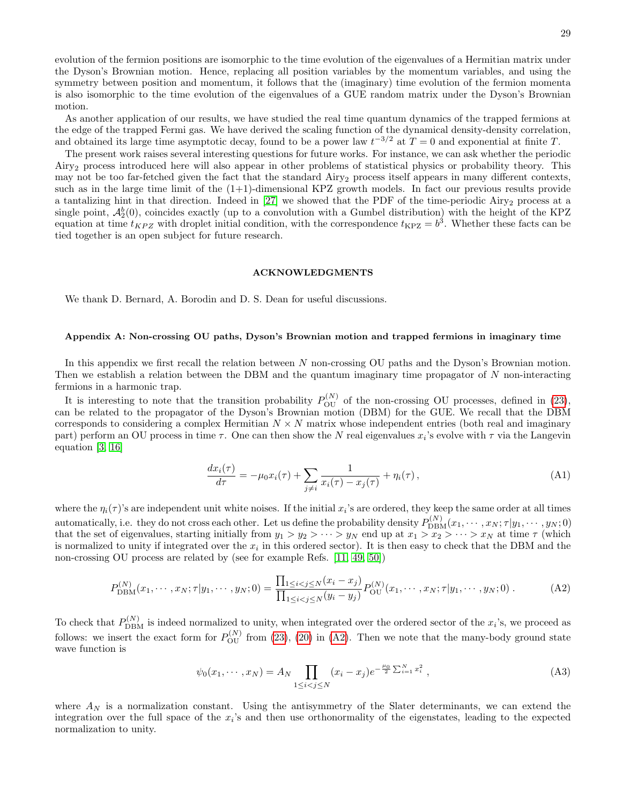As another application of our results, we have studied the real time quantum dynamics of the trapped fermions at the edge of the trapped Fermi gas. We have derived the scaling function of the dynamical density-density correlation, and obtained its large time asymptotic decay, found to be a power law  $t^{-3/2}$  at  $T=0$  and exponential at finite T.

The present work raises several interesting questions for future works. For instance, we can ask whether the periodic Airy<sup>2</sup> process introduced here will also appear in other problems of statistical physics or probability theory. This may not be too far-fetched given the fact that the standard  $Airy<sub>2</sub>$  process itself appears in many different contexts, such as in the large time limit of the  $(1+1)$ -dimensional KPZ growth models. In fact our previous results provide a tantalizing hint in that direction. Indeed in [\[27\]](#page-31-27) we showed that the PDF of the time-periodic  $Airy<sub>2</sub>$  process at a single point,  $\mathcal{A}_2^b(0)$ , coincides exactly (up to a convolution with a Gumbel distribution) with the height of the KPZ equation at time  $t_{KPZ}$  with droplet initial condition, with the correspondence  $t_{KPZ} = b^3$ . Whether these facts can be tied together is an open subject for future research.

#### <span id="page-28-0"></span>ACKNOWLEDGMENTS

We thank D. Bernard, A. Borodin and D. S. Dean for useful discussions.

# <span id="page-28-1"></span>Appendix A: Non-crossing OU paths, Dyson's Brownian motion and trapped fermions in imaginary time

In this appendix we first recall the relation between N non-crossing OU paths and the Dyson's Brownian motion. Then we establish a relation between the DBM and the quantum imaginary time propagator of N non-interacting fermions in a harmonic trap.

It is interesting to note that the transition probability  $P_{\text{OU}}^{(N)}$  of the non-crossing OU processes, defined in [\(23\)](#page-6-3), can be related to the propagator of the Dyson's Brownian motion (DBM) for the GUE. We recall that the DBM corresponds to considering a complex Hermitian  $N \times N$  matrix whose independent entries (both real and imaginary part) perform an OU process in time  $\tau$ . One can then show the N real eigenvalues  $x_i$ 's evolve with  $\tau$  via the Langevin equation [\[3,](#page-31-3) [16\]](#page-31-16)

$$
\frac{dx_i(\tau)}{d\tau} = -\mu_0 x_i(\tau) + \sum_{j \neq i} \frac{1}{x_i(\tau) - x_j(\tau)} + \eta_i(\tau),
$$
\n(A1)

where the  $\eta_i(\tau)$ 's are independent unit white noises. If the initial  $x_i$ 's are ordered, they keep the same order at all times automatically, i.e. they do not cross each other. Let us define the probability density  $P_{\text{DBM}}^{(N)}(x_1, \dots, x_N; \tau | y_1, \dots, y_N; 0)$ that the set of eigenvalues, starting initially from  $y_1 > y_2 > \cdots > y_N$  end up at  $x_1 > x_2 > \cdots > x_N$  at time  $\tau$  (which is normalized to unity if integrated over the  $x_i$  in this ordered sector). It is then easy to check that the DBM and the non-crossing OU process are related by (see for example Refs. [\[11,](#page-31-11) [49,](#page-32-11) [50\]](#page-32-12))

<span id="page-28-2"></span>
$$
P_{\text{DBM}}^{(N)}(x_1, \cdots, x_N; \tau | y_1, \cdots, y_N; 0) = \frac{\prod_{1 \le i < j \le N} (x_i - x_j)}{\prod_{1 \le i < j \le N} (y_i - y_j)} P_{\text{OU}}^{(N)}(x_1, \cdots, x_N; \tau | y_1, \cdots, y_N; 0) \tag{A2}
$$

To check that  $P_{\text{DBM}}^{(N)}$  is indeed normalized to unity, when integrated over the ordered sector of the  $x_i$ 's, we proceed as follows: we insert the exact form for  $P_{\text{OU}}^{(N)}$  from [\(23\)](#page-6-3), [\(20\)](#page-6-2) in [\(A2\)](#page-28-2). Then we note that the many-body ground state wave function is

<span id="page-28-3"></span>
$$
\psi_0(x_1, \cdots, x_N) = A_N \prod_{1 \le i < j \le N} (x_i - x_j) e^{-\frac{\mu_0}{2} \sum_{i=1}^N x_i^2},\tag{A3}
$$

where  $A_N$  is a normalization constant. Using the antisymmetry of the Slater determinants, we can extend the integration over the full space of the  $x_i$ 's and then use orthonormality of the eigenstates, leading to the expected normalization to unity.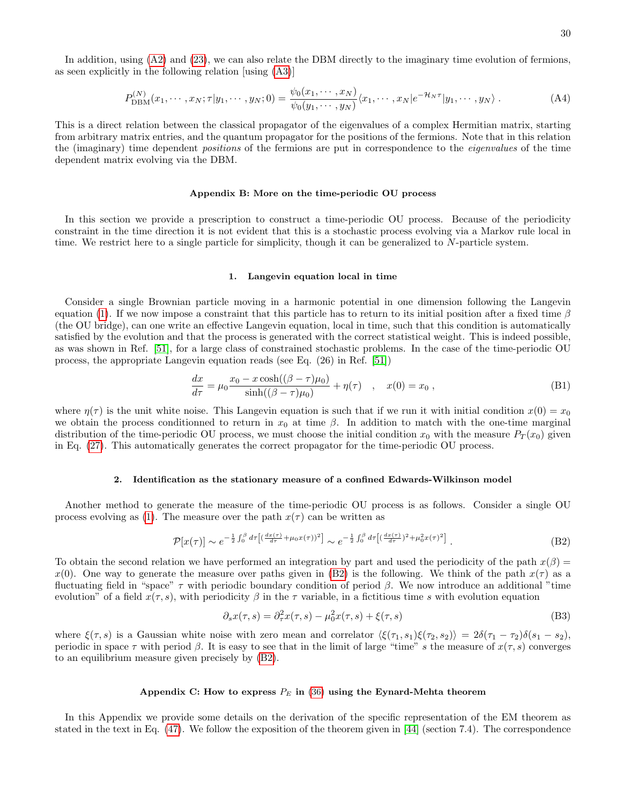In addition, using  $(A2)$  and  $(23)$ , we can also relate the DBM directly to the imaginary time evolution of fermions, as seen explicitly in the following relation [using [\(A3\)](#page-28-3)]

$$
P_{\text{DBM}}^{(N)}(x_1,\cdots,x_N;\tau|y_1,\cdots,y_N;0) = \frac{\psi_0(x_1,\cdots,x_N)}{\psi_0(y_1,\cdots,y_N)}\langle x_1,\cdots,x_N|e^{-\mathcal{H}_N\tau}|y_1,\cdots,y_N\rangle.
$$
 (A4)

This is a direct relation between the classical propagator of the eigenvalues of a complex Hermitian matrix, starting from arbitrary matrix entries, and the quantum propagator for the positions of the fermions. Note that in this relation the (imaginary) time dependent positions of the fermions are put in correspondence to the eigenvalues of the time dependent matrix evolving via the DBM.

#### <span id="page-29-0"></span>Appendix B: More on the time-periodic OU process

In this section we provide a prescription to construct a time-periodic OU process. Because of the periodicity constraint in the time direction it is not evident that this is a stochastic process evolving via a Markov rule local in time. We restrict here to a single particle for simplicity, though it can be generalized to N-particle system.

#### <span id="page-29-1"></span>1. Langevin equation local in time

Consider a single Brownian particle moving in a harmonic potential in one dimension following the Langevin equation [\(1\)](#page-2-6). If we now impose a constraint that this particle has to return to its initial position after a fixed time  $\beta$ (the OU bridge), can one write an effective Langevin equation, local in time, such that this condition is automatically satisfied by the evolution and that the process is generated with the correct statistical weight. This is indeed possible, as was shown in Ref. [\[51\]](#page-32-13), for a large class of constrained stochastic problems. In the case of the time-periodic OU process, the appropriate Langevin equation reads (see Eq. (26) in Ref. [\[51\]](#page-32-13))

$$
\frac{dx}{d\tau} = \mu_0 \frac{x_0 - x \cosh((\beta - \tau)\mu_0)}{\sinh((\beta - \tau)\mu_0)} + \eta(\tau) \quad , \quad x(0) = x_0 \; , \tag{B1}
$$

where  $\eta(\tau)$  is the unit white noise. This Langevin equation is such that if we run it with initial condition  $x(0) = x_0$ we obtain the process conditionned to return in  $x_0$  at time  $\beta$ . In addition to match with the one-time marginal distribution of the time-periodic OU process, we must choose the initial condition  $x_0$  with the measure  $P_T(x_0)$  given in Eq. [\(27\)](#page-7-3). This automatically generates the correct propagator for the time-periodic OU process.

#### <span id="page-29-2"></span>2. Identification as the stationary measure of a confined Edwards-Wilkinson model

Another method to generate the measure of the time-periodic OU process is as follows. Consider a single OU process evolving as [\(1\)](#page-2-6). The measure over the path  $x(\tau)$  can be written as

<span id="page-29-4"></span>
$$
\mathcal{P}[x(\tau)] \sim e^{-\frac{1}{2} \int_0^\beta d\tau \left[ (\frac{dx(\tau)}{d\tau} + \mu_0 x(\tau))^2 \right]} \sim e^{-\frac{1}{2} \int_0^\beta d\tau \left[ (\frac{dx(\tau)}{d\tau})^2 + \mu_0^2 x(\tau)^2 \right]} \ . \tag{B2}
$$

To obtain the second relation we have performed an integration by part and used the periodicity of the path  $x(\beta)$  =  $x(0)$ . One way to generate the measure over paths given in [\(B2\)](#page-29-4) is the following. We think of the path  $x(\tau)$  as a fluctuating field in "space"  $\tau$  with periodic boundary condition of period  $\beta$ . We now introduce an additional "time evolution" of a field  $x(\tau, s)$ , with periodicity  $\beta$  in the  $\tau$  variable, in a fictitious time s with evolution equation

$$
\partial_s x(\tau, s) = \partial_\tau^2 x(\tau, s) - \mu_0^2 x(\tau, s) + \xi(\tau, s)
$$
\n(B3)

where  $\xi(\tau, s)$  is a Gaussian white noise with zero mean and correlator  $\langle \xi(\tau_1, s_1)\xi(\tau_2, s_2)\rangle = 2\delta(\tau_1 - \tau_2)\delta(s_1 - s_2),$ periodic in space  $\tau$  with period  $\beta$ . It is easy to see that in the limit of large "time" s the measure of  $x(\tau, s)$  converges to an equilibrium measure given precisely by [\(B2\)](#page-29-4).

# <span id="page-29-3"></span>Appendix C: How to express  $P_E$  in [\(36\)](#page-9-2) using the Eynard-Mehta theorem

In this Appendix we provide some details on the derivation of the specific representation of the EM theorem as stated in the text in Eq. [\(47\)](#page-10-4). We follow the exposition of the theorem given in [\[44\]](#page-32-6) (section 7.4). The correspondence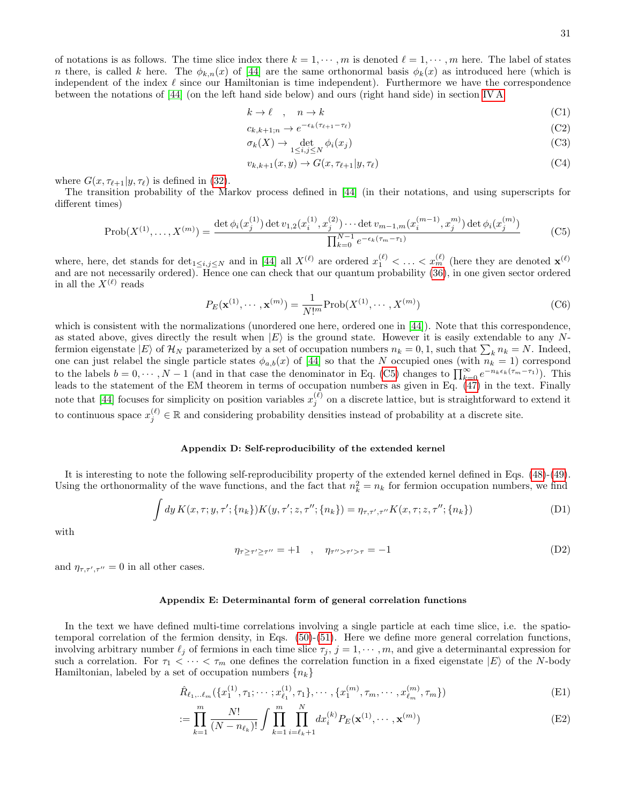of notations is as follows. The time slice index there  $k = 1, \dots, m$  is denoted  $\ell = 1, \dots, m$  here. The label of states n there, is called k here. The  $\phi_{k,n}(x)$  of [\[44\]](#page-32-6) are the same orthonormal basis  $\phi_k(x)$  as introduced here (which is independent of the index  $\ell$  since our Hamiltonian is time independent). Furthermore we have the correspondence between the notations of [\[44\]](#page-32-6) (on the left hand side below) and ours (right hand side) in section [IV A](#page-9-1)

$$
k \to \ell \quad , \quad n \to k \tag{C1}
$$

$$
c_{k,k+1;n} \to e^{-\epsilon_k(\tau_{\ell+1} - \tau_{\ell})}
$$
\n(C2)

$$
\sigma_k(X) \to \det_{1 \le i,j \le N} \phi_i(x_j) \tag{C3}
$$

$$
v_{k,k+1}(x,y) \to G(x,\tau_{\ell+1}|y,\tau_{\ell})
$$
\n(C4)

where  $G(x, \tau_{\ell+1}|y, \tau_{\ell})$  is defined in [\(32\)](#page-8-4).

The transition probability of the Markov process defined in [\[44\]](#page-32-6) (in their notations, and using superscripts for different times)

<span id="page-30-2"></span>
$$
\text{Prob}(X^{(1)}, \dots, X^{(m)}) = \frac{\det \phi_i(x_j^{(1)}) \det v_{1,2}(x_i^{(1)}, x_j^{(2)}) \cdots \det v_{m-1,m}(x_i^{(m-1)}, x_j^{m}) \det \phi_i(x_j^{(m)})}{\prod_{k=0}^{N-1} e^{-\epsilon_k(\tau_m - \tau_1)}}
$$
(C5)

where, here, det stands for  $\det_{1 \leq i,j \leq N}$  and in [\[44\]](#page-32-6) all  $X^{(\ell)}$  are ordered  $x_1^{(\ell)} < \ldots < x_m^{(\ell)}$  (here they are denoted  $\mathbf{x}^{(\ell)}$ ) and are not necessarily ordered). Hence one can check that our quantum probability [\(36\)](#page-9-2), in one given sector ordered in all the  $X^{(\ell)}$  reads

$$
P_E(\mathbf{x}^{(1)}, \cdots, \mathbf{x}^{(m)}) = \frac{1}{N!^m} \text{Prob}(X^{(1)}, \cdots, X^{(m)})
$$
(C6)

which is consistent with the normalizations (unordered one here, ordered one in [\[44\]](#page-32-6)). Note that this correspondence, as stated above, gives directly the result when  $|E\rangle$  is the ground state. However it is easily extendable to any Nfermion eigenstate  $|E\rangle$  of  $\mathcal{H}_N$  parameterized by a set of occupation numbers  $n_k = 0, 1$ , such that  $\sum_k n_k = N$ . Indeed, one can just relabel the single particle states  $\phi_{a,b}(x)$  of [\[44\]](#page-32-6) so that the N occupied ones (with  $n_k = 1$ ) correspond to the labels  $b = 0, \dots, N-1$  (and in that case the denominator in Eq. [\(C5\)](#page-30-2) changes to  $\prod_{k=0}^{\infty} e^{-n_k \epsilon_k (\tau_m - \tau_1)}$ ). This leads to the statement of the EM theorem in terms of occupation numbers as given in Eq.  $(47)$  in the text. Finally note that [\[44\]](#page-32-6) focuses for simplicity on position variables  $x_j^{(\ell)}$  on a discrete lattice, but is straightforward to extend it to continuous space  $x_j^{(\ell)} \in \mathbb{R}$  and considering probability densities instead of probability at a discrete site.

#### <span id="page-30-0"></span>Appendix D: Self-reproducibility of the extended kernel

It is interesting to note the following self-reproducibility property of the extended kernel defined in Eqs. [\(48\)](#page-10-3)-[\(49\)](#page-10-3). Using the orthonormality of the wave functions, and the fact that  $n_k^2 = n_k$  for fermion occupation numbers, we find

$$
\int dy K(x,\tau;y,\tau';\{n_k\})K(y,\tau';z,\tau'';\{n_k\}) = \eta_{\tau,\tau',\tau''}K(x,\tau;z,\tau'';\{n_k\})
$$
\n(D1)

with

$$
\eta_{\tau \ge \tau'} \ge \tau'' = +1 \quad , \quad \eta_{\tau'' > \tau'} > \tau = -1 \tag{D2}
$$

and  $\eta_{\tau,\tau',\tau''}=0$  in all other cases.

#### <span id="page-30-1"></span>Appendix E: Determinantal form of general correlation functions

In the text we have defined multi-time correlations involving a single particle at each time slice, i.e. the spatiotemporal correlation of the fermion density, in Eqs. [\(50\)](#page-11-2)-[\(51\)](#page-11-3). Here we define more general correlation functions, involving arbitrary number  $\ell_j$  of fermions in each time slice  $\tau_j$ ,  $j = 1, \dots, m$ , and give a determinantal expression for such a correlation. For  $\tau_1 < \cdots < \tau_m$  one defines the correlation function in a fixed eigenstate  $|E\rangle$  of the N-body Hamiltonian, labeled by a set of occupation numbers  $\{n_k\}$ 

$$
\hat{R}_{\ell_1,\ldots\ell_m}(\{x_1^{(1)},\tau_1;\cdots;x_{\ell_1}^{(1)},\tau_1\},\cdots,\{x_1^{(m)},\tau_m,\cdots,x_{\ell_m}^{(m)},\tau_m\})
$$
(E1)

$$
:= \prod_{k=1}^{m} \frac{N!}{(N - n_{\ell_k})!} \int \prod_{k=1}^{m} \prod_{i=\ell_k+1}^{N} dx_i^{(k)} P_E(\mathbf{x}^{(1)}, \cdots, \mathbf{x}^{(m)})
$$
(E2)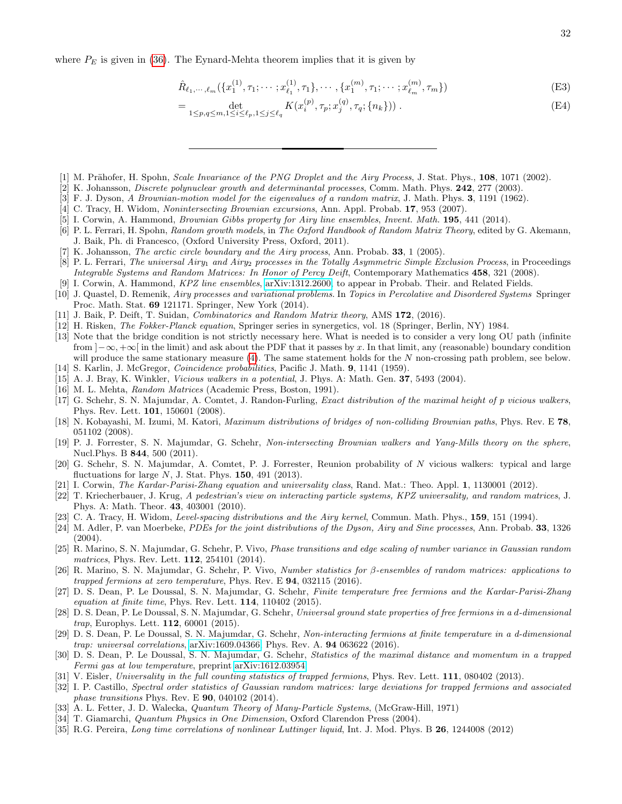where  $P_E$  is given in [\(36\)](#page-9-2). The Eynard-Mehta theorem implies that it is given by

$$
\hat{R}_{\ell_1,\cdots,\ell_m}(\{x_1^{(1)},\tau_1;\cdots;x_{\ell_1}^{(1)},\tau_1\},\cdots,\{x_1^{(m)},\tau_1;\cdots;x_{\ell_m}^{(m)},\tau_m\})
$$
(E3)

<span id="page-31-0"></span>
$$
= \det_{1 \le p,q \le m, 1 \le i \le \ell_p, 1 \le j \le \ell_q} K(x_i^{(p)}, \tau_p; x_j^{(q)}, \tau_q; \{n_k\}) ). \tag{E4}
$$

- <span id="page-31-1"></span>[1] M. Prähofer, H. Spohn, *Scale Invariance of the PNG Droplet and the Airy Process*, J. Stat. Phys., 108, 1071 (2002).
- <span id="page-31-2"></span>[2] K. Johansson, *Discrete polynuclear growth and determinantal processes*, Comm. Math. Phys. **242**, 277 (2003).
- <span id="page-31-3"></span>[3] F. J. Dyson, A Brownian-motion model for the eigenvalues of a random matrix, J. Math. Phys. 3, 1191 (1962).
- <span id="page-31-4"></span>[4] C. Tracy, H. Widom, Nonintersecting Brownian excursions, Ann. Appl. Probab. 17, 953 (2007).
- <span id="page-31-5"></span>[5] I. Corwin, A. Hammond, Brownian Gibbs property for Airy line ensembles, Invent. Math. 195, 441 (2014).
- <span id="page-31-6"></span>[6] P. L. Ferrari, H. Spohn, Random growth models, in The Oxford Handbook of Random Matrix Theory, edited by G. Akemann, J. Baik, Ph. di Francesco, (Oxford University Press, Oxford, 2011).
- <span id="page-31-7"></span>[7] K. Johansson, *The arctic circle boundary and the Airy process*, Ann. Probab. **33**, 1 (2005).
- <span id="page-31-8"></span>[8] P. L. Ferrari, The universal Airy<sub>1</sub> and Airy<sub>2</sub> processes in the Totally Asymmetric Simple Exclusion Process, in Proceedings Integrable Systems and Random Matrices: In Honor of Percy Deift, Contemporary Mathematics 458, 321 (2008).
- <span id="page-31-9"></span>[9] I. Corwin, A. Hammond, KPZ line ensembles, [arXiv:1312.2600,](http://arxiv.org/abs/1312.2600) to appear in Probab. Their. and Related Fields.
- <span id="page-31-10"></span>[10] J. Quastel, D. Remenik, Airy processes and variational problems. In Topics in Percolative and Disordered Systems Springer Proc. Math. Stat. 69 121171. Springer, New York (2014).
- <span id="page-31-11"></span>[11] J. Baik, P. Deift, T. Suidan, Combinatorics and Random Matrix theory, AMS 172, (2016).
- <span id="page-31-12"></span>[12] H. Risken, The Fokker-Planck equation, Springer series in synergetics, vol. 18 (Springer, Berlin, NY) 1984.
- <span id="page-31-13"></span>[13] Note that the bridge condition is not strictly necessary here. What is needed is to consider a very long OU path (infinite from  $]-\infty, +\infty[$  in the limit) and ask about the PDF that it passes by x. In that limit, any (reasonable) boundary condition will produce the same stationary measure  $(4)$ . The same statement holds for the N non-crossing path problem, see below.
- <span id="page-31-14"></span>[14] S. Karlin, J. McGregor, Coincidence probabilities, Pacific J. Math. 9, 1141 (1959).
- <span id="page-31-15"></span>[15] A. J. Bray, K. Winkler, *Vicious walkers in a potential*, J. Phys. A: Math. Gen. **37**, 5493 (2004).
- <span id="page-31-16"></span>[16] M. L. Mehta, Random Matrices (Academic Press, Boston, 1991).
- <span id="page-31-17"></span>[17] G. Schehr, S. N. Majumdar, A. Comtet, J. Randon-Furling, Exact distribution of the maximal height of p vicious walkers, Phys. Rev. Lett. 101, 150601 (2008).
- [18] N. Kobayashi, M. Izumi, M. Katori, Maximum distributions of bridges of non-colliding Brownian paths, Phys. Rev. E 78, 051102 (2008).
- [19] P. J. Forrester, S. N. Majumdar, G. Schehr, Non-intersecting Brownian walkers and Yang-Mills theory on the sphere, Nucl.Phys. B 844, 500 (2011).
- <span id="page-31-18"></span>[20] G. Schehr, S. N. Majumdar, A. Comtet, P. J. Forrester, Reunion probability of N vicious walkers: typical and large fluctuations for large  $N$ , J. Stat. Phys. **150**, 491 (2013).
- <span id="page-31-19"></span>[21] I. Corwin, The Kardar-Parisi-Zhang equation and universality class, Rand. Mat.: Theo. Appl. 1, 1130001 (2012).
- <span id="page-31-20"></span>[22] T. Kriecherbauer, J. Krug, A pedestrian's view on interacting particle systems, KPZ universality, and random matrices, J. Phys. A: Math. Theor. 43, 403001 (2010).
- <span id="page-31-21"></span>[23] C. A. Tracy, H. Widom, Level-spacing distributions and the Airy kernel, Commun. Math. Phys., 159, 151 (1994).
- <span id="page-31-22"></span>[24] M. Adler, P. van Moerbeke, *PDEs for the joint distributions of the Dyson, Airy and Sine processes*, Ann. Probab. **33**, 1326 (2004).
- <span id="page-31-23"></span>[25] R. Marino, S. N. Majumdar, G. Schehr, P. Vivo, Phase transitions and edge scaling of number variance in Gaussian random matrices, Phys. Rev. Lett. 112, 254101 (2014).
- [26] R. Marino, S. N. Majumdar, G. Schehr, P. Vivo, Number statistics for β-ensembles of random matrices: applications to trapped fermions at zero temperature, Phys. Rev. E  $94$ , 032115 (2016).
- <span id="page-31-27"></span>[27] D. S. Dean, P. Le Doussal, S. N. Majumdar, G. Schehr, Finite temperature free fermions and the Kardar-Parisi-Zhang equation at finite time, Phys. Rev. Lett. 114, 110402 (2015).
- [28] D. S. Dean, P. Le Doussal, S. N. Majumdar, G. Schehr, Universal ground state properties of free fermions in a d-dimensional trap, Europhys. Lett. 112, 60001 (2015).
- <span id="page-31-28"></span>[29] D. S. Dean, P. Le Doussal, S. N. Majumdar, G. Schehr, Non-interacting fermions at finite temperature in a d-dimensional trap: universal correlations, [arXiv:1609.04366,](http://arxiv.org/abs/1609.04366) Phys. Rev. A. 94 063622 (2016).
- <span id="page-31-24"></span>[30] D. S. Dean, P. Le Doussal, S. N. Majumdar, G. Schehr, Statistics of the maximal distance and momentum in a trapped Fermi gas at low temperature, preprint [arXiv:1612.03954.](http://arxiv.org/abs/1612.03954)
- <span id="page-31-25"></span>[31] V. Eisler, Universality in the full counting statistics of trapped fermions, Phys. Rev. Lett. 111, 080402 (2013).
- <span id="page-31-26"></span>[32] I. P. Castillo, Spectral order statistics of Gaussian random matrices: large deviations for trapped fermions and associated phase transitions Phys. Rev. E 90, 040102 (2014).
- <span id="page-31-29"></span>[33] A. L. Fetter, J. D. Walecka, *Quantum Theory of Many-Particle Systems*, (McGraw-Hill, 1971)
- <span id="page-31-30"></span>[34] T. Giamarchi, Quantum Physics in One Dimension, Oxford Clarendon Press (2004).
- <span id="page-31-31"></span>[35] R.G. Pereira, Long time correlations of nonlinear Luttinger liquid, Int. J. Mod. Phys. B 26, 1244008 (2012)